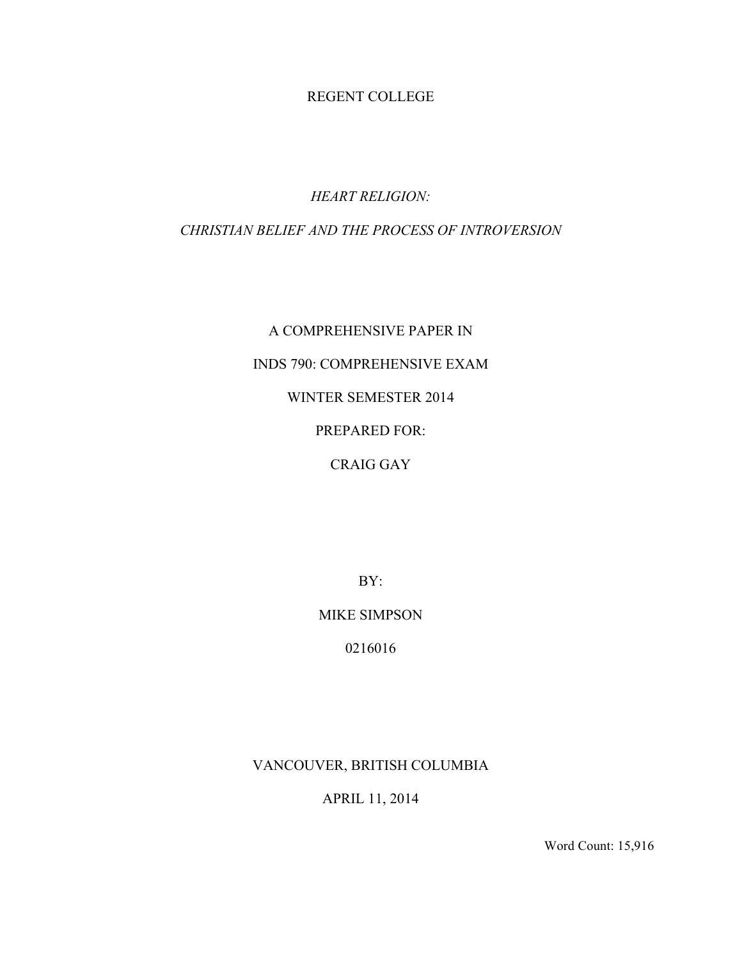### REGENT COLLEGE

## *HEART RELIGION:*

## *CHRISTIAN BELIEF AND THE PROCESS OF INTROVERSION*

# A COMPREHENSIVE PAPER IN INDS 790: COMPREHENSIVE EXAM WINTER SEMESTER 2014 PREPARED FOR: CRAIG GAY

BY:

MIKE SIMPSON

0216016

VANCOUVER, BRITISH COLUMBIA

APRIL 11, 2014

Word Count: 15,916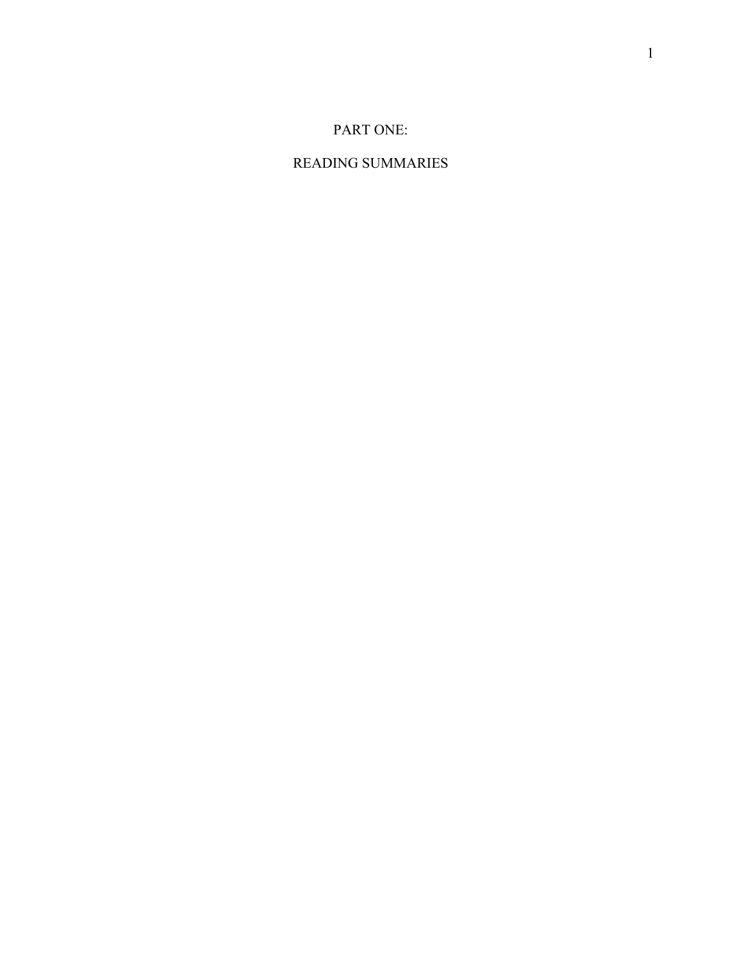## PART ONE:

## READING SUMMARIES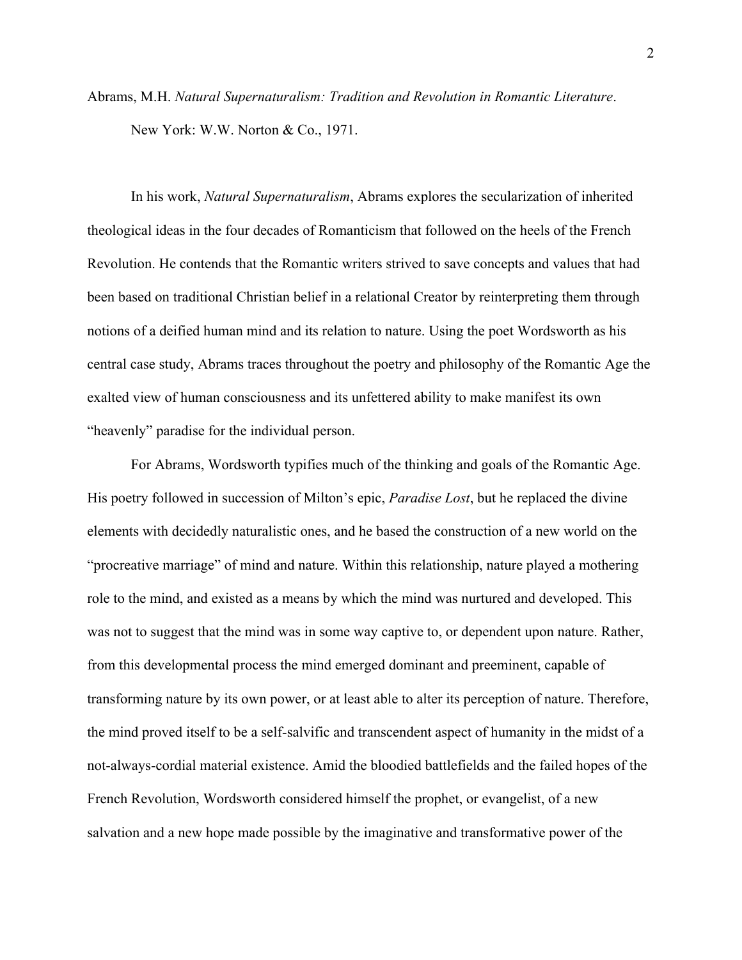Abrams, M.H. *Natural Supernaturalism: Tradition and Revolution in Romantic Literature*. New York: W.W. Norton & Co., 1971.

In his work, *Natural Supernaturalism*, Abrams explores the secularization of inherited theological ideas in the four decades of Romanticism that followed on the heels of the French Revolution. He contends that the Romantic writers strived to save concepts and values that had been based on traditional Christian belief in a relational Creator by reinterpreting them through notions of a deified human mind and its relation to nature. Using the poet Wordsworth as his central case study, Abrams traces throughout the poetry and philosophy of the Romantic Age the exalted view of human consciousness and its unfettered ability to make manifest its own "heavenly" paradise for the individual person.

For Abrams, Wordsworth typifies much of the thinking and goals of the Romantic Age. His poetry followed in succession of Milton's epic, *Paradise Lost*, but he replaced the divine elements with decidedly naturalistic ones, and he based the construction of a new world on the "procreative marriage" of mind and nature. Within this relationship, nature played a mothering role to the mind, and existed as a means by which the mind was nurtured and developed. This was not to suggest that the mind was in some way captive to, or dependent upon nature. Rather, from this developmental process the mind emerged dominant and preeminent, capable of transforming nature by its own power, or at least able to alter its perception of nature. Therefore, the mind proved itself to be a self-salvific and transcendent aspect of humanity in the midst of a not-always-cordial material existence. Amid the bloodied battlefields and the failed hopes of the French Revolution, Wordsworth considered himself the prophet, or evangelist, of a new salvation and a new hope made possible by the imaginative and transformative power of the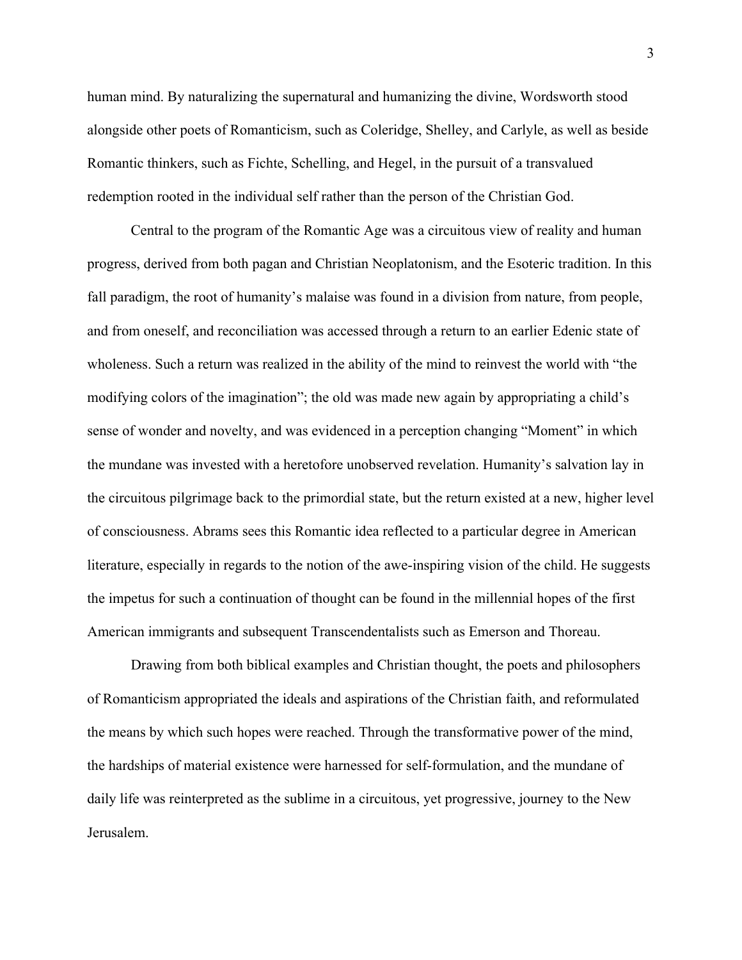human mind. By naturalizing the supernatural and humanizing the divine, Wordsworth stood alongside other poets of Romanticism, such as Coleridge, Shelley, and Carlyle, as well as beside Romantic thinkers, such as Fichte, Schelling, and Hegel, in the pursuit of a transvalued redemption rooted in the individual self rather than the person of the Christian God.

Central to the program of the Romantic Age was a circuitous view of reality and human progress, derived from both pagan and Christian Neoplatonism, and the Esoteric tradition. In this fall paradigm, the root of humanity's malaise was found in a division from nature, from people, and from oneself, and reconciliation was accessed through a return to an earlier Edenic state of wholeness. Such a return was realized in the ability of the mind to reinvest the world with "the modifying colors of the imagination"; the old was made new again by appropriating a child's sense of wonder and novelty, and was evidenced in a perception changing "Moment" in which the mundane was invested with a heretofore unobserved revelation. Humanity's salvation lay in the circuitous pilgrimage back to the primordial state, but the return existed at a new, higher level of consciousness. Abrams sees this Romantic idea reflected to a particular degree in American literature, especially in regards to the notion of the awe-inspiring vision of the child. He suggests the impetus for such a continuation of thought can be found in the millennial hopes of the first American immigrants and subsequent Transcendentalists such as Emerson and Thoreau.

Drawing from both biblical examples and Christian thought, the poets and philosophers of Romanticism appropriated the ideals and aspirations of the Christian faith, and reformulated the means by which such hopes were reached. Through the transformative power of the mind, the hardships of material existence were harnessed for self-formulation, and the mundane of daily life was reinterpreted as the sublime in a circuitous, yet progressive, journey to the New Jerusalem.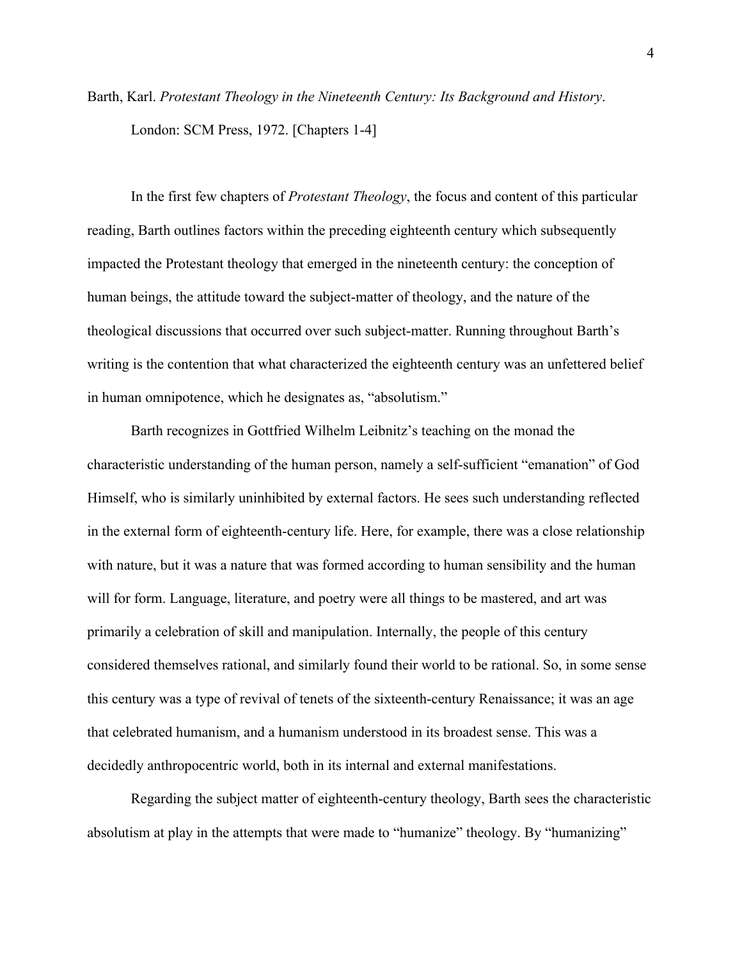Barth, Karl. *Protestant Theology in the Nineteenth Century: Its Background and History*. London: SCM Press, 1972. [Chapters 1-4]

In the first few chapters of *Protestant Theology*, the focus and content of this particular reading, Barth outlines factors within the preceding eighteenth century which subsequently impacted the Protestant theology that emerged in the nineteenth century: the conception of human beings, the attitude toward the subject-matter of theology, and the nature of the theological discussions that occurred over such subject-matter. Running throughout Barth's writing is the contention that what characterized the eighteenth century was an unfettered belief in human omnipotence, which he designates as, "absolutism."

Barth recognizes in Gottfried Wilhelm Leibnitz's teaching on the monad the characteristic understanding of the human person, namely a self-sufficient "emanation" of God Himself, who is similarly uninhibited by external factors. He sees such understanding reflected in the external form of eighteenth-century life. Here, for example, there was a close relationship with nature, but it was a nature that was formed according to human sensibility and the human will for form. Language, literature, and poetry were all things to be mastered, and art was primarily a celebration of skill and manipulation. Internally, the people of this century considered themselves rational, and similarly found their world to be rational. So, in some sense this century was a type of revival of tenets of the sixteenth-century Renaissance; it was an age that celebrated humanism, and a humanism understood in its broadest sense. This was a decidedly anthropocentric world, both in its internal and external manifestations.

Regarding the subject matter of eighteenth-century theology, Barth sees the characteristic absolutism at play in the attempts that were made to "humanize" theology. By "humanizing"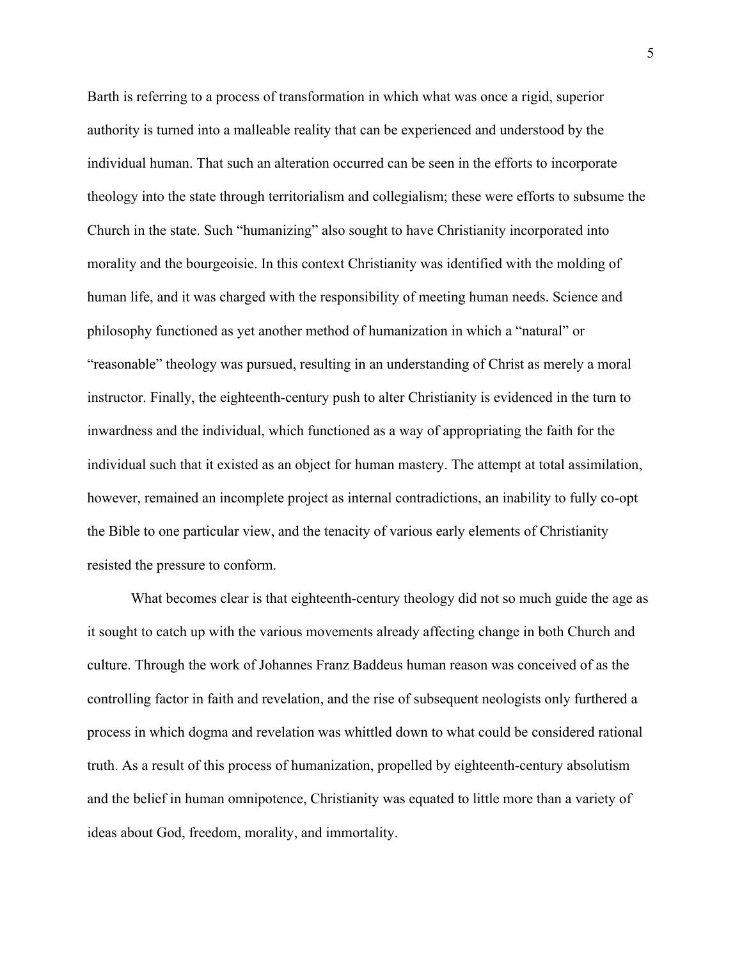Barth is referring to a process of transformation in which what was once a rigid, superior authority is turned into a malleable reality that can be experienced and understood by the individual human. That such an alteration occurred can be seen in the efforts to incorporate theology into the state through territorialism and collegialism; these were efforts to subsume the Church in the state. Such "humanizing" also sought to have Christianity incorporated into morality and the bourgeoisie. In this context Christianity was identified with the molding of human life, and it was charged with the responsibility of meeting human needs. Science and philosophy functioned as yet another method of humanization in which a "natural" or "reasonable" theology was pursued, resulting in an understanding of Christ as merely a moral instructor. Finally, the eighteenth-century push to alter Christianity is evidenced in the turn to inwardness and the individual, which functioned as a way of appropriating the faith for the individual such that it existed as an object for human mastery. The attempt at total assimilation, however, remained an incomplete project as internal contradictions, an inability to fully co-opt the Bible to one particular view, and the tenacity of various early elements of Christianity resisted the pressure to conform.

What becomes clear is that eighteenth-century theology did not so much guide the age as it sought to catch up with the various movements already affecting change in both Church and culture. Through the work of Johannes Franz Baddeus human reason was conceived of as the controlling factor in faith and revelation, and the rise of subsequent neologists only furthered a process in which dogma and revelation was whittled down to what could be considered rational truth. As a result of this process of humanization, propelled by eighteenth-century absolutism and the belief in human omnipotence, Christianity was equated to little more than a variety of ideas about God, freedom, morality, and immortality.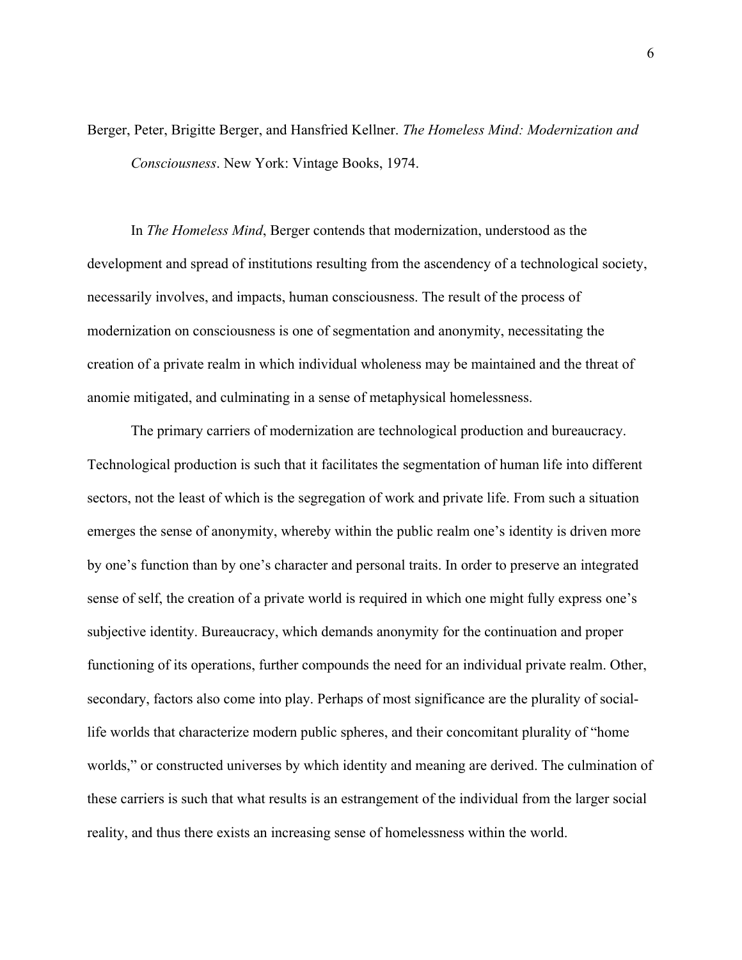Berger, Peter, Brigitte Berger, and Hansfried Kellner. *The Homeless Mind: Modernization and Consciousness*. New York: Vintage Books, 1974.

In *The Homeless Mind*, Berger contends that modernization, understood as the development and spread of institutions resulting from the ascendency of a technological society, necessarily involves, and impacts, human consciousness. The result of the process of modernization on consciousness is one of segmentation and anonymity, necessitating the creation of a private realm in which individual wholeness may be maintained and the threat of anomie mitigated, and culminating in a sense of metaphysical homelessness.

The primary carriers of modernization are technological production and bureaucracy. Technological production is such that it facilitates the segmentation of human life into different sectors, not the least of which is the segregation of work and private life. From such a situation emerges the sense of anonymity, whereby within the public realm one's identity is driven more by one's function than by one's character and personal traits. In order to preserve an integrated sense of self, the creation of a private world is required in which one might fully express one's subjective identity. Bureaucracy, which demands anonymity for the continuation and proper functioning of its operations, further compounds the need for an individual private realm. Other, secondary, factors also come into play. Perhaps of most significance are the plurality of sociallife worlds that characterize modern public spheres, and their concomitant plurality of "home worlds," or constructed universes by which identity and meaning are derived. The culmination of these carriers is such that what results is an estrangement of the individual from the larger social reality, and thus there exists an increasing sense of homelessness within the world.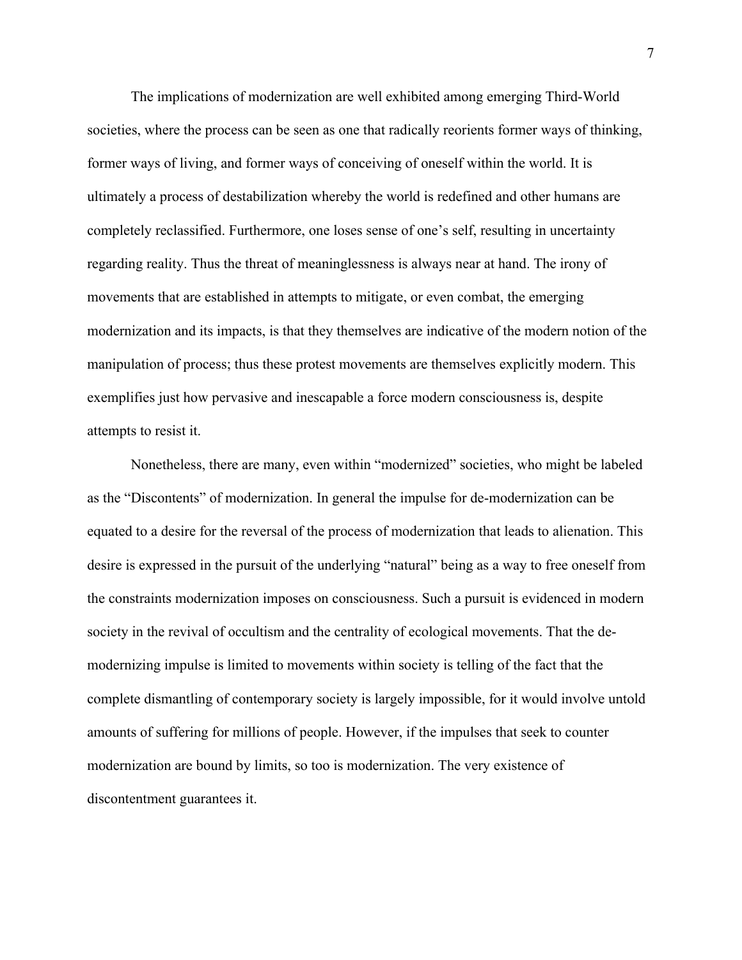The implications of modernization are well exhibited among emerging Third-World societies, where the process can be seen as one that radically reorients former ways of thinking, former ways of living, and former ways of conceiving of oneself within the world. It is ultimately a process of destabilization whereby the world is redefined and other humans are completely reclassified. Furthermore, one loses sense of one's self, resulting in uncertainty regarding reality. Thus the threat of meaninglessness is always near at hand. The irony of movements that are established in attempts to mitigate, or even combat, the emerging modernization and its impacts, is that they themselves are indicative of the modern notion of the manipulation of process; thus these protest movements are themselves explicitly modern. This exemplifies just how pervasive and inescapable a force modern consciousness is, despite attempts to resist it.

Nonetheless, there are many, even within "modernized" societies, who might be labeled as the "Discontents" of modernization. In general the impulse for de-modernization can be equated to a desire for the reversal of the process of modernization that leads to alienation. This desire is expressed in the pursuit of the underlying "natural" being as a way to free oneself from the constraints modernization imposes on consciousness. Such a pursuit is evidenced in modern society in the revival of occultism and the centrality of ecological movements. That the demodernizing impulse is limited to movements within society is telling of the fact that the complete dismantling of contemporary society is largely impossible, for it would involve untold amounts of suffering for millions of people. However, if the impulses that seek to counter modernization are bound by limits, so too is modernization. The very existence of discontentment guarantees it.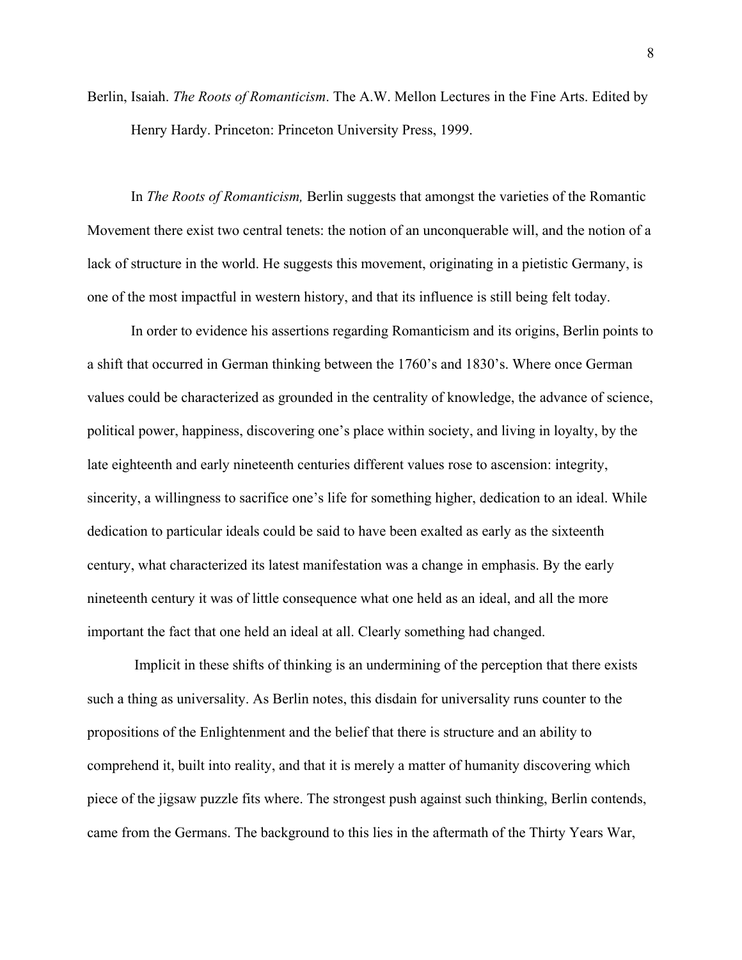Berlin, Isaiah. *The Roots of Romanticism*. The A.W. Mellon Lectures in the Fine Arts. Edited by Henry Hardy. Princeton: Princeton University Press, 1999.

In *The Roots of Romanticism,* Berlin suggests that amongst the varieties of the Romantic Movement there exist two central tenets: the notion of an unconquerable will, and the notion of a lack of structure in the world. He suggests this movement, originating in a pietistic Germany, is one of the most impactful in western history, and that its influence is still being felt today.

In order to evidence his assertions regarding Romanticism and its origins, Berlin points to a shift that occurred in German thinking between the 1760's and 1830's. Where once German values could be characterized as grounded in the centrality of knowledge, the advance of science, political power, happiness, discovering one's place within society, and living in loyalty, by the late eighteenth and early nineteenth centuries different values rose to ascension: integrity, sincerity, a willingness to sacrifice one's life for something higher, dedication to an ideal. While dedication to particular ideals could be said to have been exalted as early as the sixteenth century, what characterized its latest manifestation was a change in emphasis. By the early nineteenth century it was of little consequence what one held as an ideal, and all the more important the fact that one held an ideal at all. Clearly something had changed.

Implicit in these shifts of thinking is an undermining of the perception that there exists such a thing as universality. As Berlin notes, this disdain for universality runs counter to the propositions of the Enlightenment and the belief that there is structure and an ability to comprehend it, built into reality, and that it is merely a matter of humanity discovering which piece of the jigsaw puzzle fits where. The strongest push against such thinking, Berlin contends, came from the Germans. The background to this lies in the aftermath of the Thirty Years War,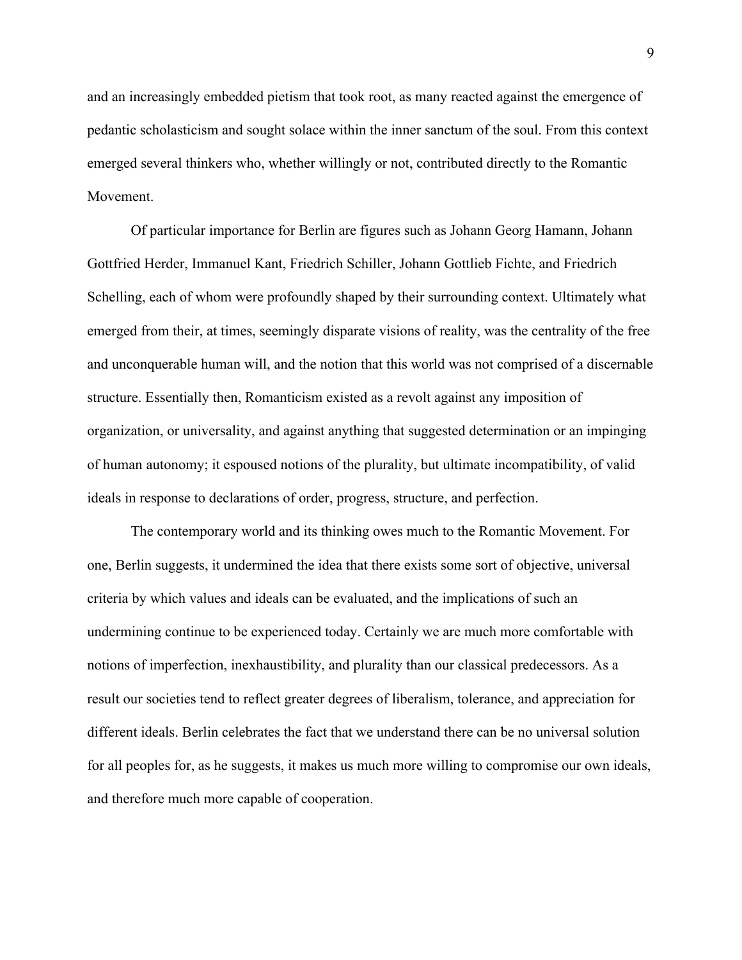and an increasingly embedded pietism that took root, as many reacted against the emergence of pedantic scholasticism and sought solace within the inner sanctum of the soul. From this context emerged several thinkers who, whether willingly or not, contributed directly to the Romantic Movement.

Of particular importance for Berlin are figures such as Johann Georg Hamann, Johann Gottfried Herder, Immanuel Kant, Friedrich Schiller, Johann Gottlieb Fichte, and Friedrich Schelling, each of whom were profoundly shaped by their surrounding context. Ultimately what emerged from their, at times, seemingly disparate visions of reality, was the centrality of the free and unconquerable human will, and the notion that this world was not comprised of a discernable structure. Essentially then, Romanticism existed as a revolt against any imposition of organization, or universality, and against anything that suggested determination or an impinging of human autonomy; it espoused notions of the plurality, but ultimate incompatibility, of valid ideals in response to declarations of order, progress, structure, and perfection.

The contemporary world and its thinking owes much to the Romantic Movement. For one, Berlin suggests, it undermined the idea that there exists some sort of objective, universal criteria by which values and ideals can be evaluated, and the implications of such an undermining continue to be experienced today. Certainly we are much more comfortable with notions of imperfection, inexhaustibility, and plurality than our classical predecessors. As a result our societies tend to reflect greater degrees of liberalism, tolerance, and appreciation for different ideals. Berlin celebrates the fact that we understand there can be no universal solution for all peoples for, as he suggests, it makes us much more willing to compromise our own ideals, and therefore much more capable of cooperation.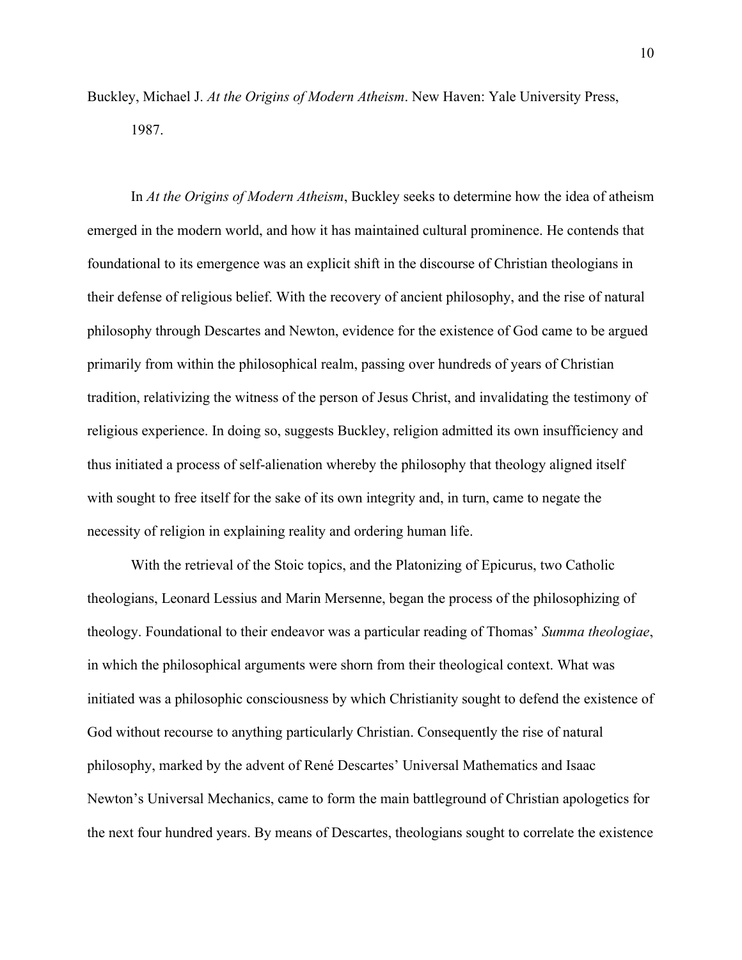Buckley, Michael J. *At the Origins of Modern Atheism*. New Haven: Yale University Press, 1987.

In *At the Origins of Modern Atheism*, Buckley seeks to determine how the idea of atheism emerged in the modern world, and how it has maintained cultural prominence. He contends that foundational to its emergence was an explicit shift in the discourse of Christian theologians in their defense of religious belief. With the recovery of ancient philosophy, and the rise of natural philosophy through Descartes and Newton, evidence for the existence of God came to be argued primarily from within the philosophical realm, passing over hundreds of years of Christian tradition, relativizing the witness of the person of Jesus Christ, and invalidating the testimony of religious experience. In doing so, suggests Buckley, religion admitted its own insufficiency and thus initiated a process of self-alienation whereby the philosophy that theology aligned itself with sought to free itself for the sake of its own integrity and, in turn, came to negate the necessity of religion in explaining reality and ordering human life.

With the retrieval of the Stoic topics, and the Platonizing of Epicurus, two Catholic theologians, Leonard Lessius and Marin Mersenne, began the process of the philosophizing of theology. Foundational to their endeavor was a particular reading of Thomas' *Summa theologiae*, in which the philosophical arguments were shorn from their theological context. What was initiated was a philosophic consciousness by which Christianity sought to defend the existence of God without recourse to anything particularly Christian. Consequently the rise of natural philosophy, marked by the advent of René Descartes' Universal Mathematics and Isaac Newton's Universal Mechanics, came to form the main battleground of Christian apologetics for the next four hundred years. By means of Descartes, theologians sought to correlate the existence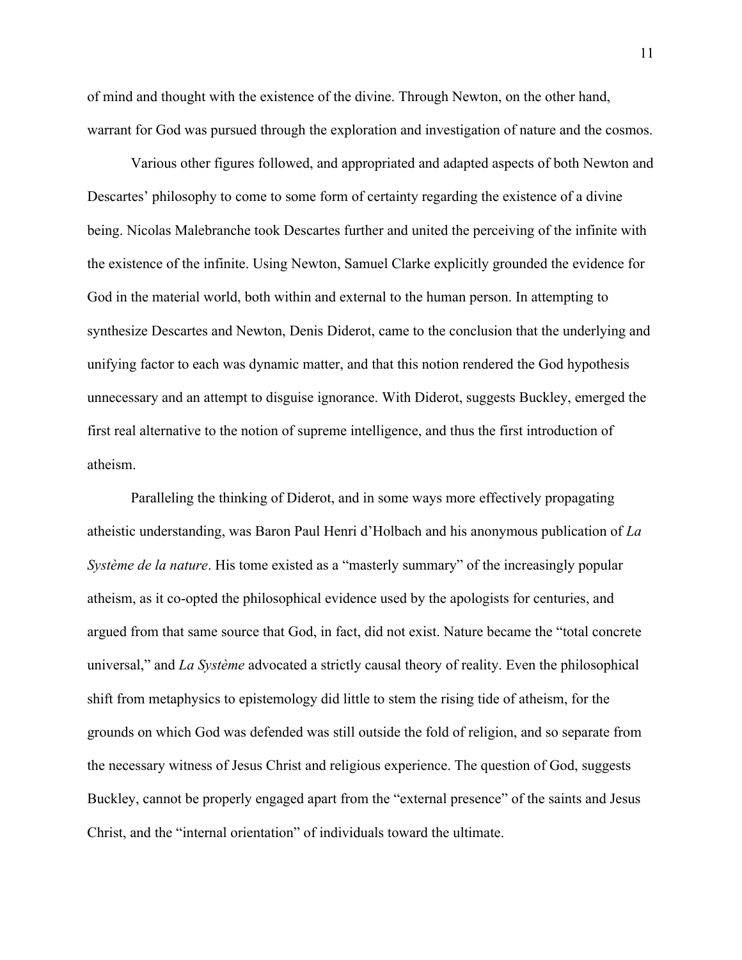of mind and thought with the existence of the divine. Through Newton, on the other hand, warrant for God was pursued through the exploration and investigation of nature and the cosmos.

Various other figures followed, and appropriated and adapted aspects of both Newton and Descartes' philosophy to come to some form of certainty regarding the existence of a divine being. Nicolas Malebranche took Descartes further and united the perceiving of the infinite with the existence of the infinite. Using Newton, Samuel Clarke explicitly grounded the evidence for God in the material world, both within and external to the human person. In attempting to synthesize Descartes and Newton, Denis Diderot, came to the conclusion that the underlying and unifying factor to each was dynamic matter, and that this notion rendered the God hypothesis unnecessary and an attempt to disguise ignorance. With Diderot, suggests Buckley, emerged the first real alternative to the notion of supreme intelligence, and thus the first introduction of atheism.

Paralleling the thinking of Diderot, and in some ways more effectively propagating atheistic understanding, was Baron Paul Henri d'Holbach and his anonymous publication of *La Système de la nature*. His tome existed as a "masterly summary" of the increasingly popular atheism, as it co-opted the philosophical evidence used by the apologists for centuries, and argued from that same source that God, in fact, did not exist. Nature became the "total concrete universal," and *La Système* advocated a strictly causal theory of reality. Even the philosophical shift from metaphysics to epistemology did little to stem the rising tide of atheism, for the grounds on which God was defended was still outside the fold of religion, and so separate from the necessary witness of Jesus Christ and religious experience. The question of God, suggests Buckley, cannot be properly engaged apart from the "external presence" of the saints and Jesus Christ, and the "internal orientation" of individuals toward the ultimate.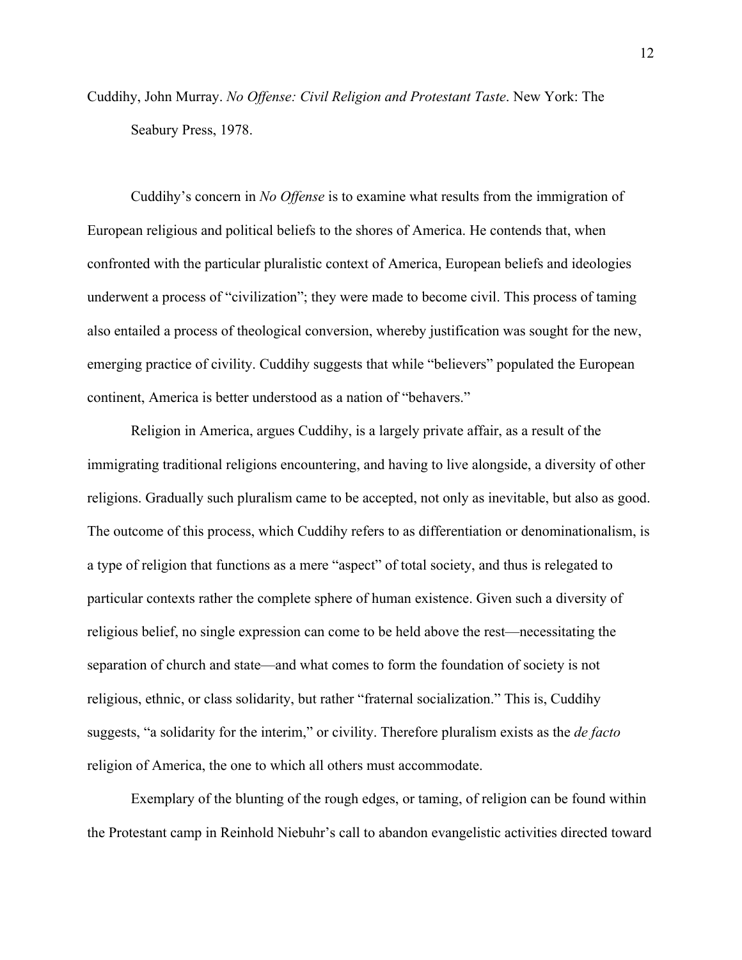Cuddihy, John Murray. *No Offense: Civil Religion and Protestant Taste*. New York: The Seabury Press, 1978.

Cuddihy's concern in *No Offense* is to examine what results from the immigration of European religious and political beliefs to the shores of America. He contends that, when confronted with the particular pluralistic context of America, European beliefs and ideologies underwent a process of "civilization"; they were made to become civil. This process of taming also entailed a process of theological conversion, whereby justification was sought for the new, emerging practice of civility. Cuddihy suggests that while "believers" populated the European continent, America is better understood as a nation of "behavers."

Religion in America, argues Cuddihy, is a largely private affair, as a result of the immigrating traditional religions encountering, and having to live alongside, a diversity of other religions. Gradually such pluralism came to be accepted, not only as inevitable, but also as good. The outcome of this process, which Cuddihy refers to as differentiation or denominationalism, is a type of religion that functions as a mere "aspect" of total society, and thus is relegated to particular contexts rather the complete sphere of human existence. Given such a diversity of religious belief, no single expression can come to be held above the rest—necessitating the separation of church and state—and what comes to form the foundation of society is not religious, ethnic, or class solidarity, but rather "fraternal socialization." This is, Cuddihy suggests, "a solidarity for the interim," or civility. Therefore pluralism exists as the *de facto* religion of America, the one to which all others must accommodate.

Exemplary of the blunting of the rough edges, or taming, of religion can be found within the Protestant camp in Reinhold Niebuhr's call to abandon evangelistic activities directed toward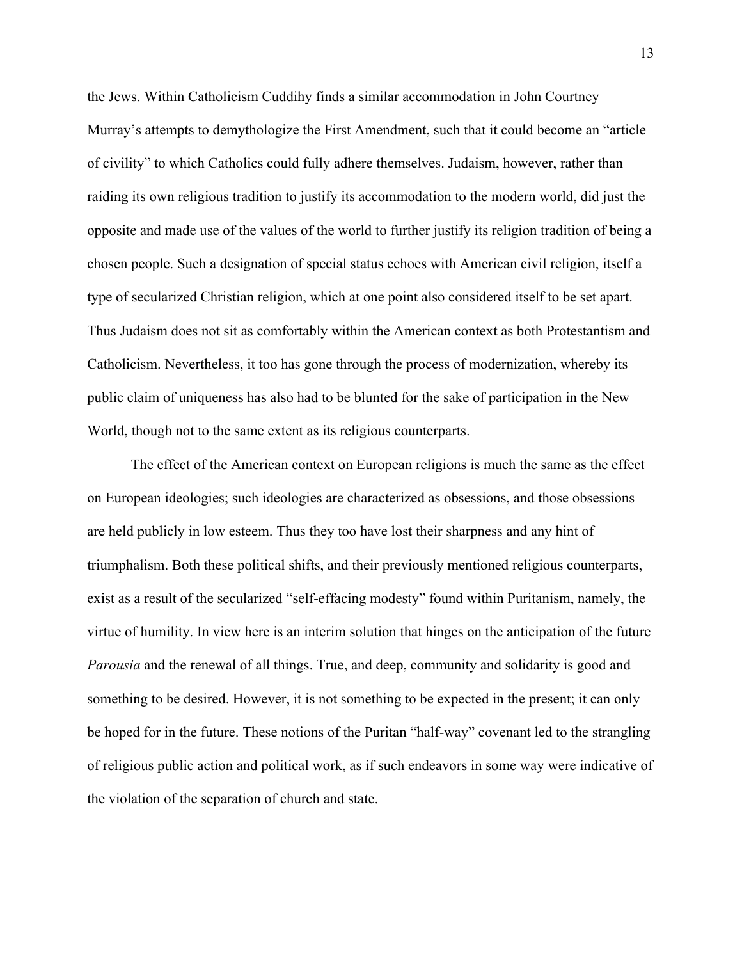the Jews. Within Catholicism Cuddihy finds a similar accommodation in John Courtney Murray's attempts to demythologize the First Amendment, such that it could become an "article of civility" to which Catholics could fully adhere themselves. Judaism, however, rather than raiding its own religious tradition to justify its accommodation to the modern world, did just the opposite and made use of the values of the world to further justify its religion tradition of being a chosen people. Such a designation of special status echoes with American civil religion, itself a type of secularized Christian religion, which at one point also considered itself to be set apart. Thus Judaism does not sit as comfortably within the American context as both Protestantism and Catholicism. Nevertheless, it too has gone through the process of modernization, whereby its public claim of uniqueness has also had to be blunted for the sake of participation in the New World, though not to the same extent as its religious counterparts.

The effect of the American context on European religions is much the same as the effect on European ideologies; such ideologies are characterized as obsessions, and those obsessions are held publicly in low esteem. Thus they too have lost their sharpness and any hint of triumphalism. Both these political shifts, and their previously mentioned religious counterparts, exist as a result of the secularized "self-effacing modesty" found within Puritanism, namely, the virtue of humility. In view here is an interim solution that hinges on the anticipation of the future *Parousia* and the renewal of all things. True, and deep, community and solidarity is good and something to be desired. However, it is not something to be expected in the present; it can only be hoped for in the future. These notions of the Puritan "half-way" covenant led to the strangling of religious public action and political work, as if such endeavors in some way were indicative of the violation of the separation of church and state.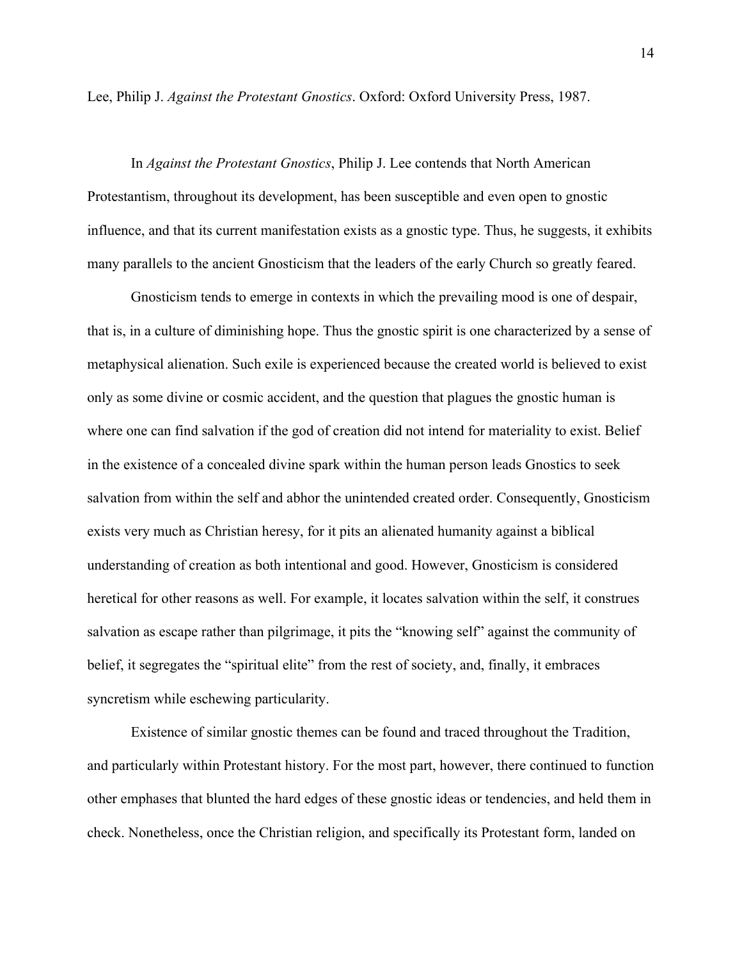Lee, Philip J. *Against the Protestant Gnostics*. Oxford: Oxford University Press, 1987.

In *Against the Protestant Gnostics*, Philip J. Lee contends that North American Protestantism, throughout its development, has been susceptible and even open to gnostic influence, and that its current manifestation exists as a gnostic type. Thus, he suggests, it exhibits many parallels to the ancient Gnosticism that the leaders of the early Church so greatly feared.

Gnosticism tends to emerge in contexts in which the prevailing mood is one of despair, that is, in a culture of diminishing hope. Thus the gnostic spirit is one characterized by a sense of metaphysical alienation. Such exile is experienced because the created world is believed to exist only as some divine or cosmic accident, and the question that plagues the gnostic human is where one can find salvation if the god of creation did not intend for materiality to exist. Belief in the existence of a concealed divine spark within the human person leads Gnostics to seek salvation from within the self and abhor the unintended created order. Consequently, Gnosticism exists very much as Christian heresy, for it pits an alienated humanity against a biblical understanding of creation as both intentional and good. However, Gnosticism is considered heretical for other reasons as well. For example, it locates salvation within the self, it construes salvation as escape rather than pilgrimage, it pits the "knowing self" against the community of belief, it segregates the "spiritual elite" from the rest of society, and, finally, it embraces syncretism while eschewing particularity.

Existence of similar gnostic themes can be found and traced throughout the Tradition, and particularly within Protestant history. For the most part, however, there continued to function other emphases that blunted the hard edges of these gnostic ideas or tendencies, and held them in check. Nonetheless, once the Christian religion, and specifically its Protestant form, landed on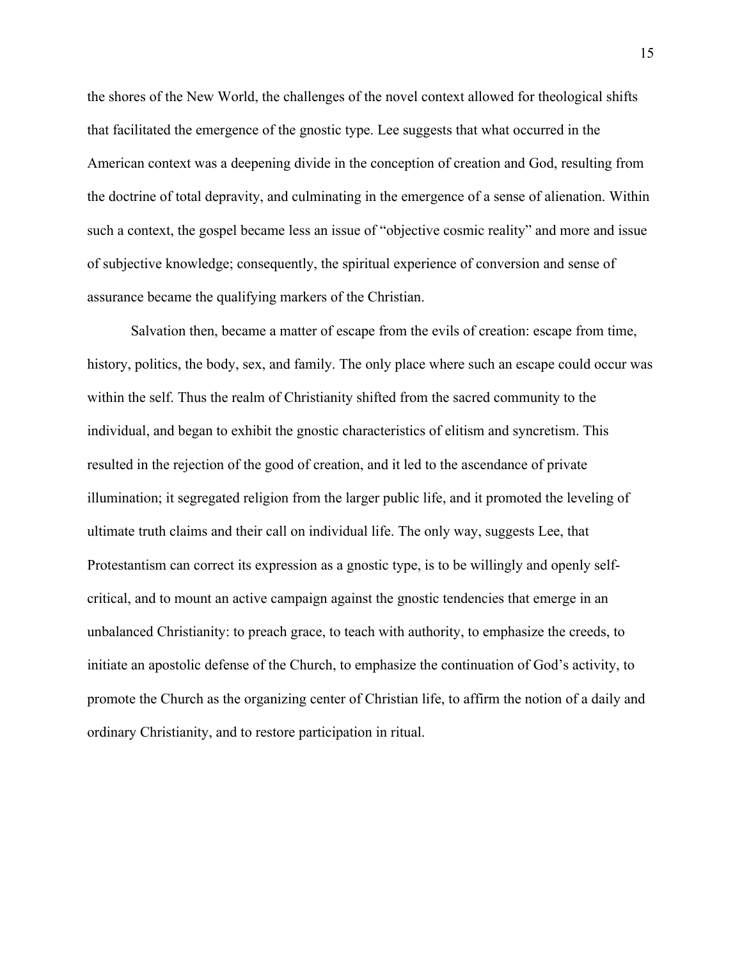the shores of the New World, the challenges of the novel context allowed for theological shifts that facilitated the emergence of the gnostic type. Lee suggests that what occurred in the American context was a deepening divide in the conception of creation and God, resulting from the doctrine of total depravity, and culminating in the emergence of a sense of alienation. Within such a context, the gospel became less an issue of "objective cosmic reality" and more and issue of subjective knowledge; consequently, the spiritual experience of conversion and sense of assurance became the qualifying markers of the Christian.

Salvation then, became a matter of escape from the evils of creation: escape from time, history, politics, the body, sex, and family. The only place where such an escape could occur was within the self. Thus the realm of Christianity shifted from the sacred community to the individual, and began to exhibit the gnostic characteristics of elitism and syncretism. This resulted in the rejection of the good of creation, and it led to the ascendance of private illumination; it segregated religion from the larger public life, and it promoted the leveling of ultimate truth claims and their call on individual life. The only way, suggests Lee, that Protestantism can correct its expression as a gnostic type, is to be willingly and openly selfcritical, and to mount an active campaign against the gnostic tendencies that emerge in an unbalanced Christianity: to preach grace, to teach with authority, to emphasize the creeds, to initiate an apostolic defense of the Church, to emphasize the continuation of God's activity, to promote the Church as the organizing center of Christian life, to affirm the notion of a daily and ordinary Christianity, and to restore participation in ritual.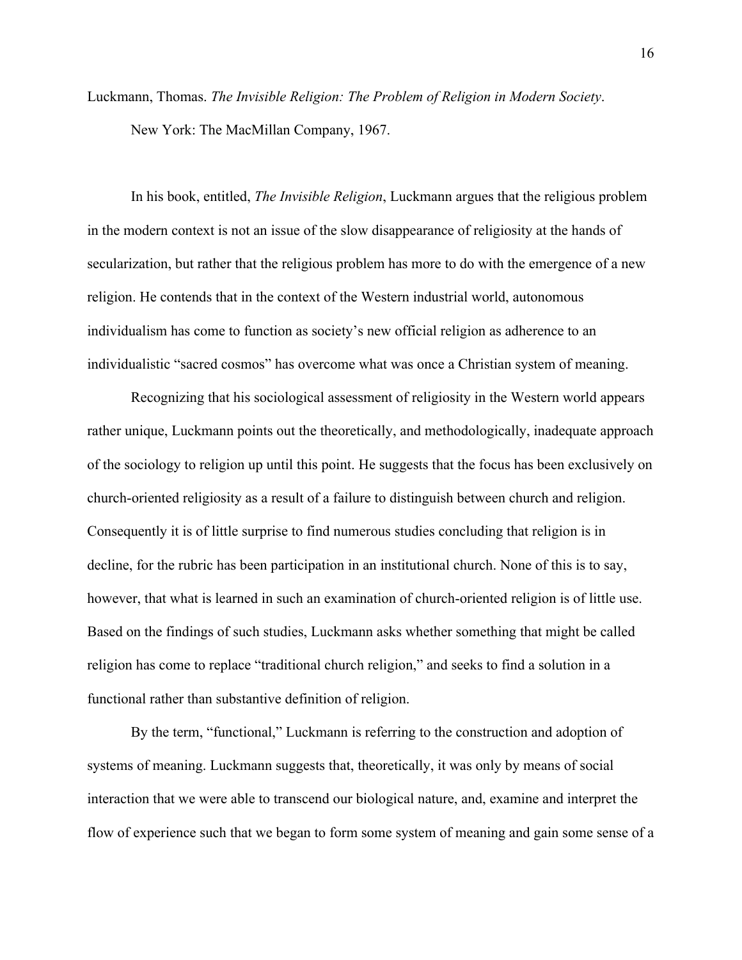Luckmann, Thomas. *The Invisible Religion: The Problem of Religion in Modern Society*. New York: The MacMillan Company, 1967.

In his book, entitled, *The Invisible Religion*, Luckmann argues that the religious problem in the modern context is not an issue of the slow disappearance of religiosity at the hands of secularization, but rather that the religious problem has more to do with the emergence of a new religion. He contends that in the context of the Western industrial world, autonomous individualism has come to function as society's new official religion as adherence to an individualistic "sacred cosmos" has overcome what was once a Christian system of meaning.

Recognizing that his sociological assessment of religiosity in the Western world appears rather unique, Luckmann points out the theoretically, and methodologically, inadequate approach of the sociology to religion up until this point. He suggests that the focus has been exclusively on church-oriented religiosity as a result of a failure to distinguish between church and religion. Consequently it is of little surprise to find numerous studies concluding that religion is in decline, for the rubric has been participation in an institutional church. None of this is to say, however, that what is learned in such an examination of church-oriented religion is of little use. Based on the findings of such studies, Luckmann asks whether something that might be called religion has come to replace "traditional church religion," and seeks to find a solution in a functional rather than substantive definition of religion.

By the term, "functional," Luckmann is referring to the construction and adoption of systems of meaning. Luckmann suggests that, theoretically, it was only by means of social interaction that we were able to transcend our biological nature, and, examine and interpret the flow of experience such that we began to form some system of meaning and gain some sense of a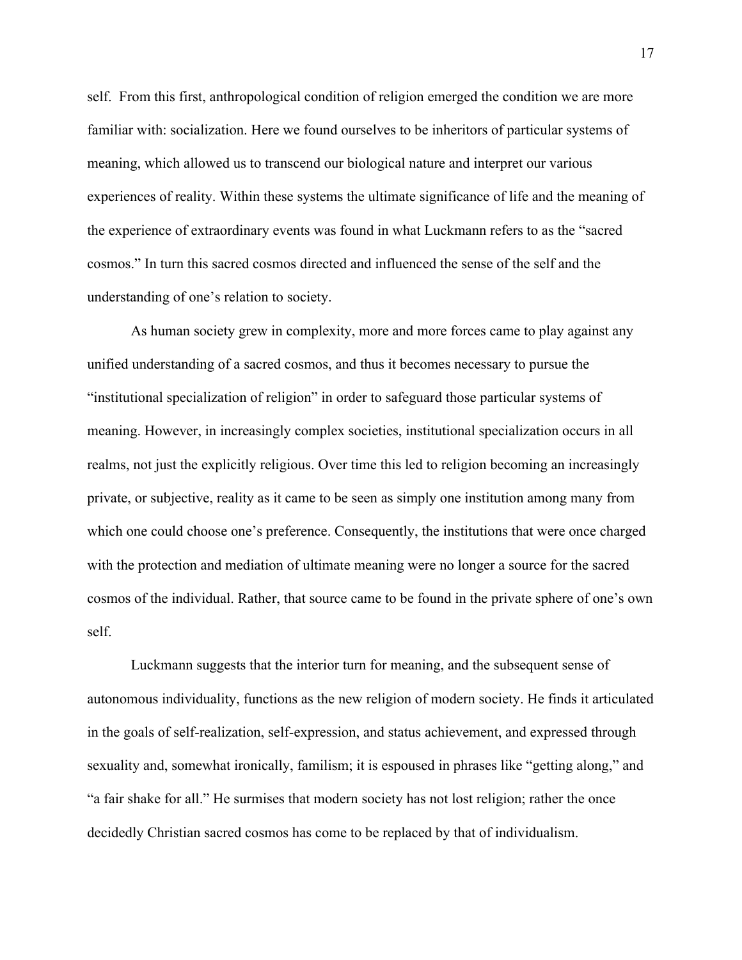self. From this first, anthropological condition of religion emerged the condition we are more familiar with: socialization. Here we found ourselves to be inheritors of particular systems of meaning, which allowed us to transcend our biological nature and interpret our various experiences of reality. Within these systems the ultimate significance of life and the meaning of the experience of extraordinary events was found in what Luckmann refers to as the "sacred cosmos." In turn this sacred cosmos directed and influenced the sense of the self and the understanding of one's relation to society.

As human society grew in complexity, more and more forces came to play against any unified understanding of a sacred cosmos, and thus it becomes necessary to pursue the "institutional specialization of religion" in order to safeguard those particular systems of meaning. However, in increasingly complex societies, institutional specialization occurs in all realms, not just the explicitly religious. Over time this led to religion becoming an increasingly private, or subjective, reality as it came to be seen as simply one institution among many from which one could choose one's preference. Consequently, the institutions that were once charged with the protection and mediation of ultimate meaning were no longer a source for the sacred cosmos of the individual. Rather, that source came to be found in the private sphere of one's own self.

Luckmann suggests that the interior turn for meaning, and the subsequent sense of autonomous individuality, functions as the new religion of modern society. He finds it articulated in the goals of self-realization, self-expression, and status achievement, and expressed through sexuality and, somewhat ironically, familism; it is espoused in phrases like "getting along," and "a fair shake for all." He surmises that modern society has not lost religion; rather the once decidedly Christian sacred cosmos has come to be replaced by that of individualism.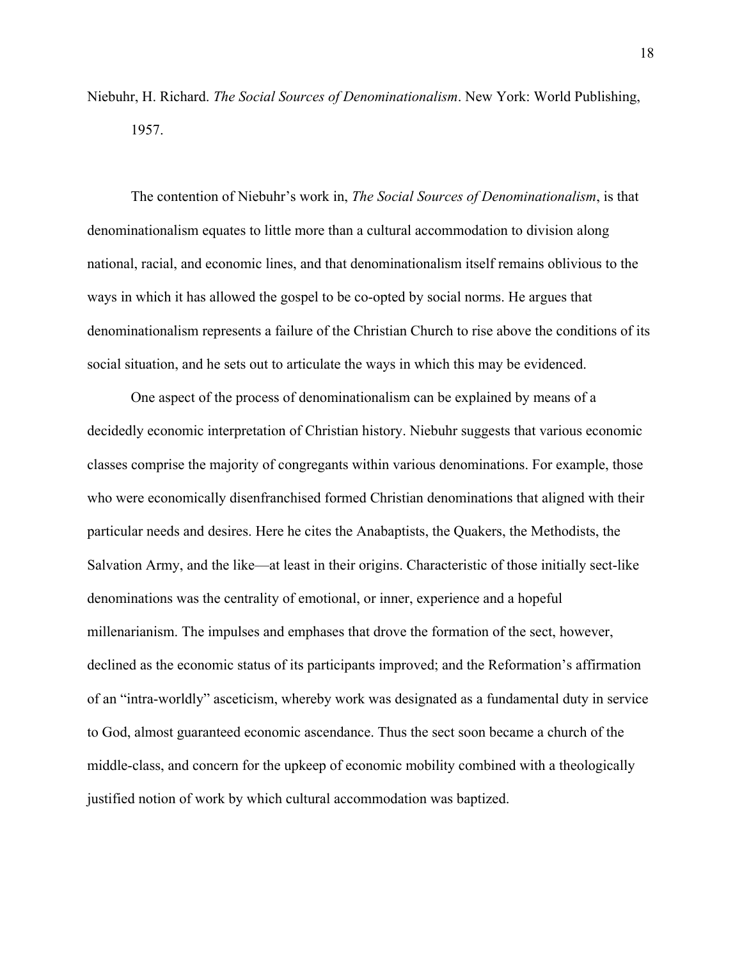Niebuhr, H. Richard. *The Social Sources of Denominationalism*. New York: World Publishing, 1957.

The contention of Niebuhr's work in, *The Social Sources of Denominationalism*, is that denominationalism equates to little more than a cultural accommodation to division along national, racial, and economic lines, and that denominationalism itself remains oblivious to the ways in which it has allowed the gospel to be co-opted by social norms. He argues that denominationalism represents a failure of the Christian Church to rise above the conditions of its social situation, and he sets out to articulate the ways in which this may be evidenced.

One aspect of the process of denominationalism can be explained by means of a decidedly economic interpretation of Christian history. Niebuhr suggests that various economic classes comprise the majority of congregants within various denominations. For example, those who were economically disenfranchised formed Christian denominations that aligned with their particular needs and desires. Here he cites the Anabaptists, the Quakers, the Methodists, the Salvation Army, and the like—at least in their origins. Characteristic of those initially sect-like denominations was the centrality of emotional, or inner, experience and a hopeful millenarianism. The impulses and emphases that drove the formation of the sect, however, declined as the economic status of its participants improved; and the Reformation's affirmation of an "intra-worldly" asceticism, whereby work was designated as a fundamental duty in service to God, almost guaranteed economic ascendance. Thus the sect soon became a church of the middle-class, and concern for the upkeep of economic mobility combined with a theologically justified notion of work by which cultural accommodation was baptized.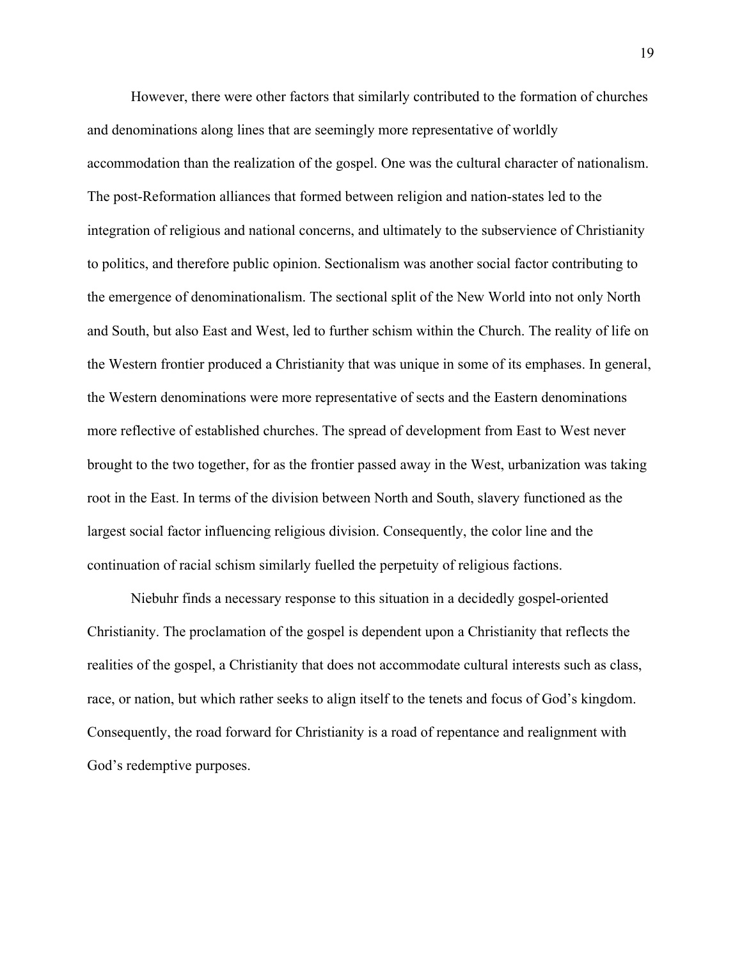However, there were other factors that similarly contributed to the formation of churches and denominations along lines that are seemingly more representative of worldly accommodation than the realization of the gospel. One was the cultural character of nationalism. The post-Reformation alliances that formed between religion and nation-states led to the integration of religious and national concerns, and ultimately to the subservience of Christianity to politics, and therefore public opinion. Sectionalism was another social factor contributing to the emergence of denominationalism. The sectional split of the New World into not only North and South, but also East and West, led to further schism within the Church. The reality of life on the Western frontier produced a Christianity that was unique in some of its emphases. In general, the Western denominations were more representative of sects and the Eastern denominations more reflective of established churches. The spread of development from East to West never brought to the two together, for as the frontier passed away in the West, urbanization was taking root in the East. In terms of the division between North and South, slavery functioned as the largest social factor influencing religious division. Consequently, the color line and the continuation of racial schism similarly fuelled the perpetuity of religious factions.

Niebuhr finds a necessary response to this situation in a decidedly gospel-oriented Christianity. The proclamation of the gospel is dependent upon a Christianity that reflects the realities of the gospel, a Christianity that does not accommodate cultural interests such as class, race, or nation, but which rather seeks to align itself to the tenets and focus of God's kingdom. Consequently, the road forward for Christianity is a road of repentance and realignment with God's redemptive purposes.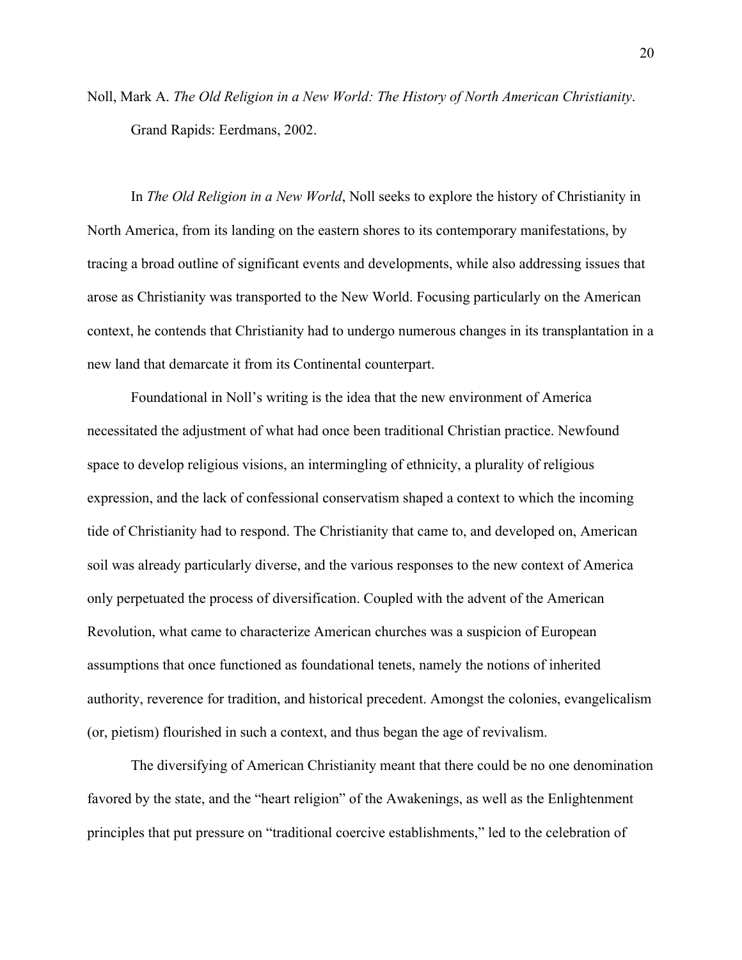Noll, Mark A. *The Old Religion in a New World: The History of North American Christianity*. Grand Rapids: Eerdmans, 2002.

In *The Old Religion in a New World*, Noll seeks to explore the history of Christianity in North America, from its landing on the eastern shores to its contemporary manifestations, by tracing a broad outline of significant events and developments, while also addressing issues that arose as Christianity was transported to the New World. Focusing particularly on the American context, he contends that Christianity had to undergo numerous changes in its transplantation in a new land that demarcate it from its Continental counterpart.

Foundational in Noll's writing is the idea that the new environment of America necessitated the adjustment of what had once been traditional Christian practice. Newfound space to develop religious visions, an intermingling of ethnicity, a plurality of religious expression, and the lack of confessional conservatism shaped a context to which the incoming tide of Christianity had to respond. The Christianity that came to, and developed on, American soil was already particularly diverse, and the various responses to the new context of America only perpetuated the process of diversification. Coupled with the advent of the American Revolution, what came to characterize American churches was a suspicion of European assumptions that once functioned as foundational tenets, namely the notions of inherited authority, reverence for tradition, and historical precedent. Amongst the colonies, evangelicalism (or, pietism) flourished in such a context, and thus began the age of revivalism.

The diversifying of American Christianity meant that there could be no one denomination favored by the state, and the "heart religion" of the Awakenings, as well as the Enlightenment principles that put pressure on "traditional coercive establishments," led to the celebration of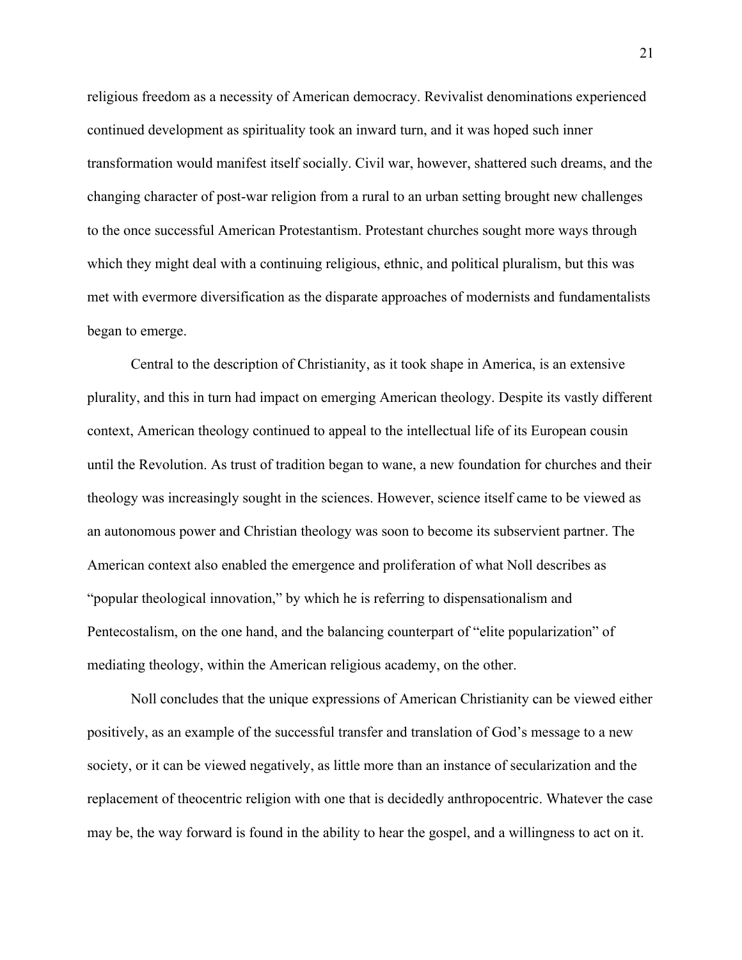religious freedom as a necessity of American democracy. Revivalist denominations experienced continued development as spirituality took an inward turn, and it was hoped such inner transformation would manifest itself socially. Civil war, however, shattered such dreams, and the changing character of post-war religion from a rural to an urban setting brought new challenges to the once successful American Protestantism. Protestant churches sought more ways through which they might deal with a continuing religious, ethnic, and political pluralism, but this was met with evermore diversification as the disparate approaches of modernists and fundamentalists began to emerge.

Central to the description of Christianity, as it took shape in America, is an extensive plurality, and this in turn had impact on emerging American theology. Despite its vastly different context, American theology continued to appeal to the intellectual life of its European cousin until the Revolution. As trust of tradition began to wane, a new foundation for churches and their theology was increasingly sought in the sciences. However, science itself came to be viewed as an autonomous power and Christian theology was soon to become its subservient partner. The American context also enabled the emergence and proliferation of what Noll describes as "popular theological innovation," by which he is referring to dispensationalism and Pentecostalism, on the one hand, and the balancing counterpart of "elite popularization" of mediating theology, within the American religious academy, on the other.

Noll concludes that the unique expressions of American Christianity can be viewed either positively, as an example of the successful transfer and translation of God's message to a new society, or it can be viewed negatively, as little more than an instance of secularization and the replacement of theocentric religion with one that is decidedly anthropocentric. Whatever the case may be, the way forward is found in the ability to hear the gospel, and a willingness to act on it.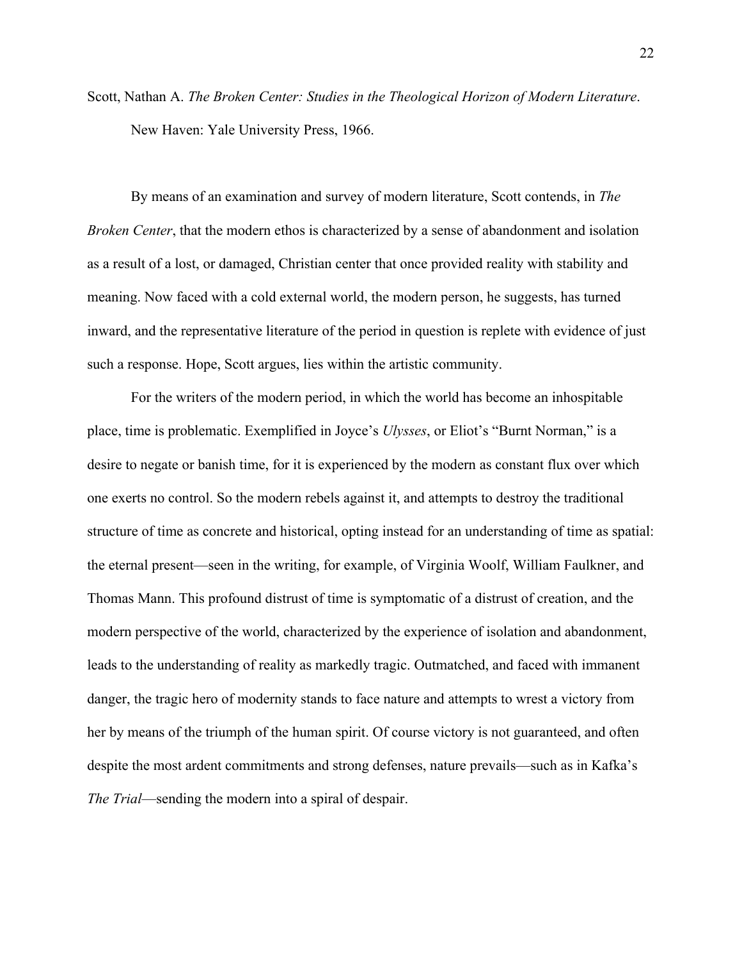Scott, Nathan A. *The Broken Center: Studies in the Theological Horizon of Modern Literature*. New Haven: Yale University Press, 1966.

By means of an examination and survey of modern literature, Scott contends, in *The Broken Center*, that the modern ethos is characterized by a sense of abandonment and isolation as a result of a lost, or damaged, Christian center that once provided reality with stability and meaning. Now faced with a cold external world, the modern person, he suggests, has turned inward, and the representative literature of the period in question is replete with evidence of just such a response. Hope, Scott argues, lies within the artistic community.

For the writers of the modern period, in which the world has become an inhospitable place, time is problematic. Exemplified in Joyce's *Ulysses*, or Eliot's "Burnt Norman," is a desire to negate or banish time, for it is experienced by the modern as constant flux over which one exerts no control. So the modern rebels against it, and attempts to destroy the traditional structure of time as concrete and historical, opting instead for an understanding of time as spatial: the eternal present—seen in the writing, for example, of Virginia Woolf, William Faulkner, and Thomas Mann. This profound distrust of time is symptomatic of a distrust of creation, and the modern perspective of the world, characterized by the experience of isolation and abandonment, leads to the understanding of reality as markedly tragic. Outmatched, and faced with immanent danger, the tragic hero of modernity stands to face nature and attempts to wrest a victory from her by means of the triumph of the human spirit. Of course victory is not guaranteed, and often despite the most ardent commitments and strong defenses, nature prevails—such as in Kafka's *The Trial*—sending the modern into a spiral of despair.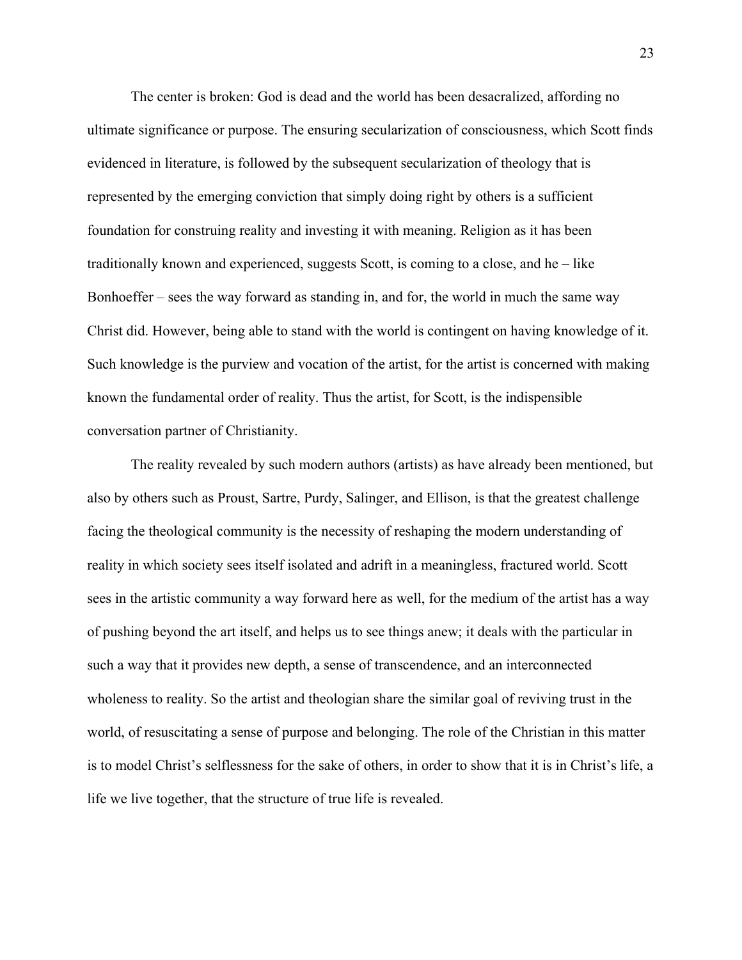The center is broken: God is dead and the world has been desacralized, affording no ultimate significance or purpose. The ensuring secularization of consciousness, which Scott finds evidenced in literature, is followed by the subsequent secularization of theology that is represented by the emerging conviction that simply doing right by others is a sufficient foundation for construing reality and investing it with meaning. Religion as it has been traditionally known and experienced, suggests Scott, is coming to a close, and he – like Bonhoeffer – sees the way forward as standing in, and for, the world in much the same way Christ did. However, being able to stand with the world is contingent on having knowledge of it. Such knowledge is the purview and vocation of the artist, for the artist is concerned with making known the fundamental order of reality. Thus the artist, for Scott, is the indispensible conversation partner of Christianity.

The reality revealed by such modern authors (artists) as have already been mentioned, but also by others such as Proust, Sartre, Purdy, Salinger, and Ellison, is that the greatest challenge facing the theological community is the necessity of reshaping the modern understanding of reality in which society sees itself isolated and adrift in a meaningless, fractured world. Scott sees in the artistic community a way forward here as well, for the medium of the artist has a way of pushing beyond the art itself, and helps us to see things anew; it deals with the particular in such a way that it provides new depth, a sense of transcendence, and an interconnected wholeness to reality. So the artist and theologian share the similar goal of reviving trust in the world, of resuscitating a sense of purpose and belonging. The role of the Christian in this matter is to model Christ's selflessness for the sake of others, in order to show that it is in Christ's life, a life we live together, that the structure of true life is revealed.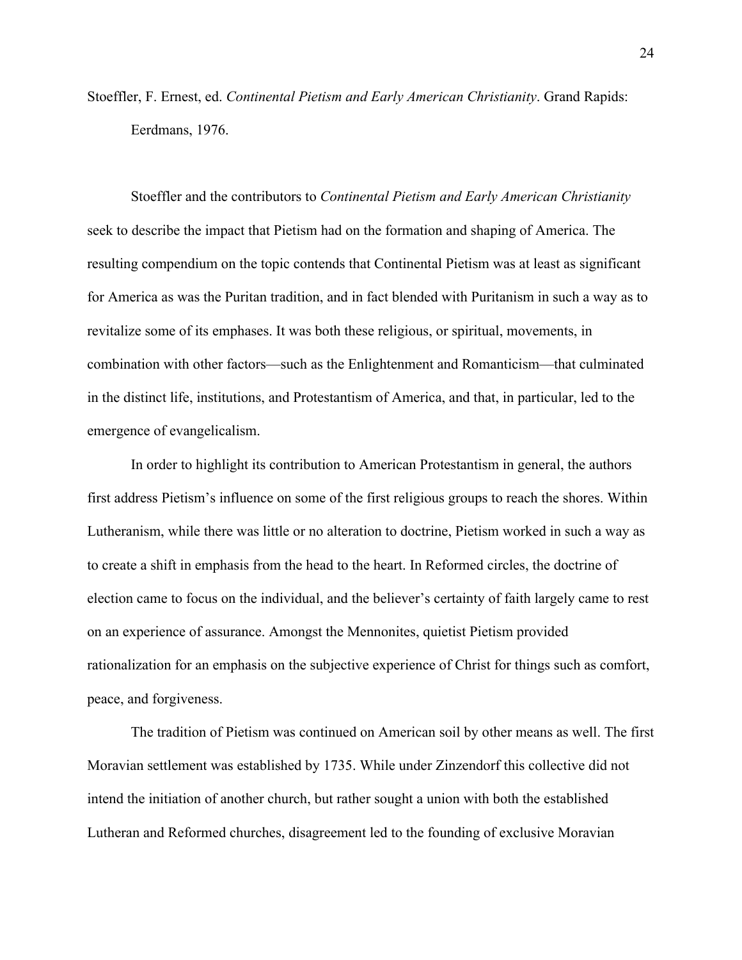Stoeffler, F. Ernest, ed. *Continental Pietism and Early American Christianity*. Grand Rapids: Eerdmans, 1976.

Stoeffler and the contributors to *Continental Pietism and Early American Christianity* seek to describe the impact that Pietism had on the formation and shaping of America. The resulting compendium on the topic contends that Continental Pietism was at least as significant for America as was the Puritan tradition, and in fact blended with Puritanism in such a way as to revitalize some of its emphases. It was both these religious, or spiritual, movements, in combination with other factors—such as the Enlightenment and Romanticism—that culminated in the distinct life, institutions, and Protestantism of America, and that, in particular, led to the emergence of evangelicalism.

In order to highlight its contribution to American Protestantism in general, the authors first address Pietism's influence on some of the first religious groups to reach the shores. Within Lutheranism, while there was little or no alteration to doctrine, Pietism worked in such a way as to create a shift in emphasis from the head to the heart. In Reformed circles, the doctrine of election came to focus on the individual, and the believer's certainty of faith largely came to rest on an experience of assurance. Amongst the Mennonites, quietist Pietism provided rationalization for an emphasis on the subjective experience of Christ for things such as comfort, peace, and forgiveness.

The tradition of Pietism was continued on American soil by other means as well. The first Moravian settlement was established by 1735. While under Zinzendorf this collective did not intend the initiation of another church, but rather sought a union with both the established Lutheran and Reformed churches, disagreement led to the founding of exclusive Moravian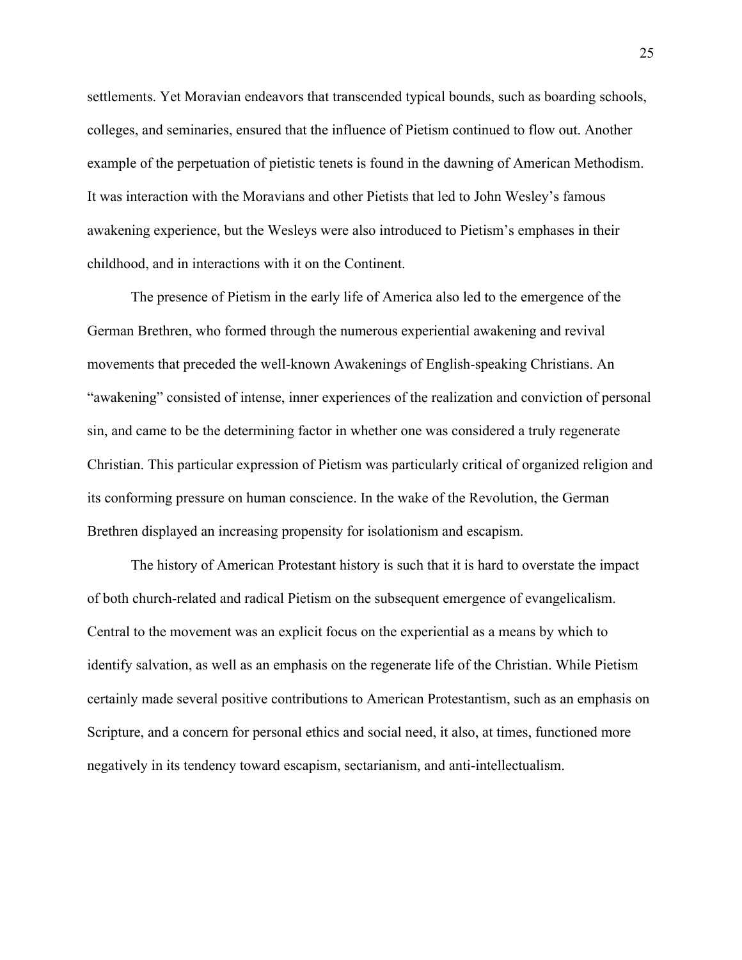settlements. Yet Moravian endeavors that transcended typical bounds, such as boarding schools, colleges, and seminaries, ensured that the influence of Pietism continued to flow out. Another example of the perpetuation of pietistic tenets is found in the dawning of American Methodism. It was interaction with the Moravians and other Pietists that led to John Wesley's famous awakening experience, but the Wesleys were also introduced to Pietism's emphases in their childhood, and in interactions with it on the Continent.

The presence of Pietism in the early life of America also led to the emergence of the German Brethren, who formed through the numerous experiential awakening and revival movements that preceded the well-known Awakenings of English-speaking Christians. An "awakening" consisted of intense, inner experiences of the realization and conviction of personal sin, and came to be the determining factor in whether one was considered a truly regenerate Christian. This particular expression of Pietism was particularly critical of organized religion and its conforming pressure on human conscience. In the wake of the Revolution, the German Brethren displayed an increasing propensity for isolationism and escapism.

The history of American Protestant history is such that it is hard to overstate the impact of both church-related and radical Pietism on the subsequent emergence of evangelicalism. Central to the movement was an explicit focus on the experiential as a means by which to identify salvation, as well as an emphasis on the regenerate life of the Christian. While Pietism certainly made several positive contributions to American Protestantism, such as an emphasis on Scripture, and a concern for personal ethics and social need, it also, at times, functioned more negatively in its tendency toward escapism, sectarianism, and anti-intellectualism.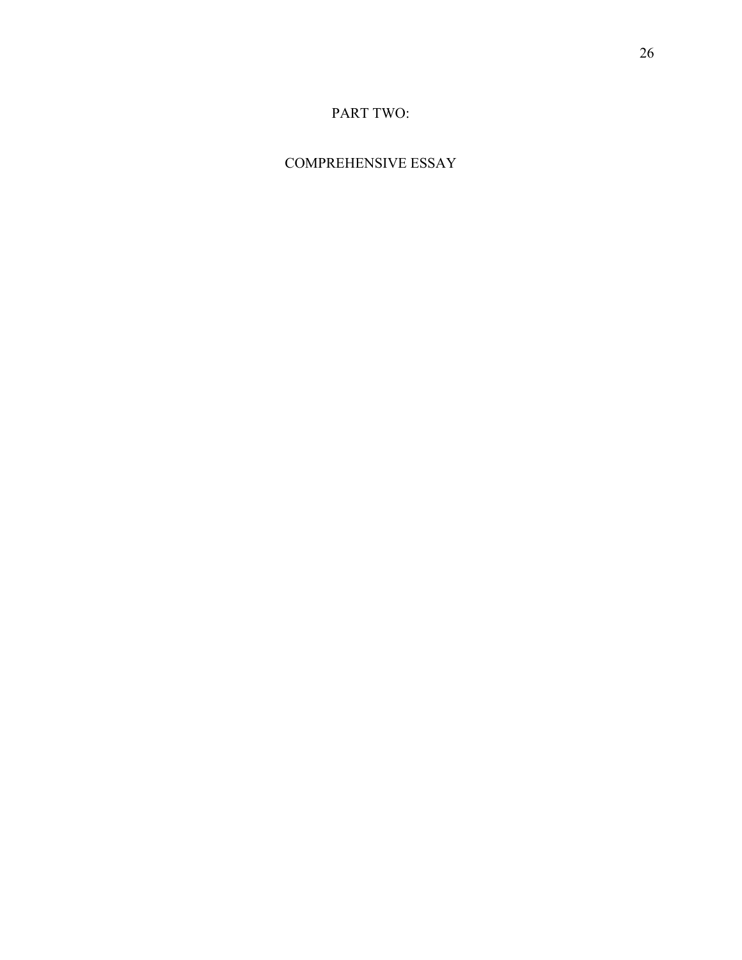## PART TWO:

## COMPREHENSIVE ESSAY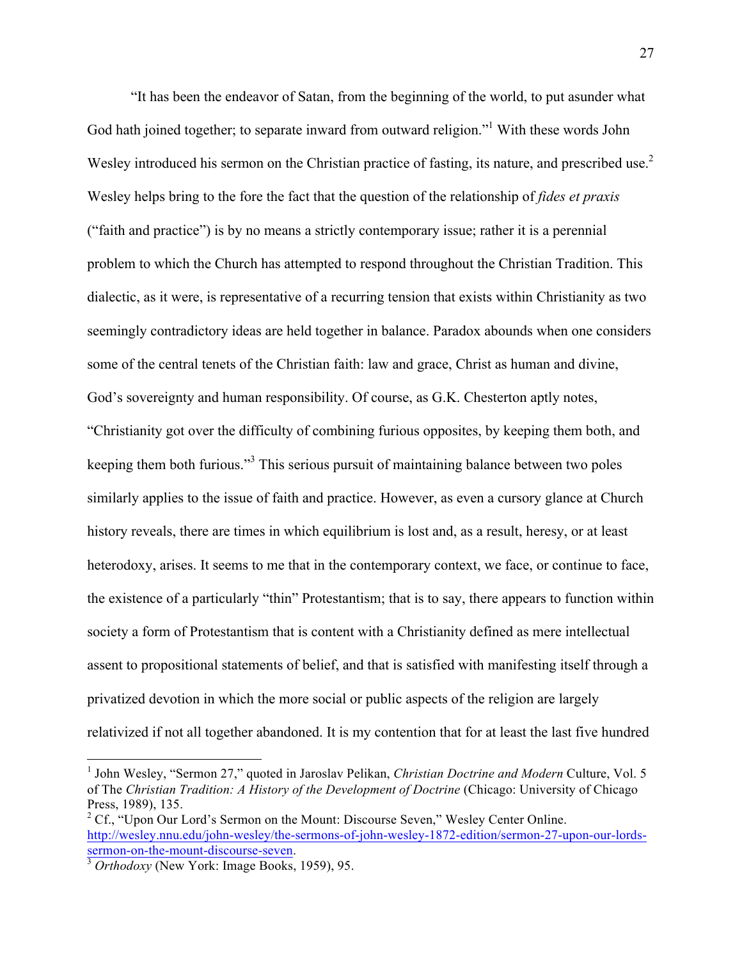"It has been the endeavor of Satan, from the beginning of the world, to put asunder what God hath joined together; to separate inward from outward religion."<sup>1</sup> With these words John Wesley introduced his sermon on the Christian practice of fasting, its nature, and prescribed use.<sup>2</sup> Wesley helps bring to the fore the fact that the question of the relationship of *fides et praxis*  ("faith and practice") is by no means a strictly contemporary issue; rather it is a perennial problem to which the Church has attempted to respond throughout the Christian Tradition. This dialectic, as it were, is representative of a recurring tension that exists within Christianity as two seemingly contradictory ideas are held together in balance. Paradox abounds when one considers some of the central tenets of the Christian faith: law and grace, Christ as human and divine, God's sovereignty and human responsibility. Of course, as G.K. Chesterton aptly notes, "Christianity got over the difficulty of combining furious opposites, by keeping them both, and keeping them both furious."3 This serious pursuit of maintaining balance between two poles similarly applies to the issue of faith and practice. However, as even a cursory glance at Church history reveals, there are times in which equilibrium is lost and, as a result, heresy, or at least heterodoxy, arises. It seems to me that in the contemporary context, we face, or continue to face, the existence of a particularly "thin" Protestantism; that is to say, there appears to function within society a form of Protestantism that is content with a Christianity defined as mere intellectual assent to propositional statements of belief, and that is satisfied with manifesting itself through a privatized devotion in which the more social or public aspects of the religion are largely relativized if not all together abandoned. It is my contention that for at least the last five hundred

 <sup>1</sup> John Wesley, "Sermon 27," quoted in Jaroslav Pelikan, *Christian Doctrine and Modern* Culture, Vol. 5 of The *Christian Tradition: A History of the Development of Doctrine* (Chicago: University of Chicago Press, 1989), 135.

<sup>&</sup>lt;sup>2</sup> Cf., "Upon Our Lord's Sermon on the Mount: Discourse Seven," Wesley Center Online. http://wesley.nnu.edu/john-wesley/the-sermons-of-john-wesley-1872-edition/sermon-27-upon-our-lordssermon-on-the-mount-discourse-seven. <sup>3</sup> *Orthodoxy* (New York: Image Books, 1959), 95.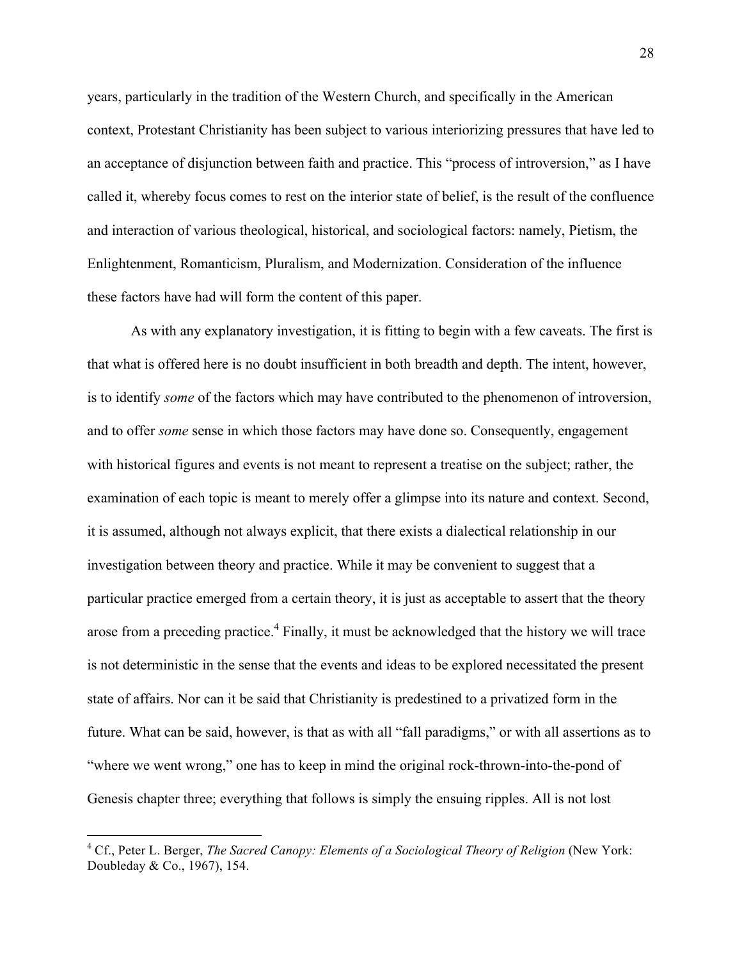years, particularly in the tradition of the Western Church, and specifically in the American context, Protestant Christianity has been subject to various interiorizing pressures that have led to an acceptance of disjunction between faith and practice. This "process of introversion," as I have called it, whereby focus comes to rest on the interior state of belief, is the result of the confluence and interaction of various theological, historical, and sociological factors: namely, Pietism, the Enlightenment, Romanticism, Pluralism, and Modernization. Consideration of the influence these factors have had will form the content of this paper.

As with any explanatory investigation, it is fitting to begin with a few caveats. The first is that what is offered here is no doubt insufficient in both breadth and depth. The intent, however, is to identify *some* of the factors which may have contributed to the phenomenon of introversion, and to offer *some* sense in which those factors may have done so. Consequently, engagement with historical figures and events is not meant to represent a treatise on the subject; rather, the examination of each topic is meant to merely offer a glimpse into its nature and context. Second, it is assumed, although not always explicit, that there exists a dialectical relationship in our investigation between theory and practice. While it may be convenient to suggest that a particular practice emerged from a certain theory, it is just as acceptable to assert that the theory arose from a preceding practice.<sup>4</sup> Finally, it must be acknowledged that the history we will trace is not deterministic in the sense that the events and ideas to be explored necessitated the present state of affairs. Nor can it be said that Christianity is predestined to a privatized form in the future. What can be said, however, is that as with all "fall paradigms," or with all assertions as to "where we went wrong," one has to keep in mind the original rock-thrown-into-the-pond of Genesis chapter three; everything that follows is simply the ensuing ripples. All is not lost

 <sup>4</sup> Cf., Peter L. Berger, *The Sacred Canopy: Elements of a Sociological Theory of Religion* (New York: Doubleday & Co., 1967), 154.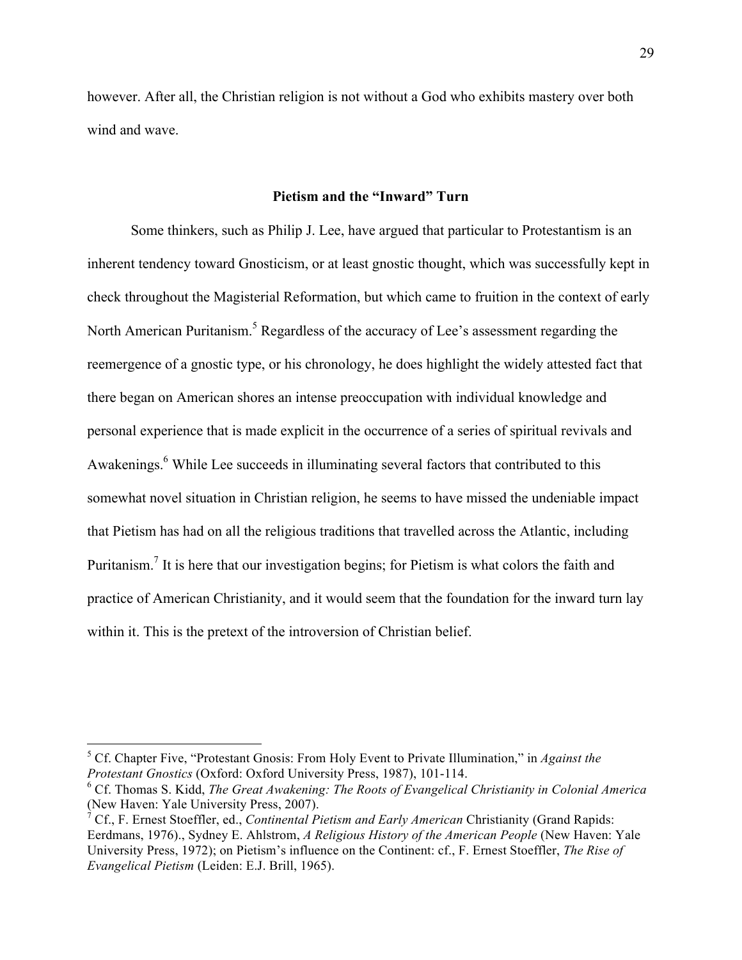however. After all, the Christian religion is not without a God who exhibits mastery over both wind and wave.

#### **Pietism and the "Inward" Turn**

Some thinkers, such as Philip J. Lee, have argued that particular to Protestantism is an inherent tendency toward Gnosticism, or at least gnostic thought, which was successfully kept in check throughout the Magisterial Reformation, but which came to fruition in the context of early North American Puritanism.<sup>5</sup> Regardless of the accuracy of Lee's assessment regarding the reemergence of a gnostic type, or his chronology, he does highlight the widely attested fact that there began on American shores an intense preoccupation with individual knowledge and personal experience that is made explicit in the occurrence of a series of spiritual revivals and Awakenings.<sup>6</sup> While Lee succeeds in illuminating several factors that contributed to this somewhat novel situation in Christian religion, he seems to have missed the undeniable impact that Pietism has had on all the religious traditions that travelled across the Atlantic, including Puritanism.<sup>7</sup> It is here that our investigation begins; for Pietism is what colors the faith and practice of American Christianity, and it would seem that the foundation for the inward turn lay within it. This is the pretext of the introversion of Christian belief.

 <sup>5</sup> Cf. Chapter Five, "Protestant Gnosis: From Holy Event to Private Illumination," in *Against the Protestant Gnostics* (Oxford: Oxford University Press, 1987), 101-114.

<sup>6</sup> Cf. Thomas S. Kidd, *The Great Awakening: The Roots of Evangelical Christianity in Colonial America* (New Haven: Yale University Press, 2007).

<sup>7</sup> Cf., F. Ernest Stoeffler, ed., *Continental Pietism and Early American* Christianity (Grand Rapids: Eerdmans, 1976)., Sydney E. Ahlstrom, *A Religious History of the American People* (New Haven: Yale University Press, 1972); on Pietism's influence on the Continent: cf., F. Ernest Stoeffler, *The Rise of Evangelical Pietism* (Leiden: E.J. Brill, 1965).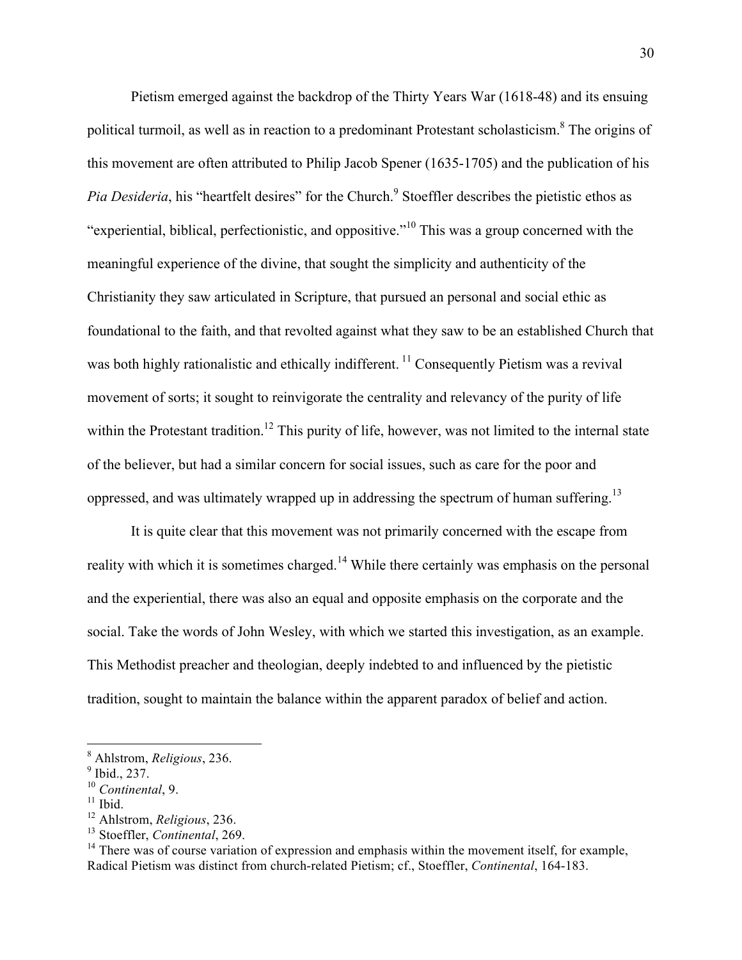Pietism emerged against the backdrop of the Thirty Years War (1618-48) and its ensuing political turmoil, as well as in reaction to a predominant Protestant scholasticism.8 The origins of this movement are often attributed to Philip Jacob Spener (1635-1705) and the publication of his *Pia Desideria*, his "heartfelt desires" for the Church.<sup>9</sup> Stoeffler describes the pietistic ethos as "experiential, biblical, perfectionistic, and oppositive."<sup>10</sup> This was a group concerned with the meaningful experience of the divine, that sought the simplicity and authenticity of the Christianity they saw articulated in Scripture, that pursued an personal and social ethic as foundational to the faith, and that revolted against what they saw to be an established Church that was both highly rationalistic and ethically indifferent.<sup>11</sup> Consequently Pietism was a revival movement of sorts; it sought to reinvigorate the centrality and relevancy of the purity of life within the Protestant tradition.<sup>12</sup> This purity of life, however, was not limited to the internal state of the believer, but had a similar concern for social issues, such as care for the poor and oppressed, and was ultimately wrapped up in addressing the spectrum of human suffering.<sup>13</sup>

It is quite clear that this movement was not primarily concerned with the escape from reality with which it is sometimes charged.<sup>14</sup> While there certainly was emphasis on the personal and the experiential, there was also an equal and opposite emphasis on the corporate and the social. Take the words of John Wesley, with which we started this investigation, as an example. This Methodist preacher and theologian, deeply indebted to and influenced by the pietistic tradition, sought to maintain the balance within the apparent paradox of belief and action.

 <sup>8</sup> Ahlstrom, *Religious*, 236.

 $9$  Ibid., 237.

<sup>10</sup> *Continental*, 9.

 $11$  Ibid.

<sup>12</sup> Ahlstrom, *Religious*, 236.

<sup>13</sup> Stoeffler, *Continental*, 269.

 $14$  There was of course variation of expression and emphasis within the movement itself, for example, Radical Pietism was distinct from church-related Pietism; cf., Stoeffler, *Continental*, 164-183.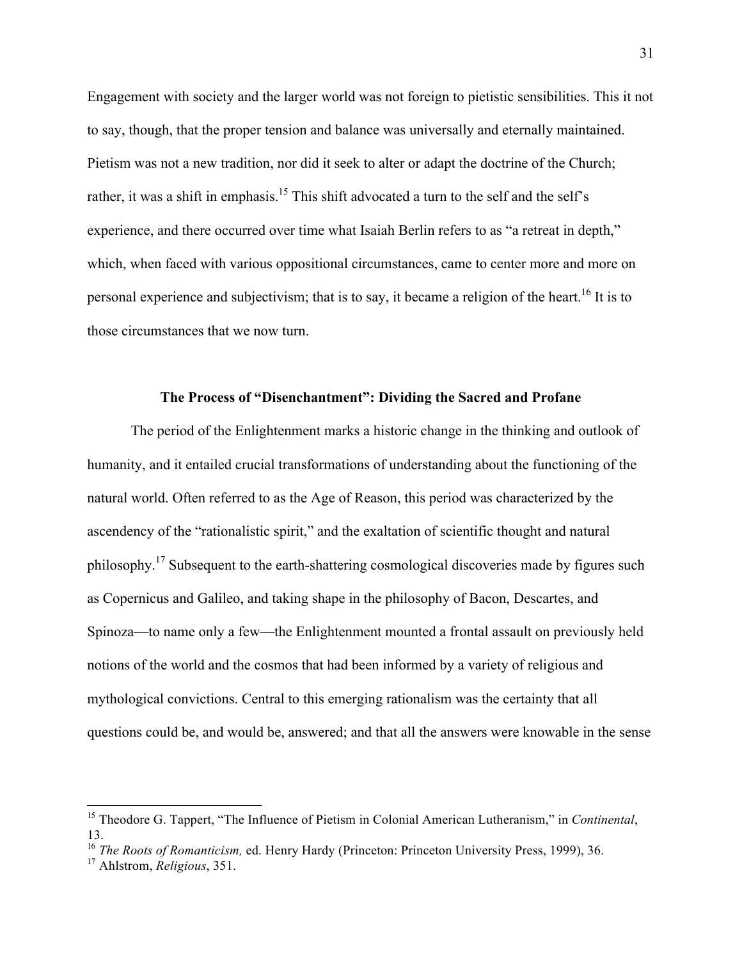Engagement with society and the larger world was not foreign to pietistic sensibilities. This it not to say, though, that the proper tension and balance was universally and eternally maintained. Pietism was not a new tradition, nor did it seek to alter or adapt the doctrine of the Church; rather, it was a shift in emphasis.<sup>15</sup> This shift advocated a turn to the self and the self's experience, and there occurred over time what Isaiah Berlin refers to as "a retreat in depth," which, when faced with various oppositional circumstances, came to center more and more on personal experience and subjectivism; that is to say, it became a religion of the heart.<sup>16</sup> It is to those circumstances that we now turn.

#### **The Process of "Disenchantment": Dividing the Sacred and Profane**

The period of the Enlightenment marks a historic change in the thinking and outlook of humanity, and it entailed crucial transformations of understanding about the functioning of the natural world. Often referred to as the Age of Reason, this period was characterized by the ascendency of the "rationalistic spirit," and the exaltation of scientific thought and natural philosophy.<sup>17</sup> Subsequent to the earth-shattering cosmological discoveries made by figures such as Copernicus and Galileo, and taking shape in the philosophy of Bacon, Descartes, and Spinoza—to name only a few—the Enlightenment mounted a frontal assault on previously held notions of the world and the cosmos that had been informed by a variety of religious and mythological convictions. Central to this emerging rationalism was the certainty that all questions could be, and would be, answered; and that all the answers were knowable in the sense

 <sup>15</sup> Theodore G. Tappert, "The Influence of Pietism in Colonial American Lutheranism," in *Continental*, 13.

<sup>&</sup>lt;sup>16</sup> *The Roots of Romanticism, ed. Henry Hardy (Princeton: Princeton University Press, 1999), 36.* 

<sup>17</sup> Ahlstrom, *Religious*, 351.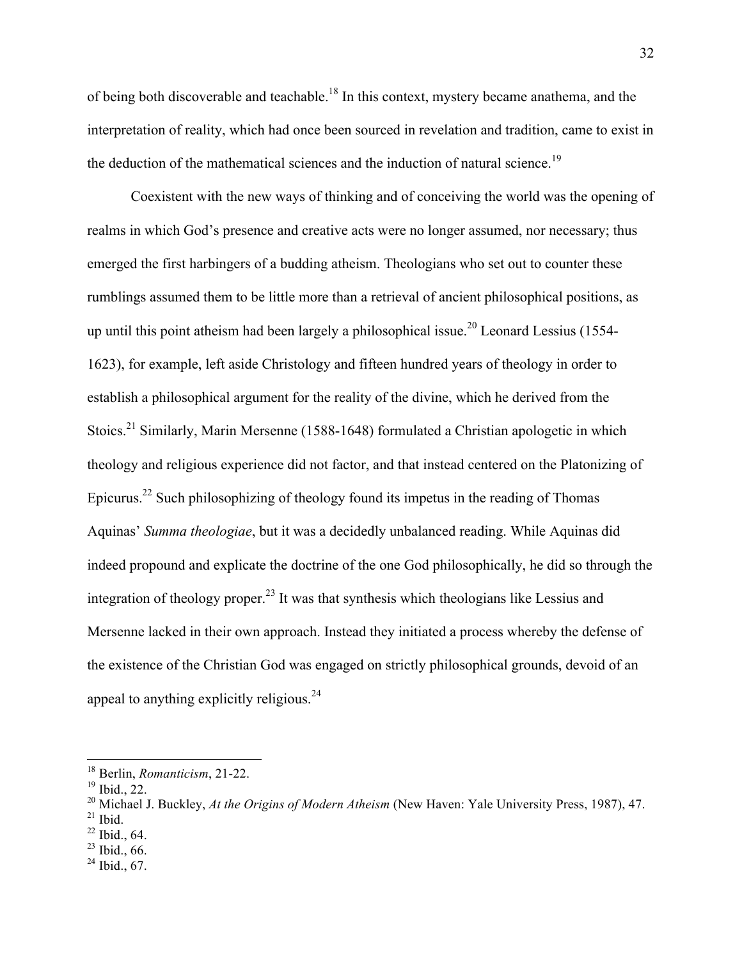of being both discoverable and teachable.18 In this context, mystery became anathema, and the interpretation of reality, which had once been sourced in revelation and tradition, came to exist in the deduction of the mathematical sciences and the induction of natural science.<sup>19</sup>

Coexistent with the new ways of thinking and of conceiving the world was the opening of realms in which God's presence and creative acts were no longer assumed, nor necessary; thus emerged the first harbingers of a budding atheism. Theologians who set out to counter these rumblings assumed them to be little more than a retrieval of ancient philosophical positions, as up until this point atheism had been largely a philosophical issue.<sup>20</sup> Leonard Lessius (1554-1623), for example, left aside Christology and fifteen hundred years of theology in order to establish a philosophical argument for the reality of the divine, which he derived from the Stoics.<sup>21</sup> Similarly, Marin Mersenne (1588-1648) formulated a Christian apologetic in which theology and religious experience did not factor, and that instead centered on the Platonizing of Epicurus.<sup>22</sup> Such philosophizing of theology found its impetus in the reading of Thomas Aquinas' *Summa theologiae*, but it was a decidedly unbalanced reading. While Aquinas did indeed propound and explicate the doctrine of the one God philosophically, he did so through the integration of theology proper.<sup>23</sup> It was that synthesis which theologians like Lessius and Mersenne lacked in their own approach. Instead they initiated a process whereby the defense of the existence of the Christian God was engaged on strictly philosophical grounds, devoid of an appeal to anything explicitly religious.<sup>24</sup>

 $23$  Ibid., 66.

 <sup>18</sup> Berlin, *Romanticism*, 21-22.

<sup>19</sup> Ibid., 22.

<sup>20</sup> Michael J. Buckley, *At the Origins of Modern Atheism* (New Haven: Yale University Press, 1987), 47.

 $21$  Ibid.

 $22$  Ibid., 64.

 $^{24}$  Ibid., 67.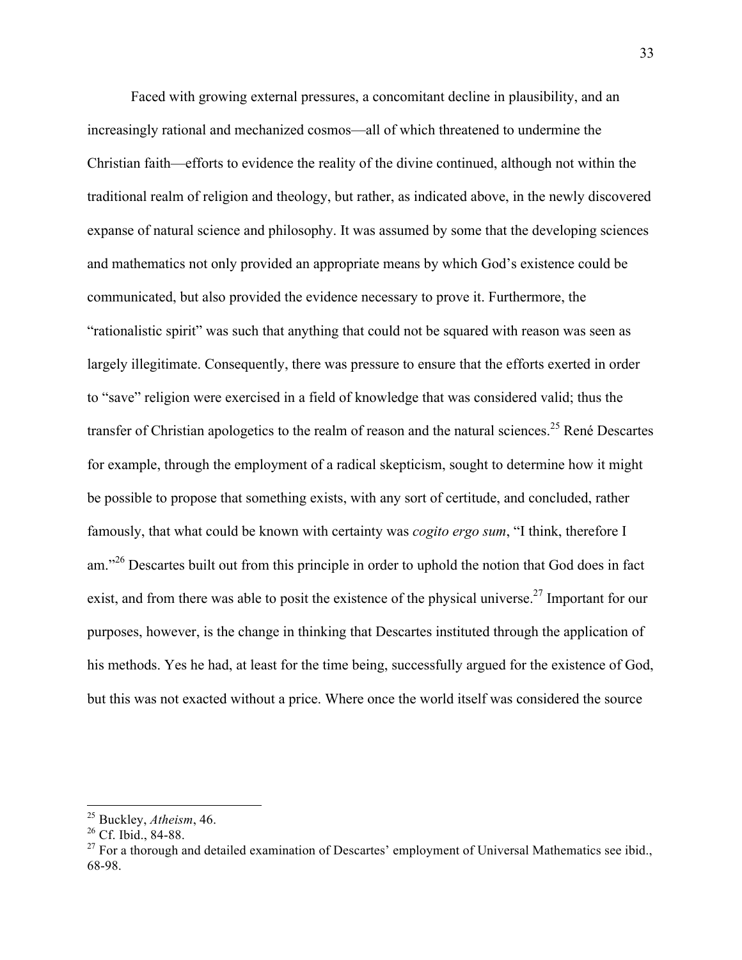Faced with growing external pressures, a concomitant decline in plausibility, and an increasingly rational and mechanized cosmos—all of which threatened to undermine the Christian faith—efforts to evidence the reality of the divine continued, although not within the traditional realm of religion and theology, but rather, as indicated above, in the newly discovered expanse of natural science and philosophy. It was assumed by some that the developing sciences and mathematics not only provided an appropriate means by which God's existence could be communicated, but also provided the evidence necessary to prove it. Furthermore, the "rationalistic spirit" was such that anything that could not be squared with reason was seen as largely illegitimate. Consequently, there was pressure to ensure that the efforts exerted in order to "save" religion were exercised in a field of knowledge that was considered valid; thus the transfer of Christian apologetics to the realm of reason and the natural sciences.<sup>25</sup> René Descartes for example, through the employment of a radical skepticism, sought to determine how it might be possible to propose that something exists, with any sort of certitude, and concluded, rather famously, that what could be known with certainty was *cogito ergo sum*, "I think, therefore I am."<sup>26</sup> Descartes built out from this principle in order to uphold the notion that God does in fact exist, and from there was able to posit the existence of the physical universe.<sup>27</sup> Important for our purposes, however, is the change in thinking that Descartes instituted through the application of his methods. Yes he had, at least for the time being, successfully argued for the existence of God, but this was not exacted without a price. Where once the world itself was considered the source

 <sup>25</sup> Buckley, *Atheism*, 46.

<sup>&</sup>lt;sup>26</sup> Cf. Ibid., 84-88.

 $27$  For a thorough and detailed examination of Descartes' employment of Universal Mathematics see ibid. 68-98.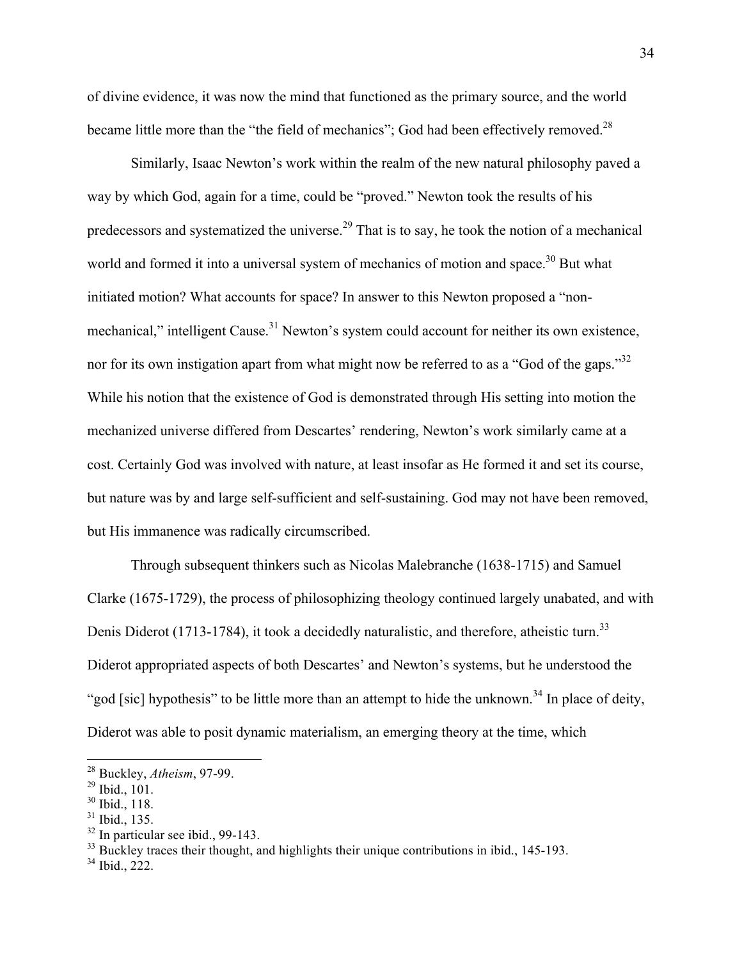of divine evidence, it was now the mind that functioned as the primary source, and the world became little more than the "the field of mechanics"; God had been effectively removed.<sup>28</sup>

Similarly, Isaac Newton's work within the realm of the new natural philosophy paved a way by which God, again for a time, could be "proved." Newton took the results of his predecessors and systematized the universe.<sup>29</sup> That is to say, he took the notion of a mechanical world and formed it into a universal system of mechanics of motion and space.<sup>30</sup> But what initiated motion? What accounts for space? In answer to this Newton proposed a "nonmechanical," intelligent Cause.<sup>31</sup> Newton's system could account for neither its own existence, nor for its own instigation apart from what might now be referred to as a "God of the gaps."<sup>32</sup> While his notion that the existence of God is demonstrated through His setting into motion the mechanized universe differed from Descartes' rendering, Newton's work similarly came at a cost. Certainly God was involved with nature, at least insofar as He formed it and set its course, but nature was by and large self-sufficient and self-sustaining. God may not have been removed, but His immanence was radically circumscribed.

Through subsequent thinkers such as Nicolas Malebranche (1638-1715) and Samuel Clarke (1675-1729), the process of philosophizing theology continued largely unabated, and with Denis Diderot (1713-1784), it took a decidedly naturalistic, and therefore, atheistic turn.<sup>33</sup> Diderot appropriated aspects of both Descartes' and Newton's systems, but he understood the "god [sic] hypothesis" to be little more than an attempt to hide the unknown.<sup>34</sup> In place of deity, Diderot was able to posit dynamic materialism, an emerging theory at the time, which

 <sup>28</sup> Buckley, *Atheism*, 97-99.

<sup>29</sup> Ibid., 101.

<sup>30</sup> Ibid., 118.

<sup>31</sup> Ibid., 135.

 $32$  In particular see ibid., 99-143.

 $33$  Buckley traces their thought, and highlights their unique contributions in ibid., 145-193.

<sup>34</sup> Ibid., 222.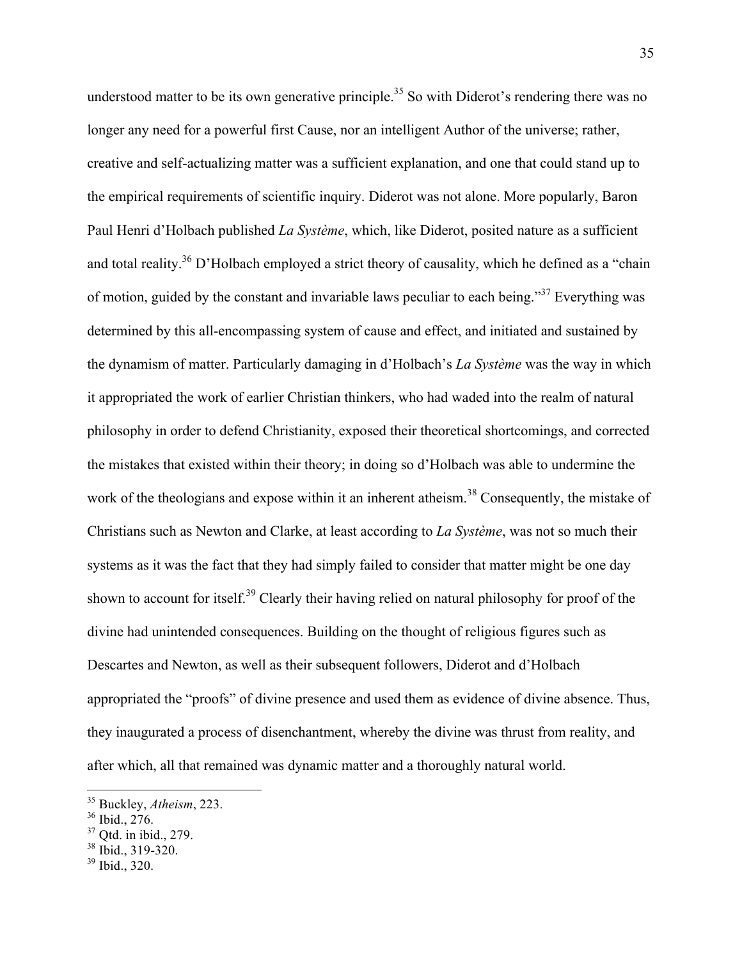understood matter to be its own generative principle.<sup>35</sup> So with Diderot's rendering there was no longer any need for a powerful first Cause, nor an intelligent Author of the universe; rather, creative and self-actualizing matter was a sufficient explanation, and one that could stand up to the empirical requirements of scientific inquiry. Diderot was not alone. More popularly, Baron Paul Henri d'Holbach published *La Système*, which, like Diderot, posited nature as a sufficient and total reality.<sup>36</sup> D'Holbach employed a strict theory of causality, which he defined as a "chain" of motion, guided by the constant and invariable laws peculiar to each being."<sup>37</sup> Everything was determined by this all-encompassing system of cause and effect, and initiated and sustained by the dynamism of matter. Particularly damaging in d'Holbach's *La Système* was the way in which it appropriated the work of earlier Christian thinkers, who had waded into the realm of natural philosophy in order to defend Christianity, exposed their theoretical shortcomings, and corrected the mistakes that existed within their theory; in doing so d'Holbach was able to undermine the work of the theologians and expose within it an inherent atheism.<sup>38</sup> Consequently, the mistake of Christians such as Newton and Clarke, at least according to *La Système*, was not so much their systems as it was the fact that they had simply failed to consider that matter might be one day shown to account for itself.<sup>39</sup> Clearly their having relied on natural philosophy for proof of the divine had unintended consequences. Building on the thought of religious figures such as Descartes and Newton, as well as their subsequent followers, Diderot and d'Holbach appropriated the "proofs" of divine presence and used them as evidence of divine absence. Thus, they inaugurated a process of disenchantment, whereby the divine was thrust from reality, and after which, all that remained was dynamic matter and a thoroughly natural world.

 <sup>35</sup> Buckley, *Atheism*, 223.

<sup>36</sup> Ibid., 276.

 $37$  Otd. in ibid., 279.

<sup>&</sup>lt;sup>38</sup> Ibid., 319-320.

<sup>39</sup> Ibid., 320.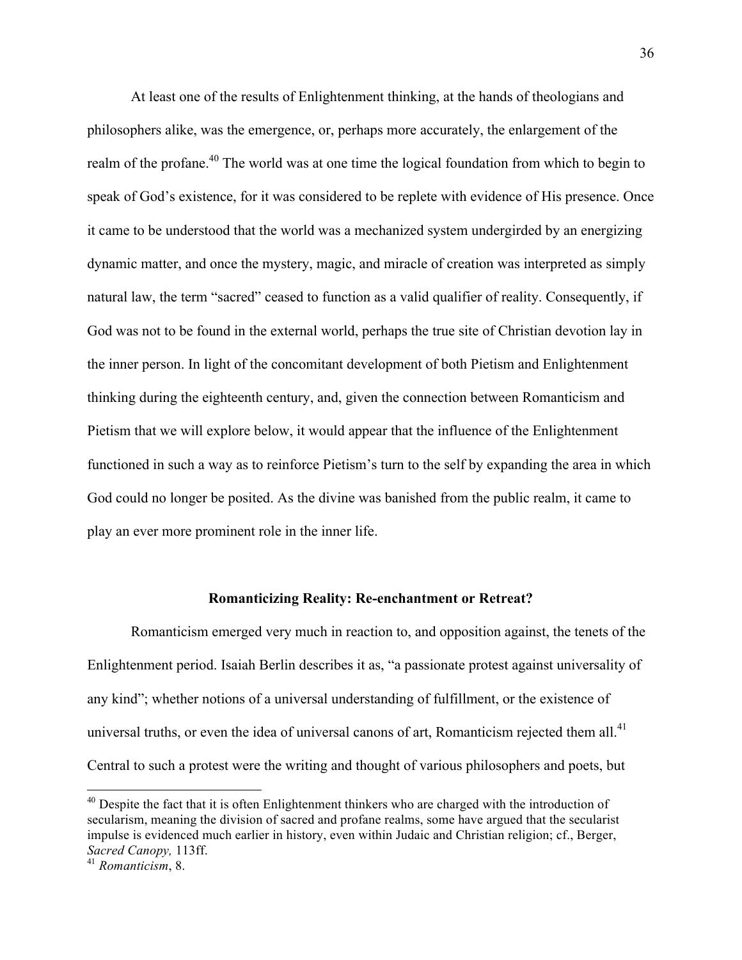At least one of the results of Enlightenment thinking, at the hands of theologians and philosophers alike, was the emergence, or, perhaps more accurately, the enlargement of the realm of the profane.<sup>40</sup> The world was at one time the logical foundation from which to begin to speak of God's existence, for it was considered to be replete with evidence of His presence. Once it came to be understood that the world was a mechanized system undergirded by an energizing dynamic matter, and once the mystery, magic, and miracle of creation was interpreted as simply natural law, the term "sacred" ceased to function as a valid qualifier of reality. Consequently, if God was not to be found in the external world, perhaps the true site of Christian devotion lay in the inner person. In light of the concomitant development of both Pietism and Enlightenment thinking during the eighteenth century, and, given the connection between Romanticism and Pietism that we will explore below, it would appear that the influence of the Enlightenment functioned in such a way as to reinforce Pietism's turn to the self by expanding the area in which God could no longer be posited. As the divine was banished from the public realm, it came to play an ever more prominent role in the inner life.

#### **Romanticizing Reality: Re-enchantment or Retreat?**

Romanticism emerged very much in reaction to, and opposition against, the tenets of the Enlightenment period. Isaiah Berlin describes it as, "a passionate protest against universality of any kind"; whether notions of a universal understanding of fulfillment, or the existence of universal truths, or even the idea of universal canons of art, Romanticism rejected them all. $^{41}$ Central to such a protest were the writing and thought of various philosophers and poets, but

<sup>&</sup>lt;sup>40</sup> Despite the fact that it is often Enlightenment thinkers who are charged with the introduction of secularism, meaning the division of sacred and profane realms, some have argued that the secularist impulse is evidenced much earlier in history, even within Judaic and Christian religion; cf., Berger, *Sacred Canopy,* 113ff.

<sup>41</sup> *Romanticism*, 8.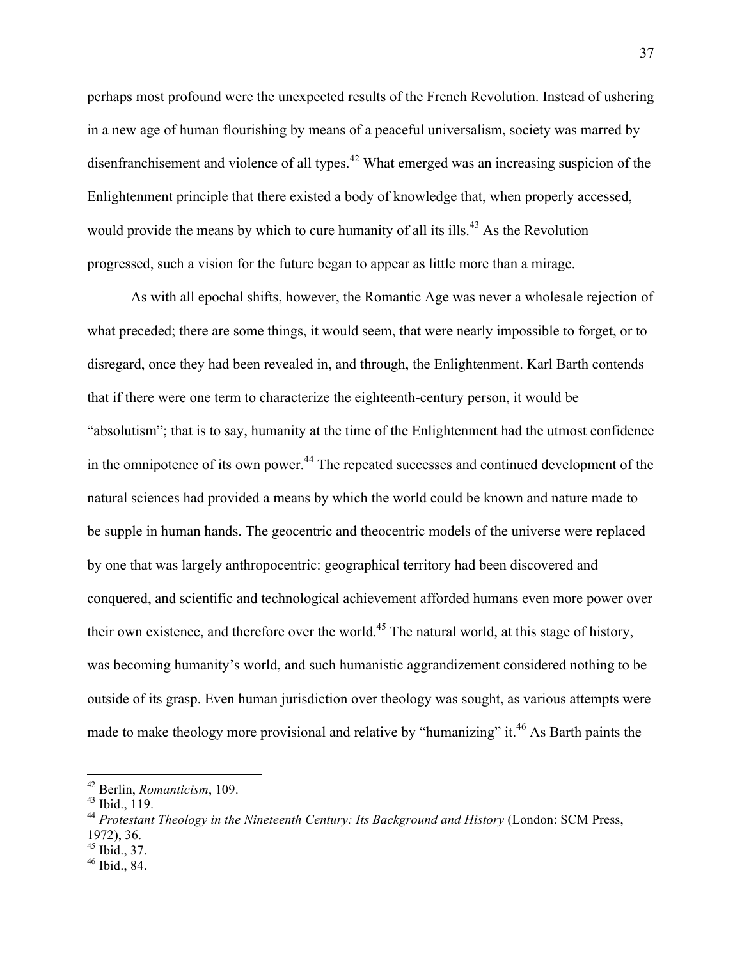perhaps most profound were the unexpected results of the French Revolution. Instead of ushering in a new age of human flourishing by means of a peaceful universalism, society was marred by disenfranchisement and violence of all types.<sup>42</sup> What emerged was an increasing suspicion of the Enlightenment principle that there existed a body of knowledge that, when properly accessed, would provide the means by which to cure humanity of all its ills.<sup>43</sup> As the Revolution progressed, such a vision for the future began to appear as little more than a mirage.

As with all epochal shifts, however, the Romantic Age was never a wholesale rejection of what preceded; there are some things, it would seem, that were nearly impossible to forget, or to disregard, once they had been revealed in, and through, the Enlightenment. Karl Barth contends that if there were one term to characterize the eighteenth-century person, it would be "absolutism"; that is to say, humanity at the time of the Enlightenment had the utmost confidence in the omnipotence of its own power.<sup>44</sup> The repeated successes and continued development of the natural sciences had provided a means by which the world could be known and nature made to be supple in human hands. The geocentric and theocentric models of the universe were replaced by one that was largely anthropocentric: geographical territory had been discovered and conquered, and scientific and technological achievement afforded humans even more power over their own existence, and therefore over the world.<sup>45</sup> The natural world, at this stage of history, was becoming humanity's world, and such humanistic aggrandizement considered nothing to be outside of its grasp. Even human jurisdiction over theology was sought, as various attempts were made to make theology more provisional and relative by "humanizing" it.<sup>46</sup> As Barth paints the

<sup>45</sup> Ibid., 37.

 <sup>42</sup> Berlin, *Romanticism*, 109.

<sup>43</sup> Ibid., 119.

<sup>44</sup> *Protestant Theology in the Nineteenth Century: Its Background and History* (London: SCM Press, 1972), 36.

<sup>46</sup> Ibid., 84.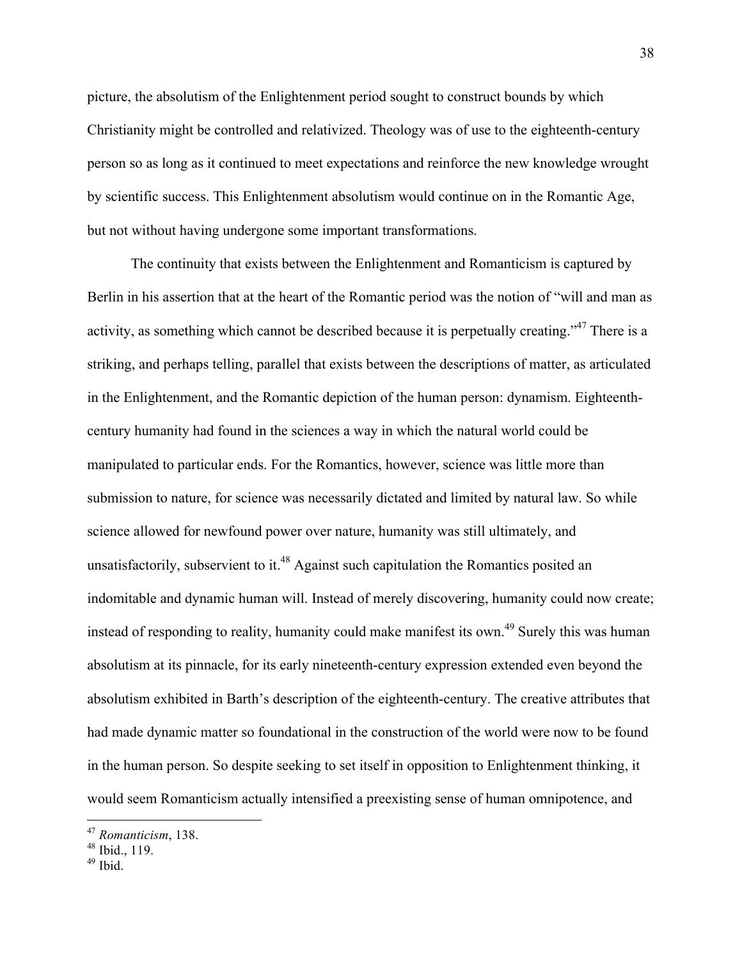picture, the absolutism of the Enlightenment period sought to construct bounds by which Christianity might be controlled and relativized. Theology was of use to the eighteenth-century person so as long as it continued to meet expectations and reinforce the new knowledge wrought by scientific success. This Enlightenment absolutism would continue on in the Romantic Age, but not without having undergone some important transformations.

The continuity that exists between the Enlightenment and Romanticism is captured by Berlin in his assertion that at the heart of the Romantic period was the notion of "will and man as activity, as something which cannot be described because it is perpetually creating."<sup>47</sup> There is a striking, and perhaps telling, parallel that exists between the descriptions of matter, as articulated in the Enlightenment, and the Romantic depiction of the human person: dynamism. Eighteenthcentury humanity had found in the sciences a way in which the natural world could be manipulated to particular ends. For the Romantics, however, science was little more than submission to nature, for science was necessarily dictated and limited by natural law. So while science allowed for newfound power over nature, humanity was still ultimately, and unsatisfactorily, subservient to it.<sup>48</sup> Against such capitulation the Romantics posited an indomitable and dynamic human will. Instead of merely discovering, humanity could now create; instead of responding to reality, humanity could make manifest its own.<sup>49</sup> Surely this was human absolutism at its pinnacle, for its early nineteenth-century expression extended even beyond the absolutism exhibited in Barth's description of the eighteenth-century. The creative attributes that had made dynamic matter so foundational in the construction of the world were now to be found in the human person. So despite seeking to set itself in opposition to Enlightenment thinking, it would seem Romanticism actually intensified a preexisting sense of human omnipotence, and

 <sup>47</sup> *Romanticism*, 138.

 $48$  Ibid., 119.

 $49$  Ibid.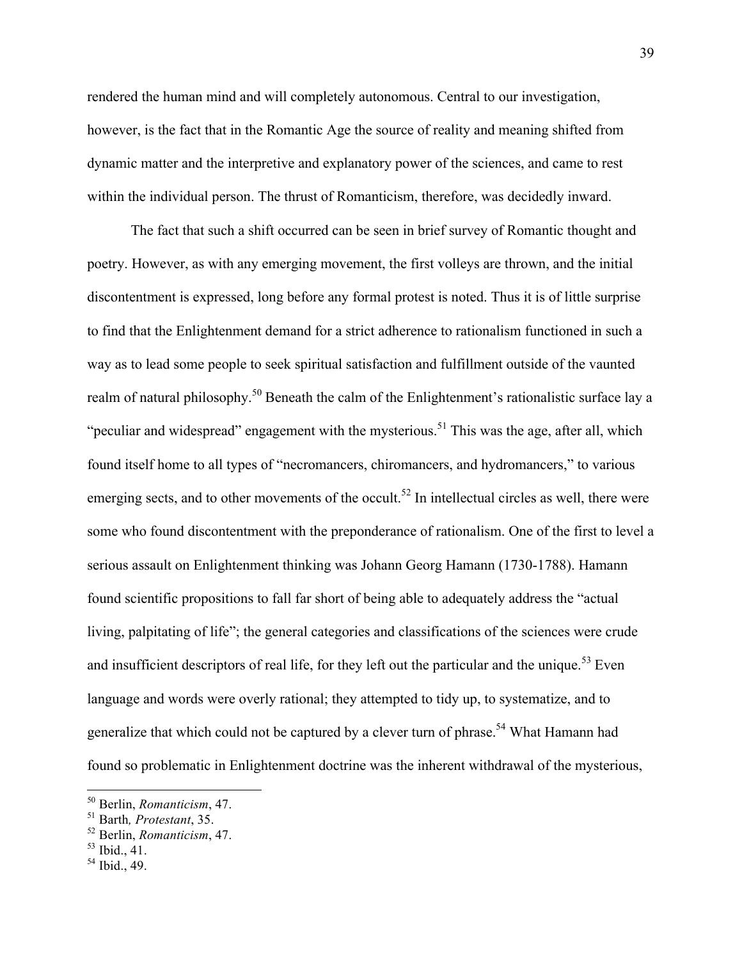rendered the human mind and will completely autonomous. Central to our investigation, however, is the fact that in the Romantic Age the source of reality and meaning shifted from dynamic matter and the interpretive and explanatory power of the sciences, and came to rest within the individual person. The thrust of Romanticism, therefore, was decidedly inward.

The fact that such a shift occurred can be seen in brief survey of Romantic thought and poetry. However, as with any emerging movement, the first volleys are thrown, and the initial discontentment is expressed, long before any formal protest is noted. Thus it is of little surprise to find that the Enlightenment demand for a strict adherence to rationalism functioned in such a way as to lead some people to seek spiritual satisfaction and fulfillment outside of the vaunted realm of natural philosophy.<sup>50</sup> Beneath the calm of the Enlightenment's rationalistic surface lay a "peculiar and widespread" engagement with the mysterious.<sup>51</sup> This was the age, after all, which found itself home to all types of "necromancers, chiromancers, and hydromancers," to various emerging sects, and to other movements of the occult.<sup>52</sup> In intellectual circles as well, there were some who found discontentment with the preponderance of rationalism. One of the first to level a serious assault on Enlightenment thinking was Johann Georg Hamann (1730-1788). Hamann found scientific propositions to fall far short of being able to adequately address the "actual living, palpitating of life"; the general categories and classifications of the sciences were crude and insufficient descriptors of real life, for they left out the particular and the unique.<sup>53</sup> Even language and words were overly rational; they attempted to tidy up, to systematize, and to generalize that which could not be captured by a clever turn of phrase.<sup>54</sup> What Hamann had found so problematic in Enlightenment doctrine was the inherent withdrawal of the mysterious,

 <sup>50</sup> Berlin, *Romanticism*, 47.

<sup>51</sup> Barth*, Protestant*, 35.

<sup>52</sup> Berlin, *Romanticism*, 47.

 $53$  Ibid., 41.

 $^{54}$  Ibid., 49.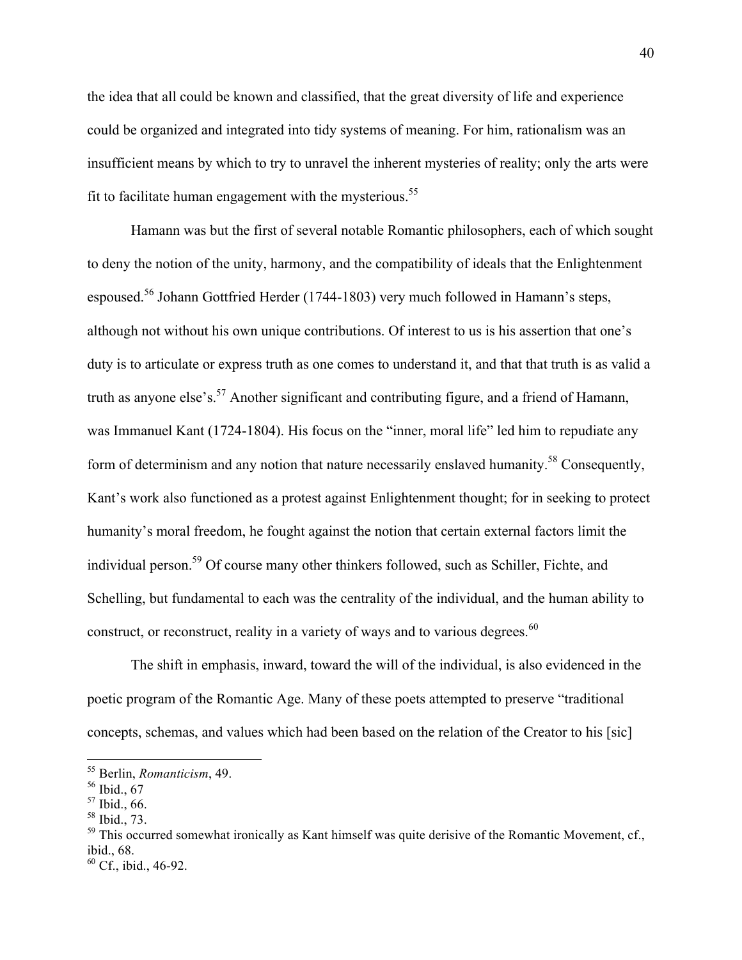the idea that all could be known and classified, that the great diversity of life and experience could be organized and integrated into tidy systems of meaning. For him, rationalism was an insufficient means by which to try to unravel the inherent mysteries of reality; only the arts were fit to facilitate human engagement with the mysterious.<sup>55</sup>

Hamann was but the first of several notable Romantic philosophers, each of which sought to deny the notion of the unity, harmony, and the compatibility of ideals that the Enlightenment espoused.<sup>56</sup> Johann Gottfried Herder (1744-1803) very much followed in Hamann's steps, although not without his own unique contributions. Of interest to us is his assertion that one's duty is to articulate or express truth as one comes to understand it, and that that truth is as valid a truth as anyone else's.<sup>57</sup> Another significant and contributing figure, and a friend of Hamann, was Immanuel Kant (1724-1804). His focus on the "inner, moral life" led him to repudiate any form of determinism and any notion that nature necessarily enslaved humanity.<sup>58</sup> Consequently, Kant's work also functioned as a protest against Enlightenment thought; for in seeking to protect humanity's moral freedom, he fought against the notion that certain external factors limit the individual person.59 Of course many other thinkers followed, such as Schiller, Fichte, and Schelling, but fundamental to each was the centrality of the individual, and the human ability to construct, or reconstruct, reality in a variety of ways and to various degrees.<sup>60</sup>

The shift in emphasis, inward, toward the will of the individual, is also evidenced in the poetic program of the Romantic Age. Many of these poets attempted to preserve "traditional concepts, schemas, and values which had been based on the relation of the Creator to his [sic]

 <sup>55</sup> Berlin, *Romanticism*, 49.

<sup>56</sup> Ibid., 67

<sup>57</sup> Ibid., 66.

<sup>58</sup> Ibid., 73.

 $59$  This occurred somewhat ironically as Kant himself was quite derisive of the Romantic Movement, cf., ibid., 68.

<sup>60</sup> Cf., ibid., 46-92.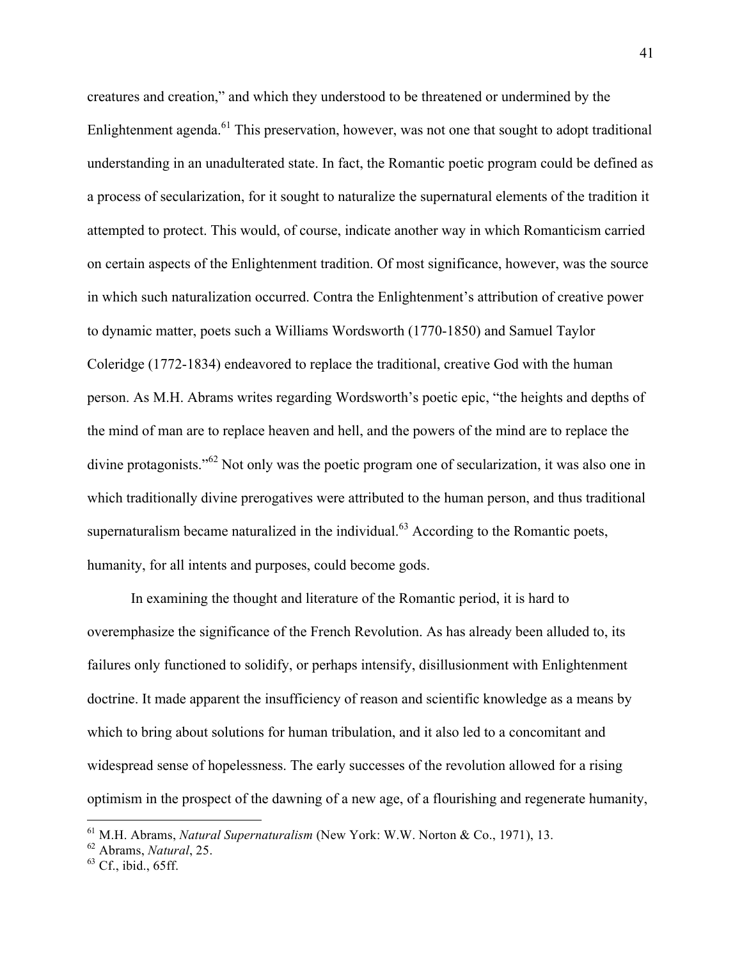creatures and creation," and which they understood to be threatened or undermined by the Enlightenment agenda.<sup>61</sup> This preservation, however, was not one that sought to adopt traditional understanding in an unadulterated state. In fact, the Romantic poetic program could be defined as a process of secularization, for it sought to naturalize the supernatural elements of the tradition it attempted to protect. This would, of course, indicate another way in which Romanticism carried on certain aspects of the Enlightenment tradition. Of most significance, however, was the source in which such naturalization occurred. Contra the Enlightenment's attribution of creative power to dynamic matter, poets such a Williams Wordsworth (1770-1850) and Samuel Taylor Coleridge (1772-1834) endeavored to replace the traditional, creative God with the human person. As M.H. Abrams writes regarding Wordsworth's poetic epic, "the heights and depths of the mind of man are to replace heaven and hell, and the powers of the mind are to replace the divine protagonists."<sup>62</sup> Not only was the poetic program one of secularization, it was also one in which traditionally divine prerogatives were attributed to the human person, and thus traditional supernaturalism became naturalized in the individual. $63$  According to the Romantic poets, humanity, for all intents and purposes, could become gods.

In examining the thought and literature of the Romantic period, it is hard to overemphasize the significance of the French Revolution. As has already been alluded to, its failures only functioned to solidify, or perhaps intensify, disillusionment with Enlightenment doctrine. It made apparent the insufficiency of reason and scientific knowledge as a means by which to bring about solutions for human tribulation, and it also led to a concomitant and widespread sense of hopelessness. The early successes of the revolution allowed for a rising optimism in the prospect of the dawning of a new age, of a flourishing and regenerate humanity,

 <sup>61</sup> M.H. Abrams, *Natural Supernaturalism* (New York: W.W. Norton & Co., 1971), 13.

<sup>62</sup> Abrams, *Natural*, 25.

<sup>63</sup> Cf., ibid., 65ff.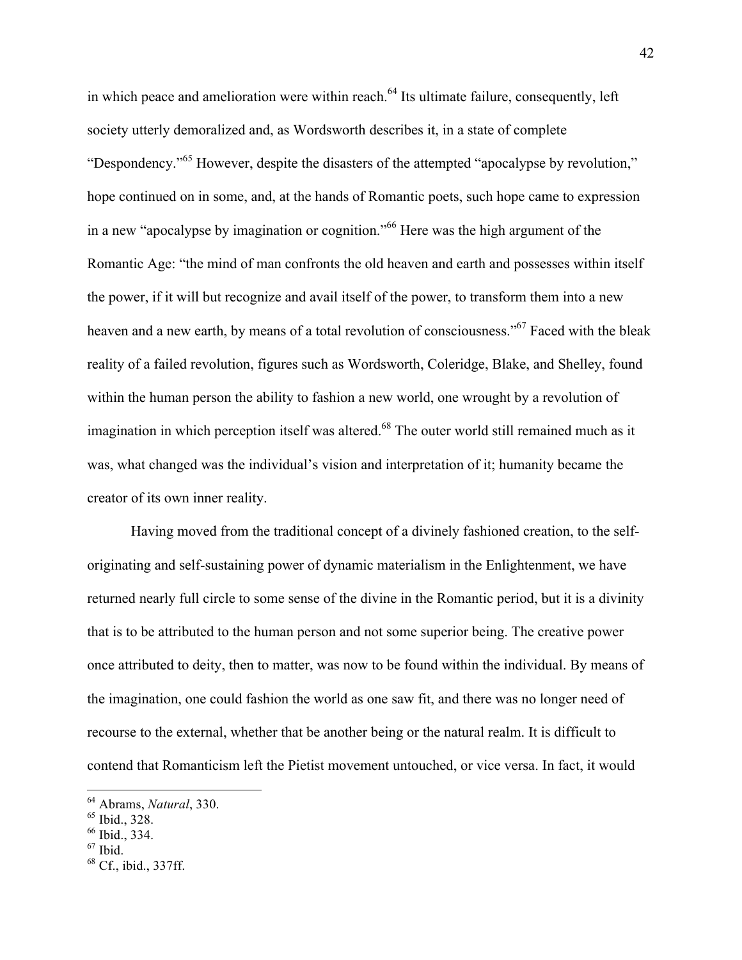in which peace and amelioration were within reach.<sup>64</sup> Its ultimate failure, consequently, left society utterly demoralized and, as Wordsworth describes it, in a state of complete "Despondency."65 However, despite the disasters of the attempted "apocalypse by revolution," hope continued on in some, and, at the hands of Romantic poets, such hope came to expression in a new "apocalypse by imagination or cognition."66 Here was the high argument of the Romantic Age: "the mind of man confronts the old heaven and earth and possesses within itself the power, if it will but recognize and avail itself of the power, to transform them into a new heaven and a new earth, by means of a total revolution of consciousness."<sup>67</sup> Faced with the bleak reality of a failed revolution, figures such as Wordsworth, Coleridge, Blake, and Shelley, found within the human person the ability to fashion a new world, one wrought by a revolution of imagination in which perception itself was altered.<sup>68</sup> The outer world still remained much as it was, what changed was the individual's vision and interpretation of it; humanity became the creator of its own inner reality.

Having moved from the traditional concept of a divinely fashioned creation, to the selforiginating and self-sustaining power of dynamic materialism in the Enlightenment, we have returned nearly full circle to some sense of the divine in the Romantic period, but it is a divinity that is to be attributed to the human person and not some superior being. The creative power once attributed to deity, then to matter, was now to be found within the individual. By means of the imagination, one could fashion the world as one saw fit, and there was no longer need of recourse to the external, whether that be another being or the natural realm. It is difficult to contend that Romanticism left the Pietist movement untouched, or vice versa. In fact, it would

 <sup>64</sup> Abrams, *Natural*, 330.

 $65$  Ibid.,  $328$ .

<sup>66</sup> Ibid., 334.

 $67$  Ibid.

<sup>68</sup> Cf., ibid., 337ff.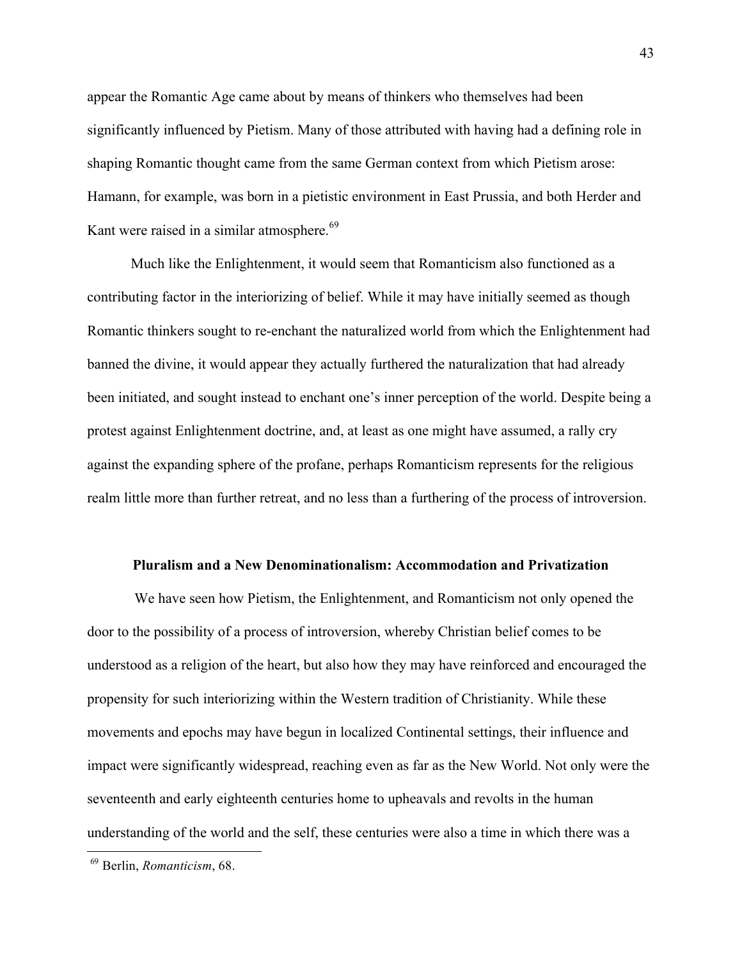appear the Romantic Age came about by means of thinkers who themselves had been significantly influenced by Pietism. Many of those attributed with having had a defining role in shaping Romantic thought came from the same German context from which Pietism arose: Hamann, for example, was born in a pietistic environment in East Prussia, and both Herder and Kant were raised in a similar atmosphere.<sup>69</sup>

Much like the Enlightenment, it would seem that Romanticism also functioned as a contributing factor in the interiorizing of belief. While it may have initially seemed as though Romantic thinkers sought to re-enchant the naturalized world from which the Enlightenment had banned the divine, it would appear they actually furthered the naturalization that had already been initiated, and sought instead to enchant one's inner perception of the world. Despite being a protest against Enlightenment doctrine, and, at least as one might have assumed, a rally cry against the expanding sphere of the profane, perhaps Romanticism represents for the religious realm little more than further retreat, and no less than a furthering of the process of introversion.

#### **Pluralism and a New Denominationalism: Accommodation and Privatization**

We have seen how Pietism, the Enlightenment, and Romanticism not only opened the door to the possibility of a process of introversion, whereby Christian belief comes to be understood as a religion of the heart, but also how they may have reinforced and encouraged the propensity for such interiorizing within the Western tradition of Christianity. While these movements and epochs may have begun in localized Continental settings, their influence and impact were significantly widespread, reaching even as far as the New World. Not only were the seventeenth and early eighteenth centuries home to upheavals and revolts in the human understanding of the world and the self, these centuries were also a time in which there was a

 <sup>69</sup> Berlin, *Romanticism*, 68.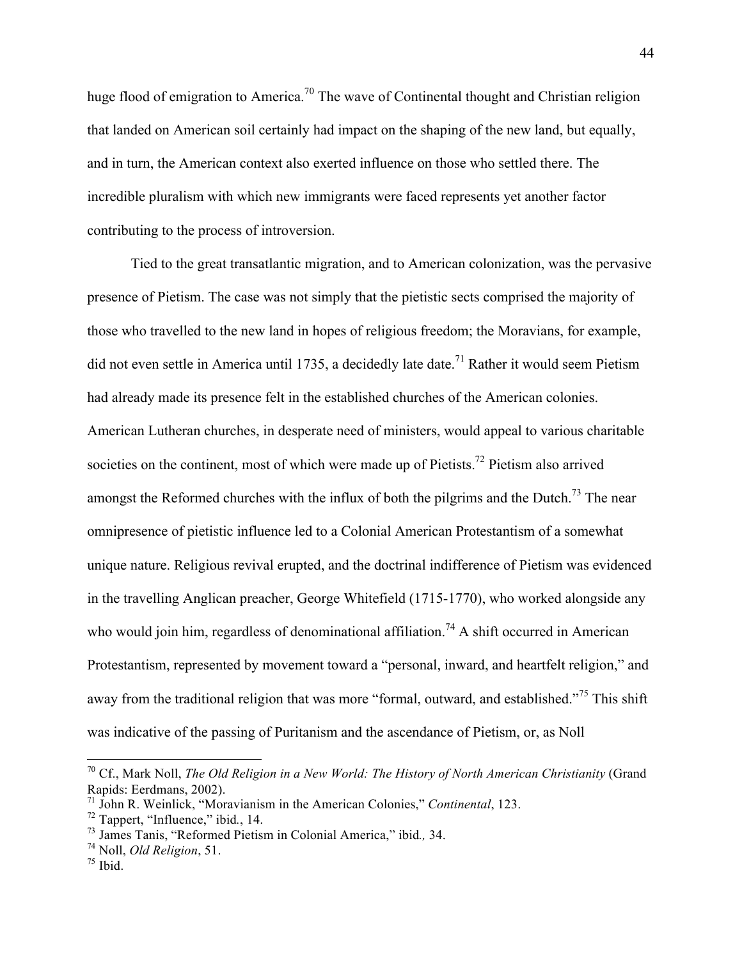huge flood of emigration to America.<sup>70</sup> The wave of Continental thought and Christian religion that landed on American soil certainly had impact on the shaping of the new land, but equally, and in turn, the American context also exerted influence on those who settled there. The incredible pluralism with which new immigrants were faced represents yet another factor contributing to the process of introversion.

Tied to the great transatlantic migration, and to American colonization, was the pervasive presence of Pietism. The case was not simply that the pietistic sects comprised the majority of those who travelled to the new land in hopes of religious freedom; the Moravians, for example, did not even settle in America until 1735, a decidedly late date.<sup>71</sup> Rather it would seem Pietism had already made its presence felt in the established churches of the American colonies. American Lutheran churches, in desperate need of ministers, would appeal to various charitable societies on the continent, most of which were made up of Pietists.<sup>72</sup> Pietism also arrived amongst the Reformed churches with the influx of both the pilgrims and the Dutch.<sup>73</sup> The near omnipresence of pietistic influence led to a Colonial American Protestantism of a somewhat unique nature. Religious revival erupted, and the doctrinal indifference of Pietism was evidenced in the travelling Anglican preacher, George Whitefield (1715-1770), who worked alongside any who would join him, regardless of denominational affiliation.<sup>74</sup> A shift occurred in American Protestantism, represented by movement toward a "personal, inward, and heartfelt religion," and away from the traditional religion that was more "formal, outward, and established."<sup>75</sup> This shift was indicative of the passing of Puritanism and the ascendance of Pietism, or, as Noll

 <sup>70</sup> Cf., Mark Noll, *The Old Religion in a New World: The History of North American Christianity* (Grand Rapids: Eerdmans, 2002).

<sup>71</sup> John R. Weinlick, "Moravianism in the American Colonies," *Continental*, 123.

<sup>72</sup> Tappert, "Influence," ibid*.*, 14.

<sup>73</sup> James Tanis, "Reformed Pietism in Colonial America," ibid*.,* 34.

<sup>74</sup> Noll, *Old Religion*, 51.

 $75$  Ibid.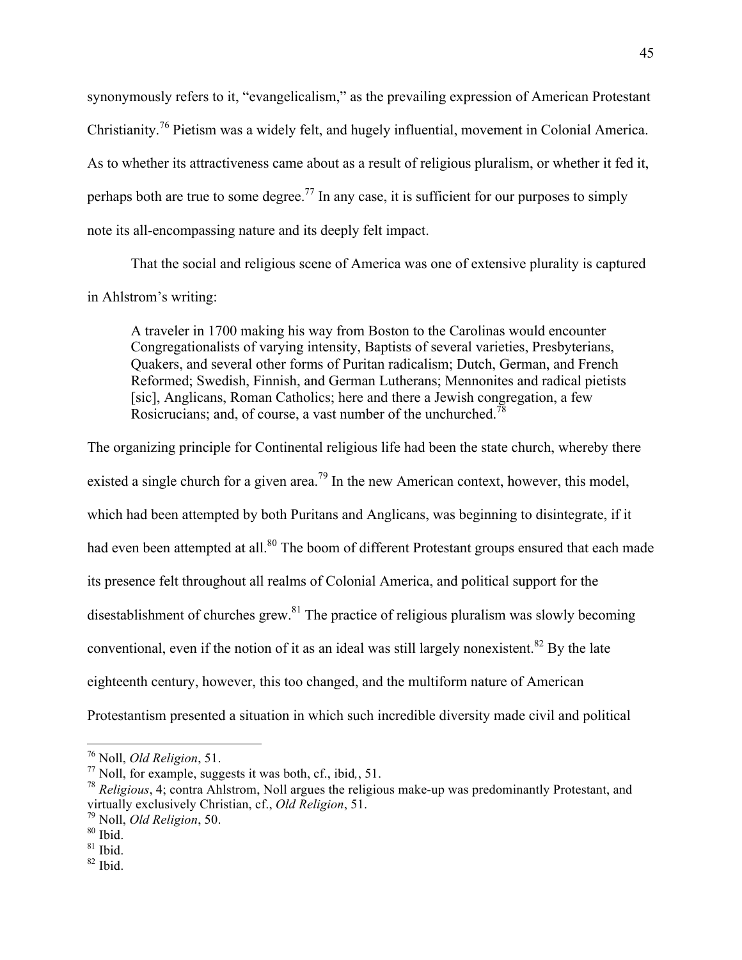synonymously refers to it, "evangelicalism," as the prevailing expression of American Protestant Christianity.<sup>76</sup> Pietism was a widely felt, and hugely influential, movement in Colonial America. As to whether its attractiveness came about as a result of religious pluralism, or whether it fed it, perhaps both are true to some degree.<sup>77</sup> In any case, it is sufficient for our purposes to simply note its all-encompassing nature and its deeply felt impact.

That the social and religious scene of America was one of extensive plurality is captured in Ahlstrom's writing:

A traveler in 1700 making his way from Boston to the Carolinas would encounter Congregationalists of varying intensity, Baptists of several varieties, Presbyterians, Quakers, and several other forms of Puritan radicalism; Dutch, German, and French Reformed; Swedish, Finnish, and German Lutherans; Mennonites and radical pietists [sic], Anglicans, Roman Catholics; here and there a Jewish congregation, a few Rosicrucians; and, of course, a vast number of the unchurched.<sup>78</sup>

The organizing principle for Continental religious life had been the state church, whereby there existed a single church for a given area.<sup>79</sup> In the new American context, however, this model, which had been attempted by both Puritans and Anglicans, was beginning to disintegrate, if it had even been attempted at all.<sup>80</sup> The boom of different Protestant groups ensured that each made its presence felt throughout all realms of Colonial America, and political support for the disestablishment of churches grew.<sup>81</sup> The practice of religious pluralism was slowly becoming conventional, even if the notion of it as an ideal was still largely nonexistent.<sup>82</sup> By the late eighteenth century, however, this too changed, and the multiform nature of American Protestantism presented a situation in which such incredible diversity made civil and political

 <sup>76</sup> Noll, *Old Religion*, 51.

<sup>77</sup> Noll, for example, suggests it was both, cf., ibid*,*, 51.

<sup>78</sup> *Religious*, 4; contra Ahlstrom, Noll argues the religious make-up was predominantly Protestant, and virtually exclusively Christian, cf., *Old Religion*, 51.

<sup>79</sup> Noll, *Old Religion*, 50. <sup>80</sup> Ibid.

 $81$  Ibid.

<sup>82</sup> Ibid.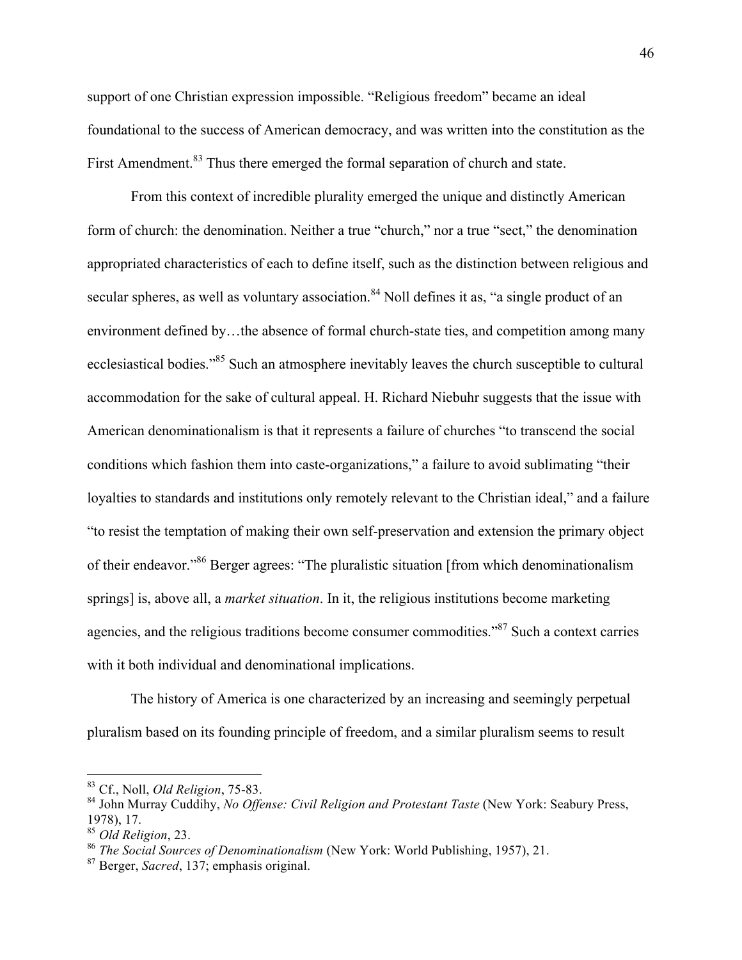support of one Christian expression impossible. "Religious freedom" became an ideal foundational to the success of American democracy, and was written into the constitution as the First Amendment.<sup>83</sup> Thus there emerged the formal separation of church and state.

From this context of incredible plurality emerged the unique and distinctly American form of church: the denomination. Neither a true "church," nor a true "sect," the denomination appropriated characteristics of each to define itself, such as the distinction between religious and secular spheres, as well as voluntary association.<sup>84</sup> Noll defines it as, "a single product of an environment defined by...the absence of formal church-state ties, and competition among many ecclesiastical bodies."85 Such an atmosphere inevitably leaves the church susceptible to cultural accommodation for the sake of cultural appeal. H. Richard Niebuhr suggests that the issue with American denominationalism is that it represents a failure of churches "to transcend the social conditions which fashion them into caste-organizations," a failure to avoid sublimating "their loyalties to standards and institutions only remotely relevant to the Christian ideal," and a failure "to resist the temptation of making their own self-preservation and extension the primary object of their endeavor."86 Berger agrees: "The pluralistic situation [from which denominationalism springs] is, above all, a *market situation*. In it, the religious institutions become marketing agencies, and the religious traditions become consumer commodities."87 Such a context carries with it both individual and denominational implications.

The history of America is one characterized by an increasing and seemingly perpetual pluralism based on its founding principle of freedom, and a similar pluralism seems to result

 <sup>83</sup> Cf., Noll, *Old Religion*, 75-83.

<sup>84</sup> John Murray Cuddihy, *No Offense: Civil Religion and Protestant Taste* (New York: Seabury Press, 1978), 17.

<sup>85</sup> *Old Religion*, 23.

<sup>86</sup> *The Social Sources of Denominationalism* (New York: World Publishing, 1957), 21.

<sup>87</sup> Berger, *Sacred*, 137; emphasis original.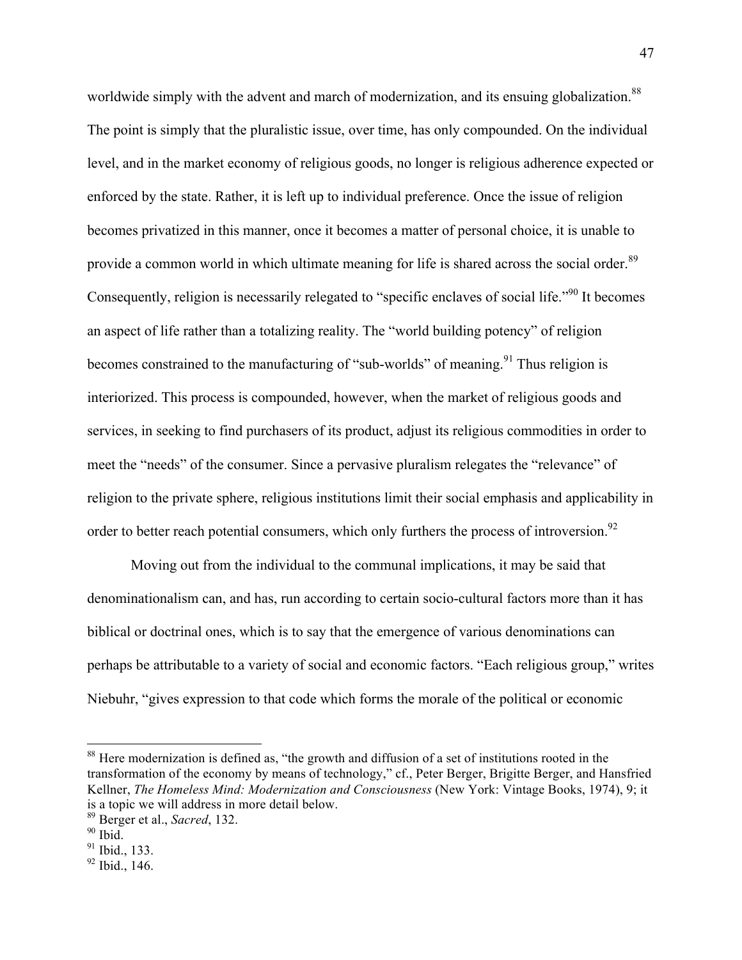worldwide simply with the advent and march of modernization, and its ensuing globalization.<sup>88</sup> The point is simply that the pluralistic issue, over time, has only compounded. On the individual level, and in the market economy of religious goods, no longer is religious adherence expected or enforced by the state. Rather, it is left up to individual preference. Once the issue of religion becomes privatized in this manner, once it becomes a matter of personal choice, it is unable to provide a common world in which ultimate meaning for life is shared across the social order.<sup>89</sup> Consequently, religion is necessarily relegated to "specific enclaves of social life."90 It becomes an aspect of life rather than a totalizing reality. The "world building potency" of religion becomes constrained to the manufacturing of "sub-worlds" of meaning.<sup>91</sup> Thus religion is interiorized. This process is compounded, however, when the market of religious goods and services, in seeking to find purchasers of its product, adjust its religious commodities in order to meet the "needs" of the consumer. Since a pervasive pluralism relegates the "relevance" of religion to the private sphere, religious institutions limit their social emphasis and applicability in order to better reach potential consumers, which only furthers the process of introversion.<sup>92</sup>

Moving out from the individual to the communal implications, it may be said that denominationalism can, and has, run according to certain socio-cultural factors more than it has biblical or doctrinal ones, which is to say that the emergence of various denominations can perhaps be attributable to a variety of social and economic factors. "Each religious group," writes Niebuhr, "gives expression to that code which forms the morale of the political or economic

<sup>&</sup>lt;sup>88</sup> Here modernization is defined as, "the growth and diffusion of a set of institutions rooted in the transformation of the economy by means of technology," cf., Peter Berger, Brigitte Berger, and Hansfried Kellner, *The Homeless Mind: Modernization and Consciousness* (New York: Vintage Books, 1974), 9; it is a topic we will address in more detail below.

<sup>89</sup> Berger et al., *Sacred*, 132.

 $90$  Ibid.

 $91$  Ibid., 133.

<sup>92</sup> Ibid., 146.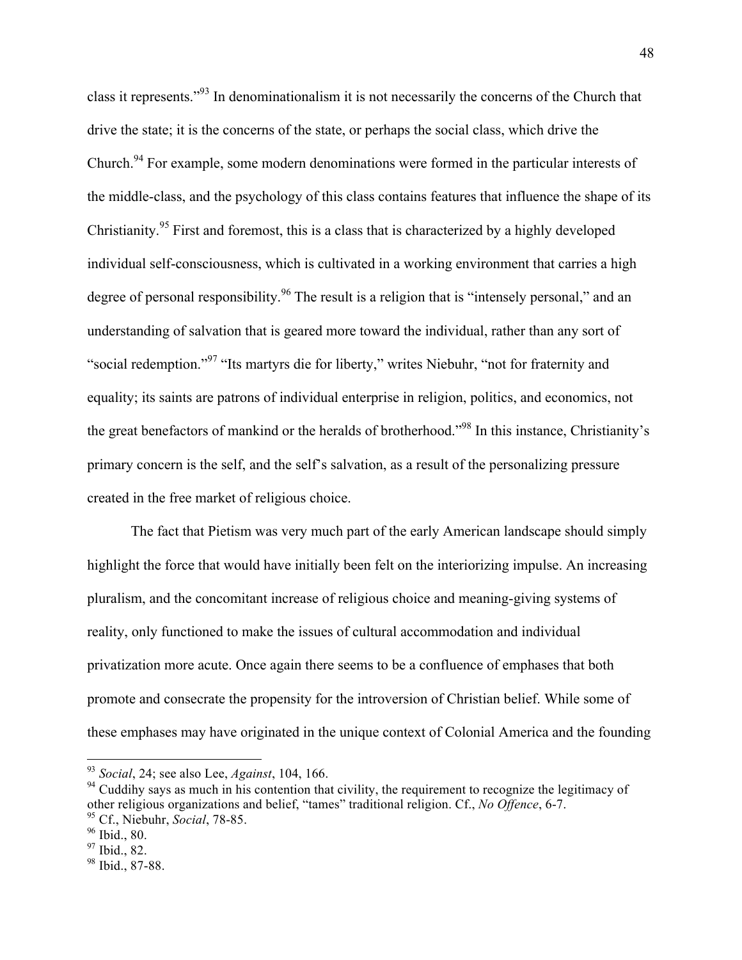class it represents."93 In denominationalism it is not necessarily the concerns of the Church that drive the state; it is the concerns of the state, or perhaps the social class, which drive the Church.<sup>94</sup> For example, some modern denominations were formed in the particular interests of the middle-class, and the psychology of this class contains features that influence the shape of its Christianity.<sup>95</sup> First and foremost, this is a class that is characterized by a highly developed individual self-consciousness, which is cultivated in a working environment that carries a high degree of personal responsibility.<sup>96</sup> The result is a religion that is "intensely personal," and an understanding of salvation that is geared more toward the individual, rather than any sort of "social redemption."<sup>97</sup> "Its martyrs die for liberty," writes Niebuhr, "not for fraternity and equality; its saints are patrons of individual enterprise in religion, politics, and economics, not the great benefactors of mankind or the heralds of brotherhood."98 In this instance, Christianity's primary concern is the self, and the self's salvation, as a result of the personalizing pressure created in the free market of religious choice.

The fact that Pietism was very much part of the early American landscape should simply highlight the force that would have initially been felt on the interiorizing impulse. An increasing pluralism, and the concomitant increase of religious choice and meaning-giving systems of reality, only functioned to make the issues of cultural accommodation and individual privatization more acute. Once again there seems to be a confluence of emphases that both promote and consecrate the propensity for the introversion of Christian belief. While some of these emphases may have originated in the unique context of Colonial America and the founding

 <sup>93</sup> *Social*, 24; see also Lee, *Against*, 104, 166.

<sup>&</sup>lt;sup>94</sup> Cuddihy says as much in his contention that civility, the requirement to recognize the legitimacy of other religious organizations and belief, "tames" traditional religion. Cf., *No Offence*, 6-7. <sup>95</sup> Cf., Niebuhr, *Social*, 78-85.

<sup>96</sup> Ibid., 80.

<sup>&</sup>lt;sup>97</sup> Ibid., 82.

<sup>98</sup> Ibid., 87-88.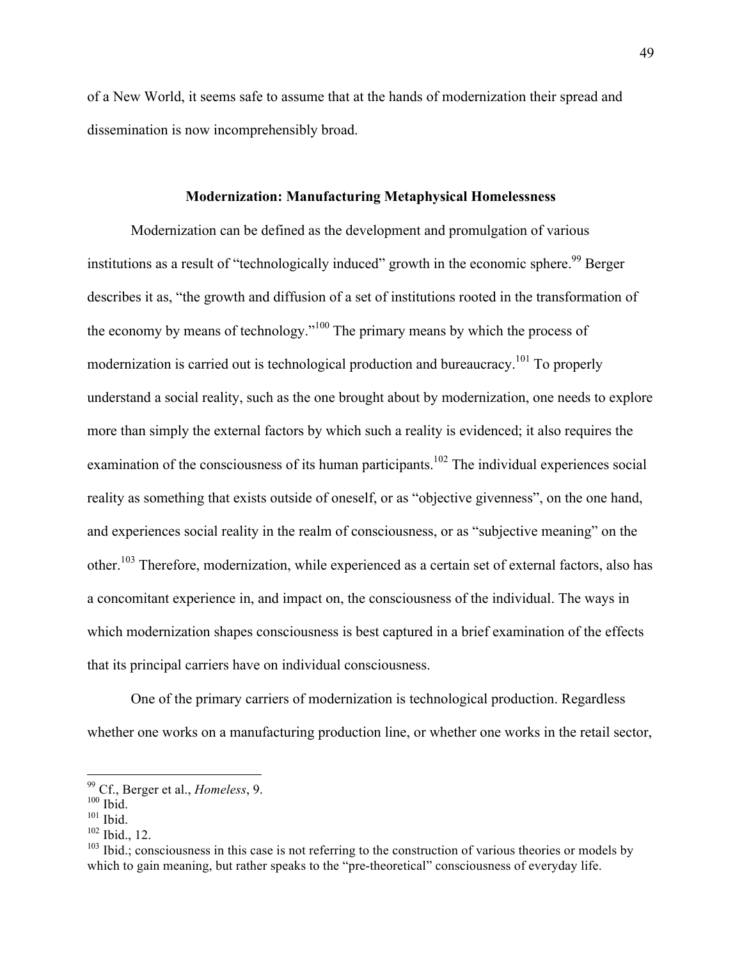of a New World, it seems safe to assume that at the hands of modernization their spread and dissemination is now incomprehensibly broad.

#### **Modernization: Manufacturing Metaphysical Homelessness**

Modernization can be defined as the development and promulgation of various institutions as a result of "technologically induced" growth in the economic sphere.<sup>99</sup> Berger describes it as, "the growth and diffusion of a set of institutions rooted in the transformation of the economy by means of technology."<sup>100</sup> The primary means by which the process of modernization is carried out is technological production and bureaucracy.101 To properly understand a social reality, such as the one brought about by modernization, one needs to explore more than simply the external factors by which such a reality is evidenced; it also requires the examination of the consciousness of its human participants.<sup>102</sup> The individual experiences social reality as something that exists outside of oneself, or as "objective givenness", on the one hand, and experiences social reality in the realm of consciousness, or as "subjective meaning" on the other.103 Therefore, modernization, while experienced as a certain set of external factors, also has a concomitant experience in, and impact on, the consciousness of the individual. The ways in which modernization shapes consciousness is best captured in a brief examination of the effects that its principal carriers have on individual consciousness.

One of the primary carriers of modernization is technological production. Regardless whether one works on a manufacturing production line, or whether one works in the retail sector,

 <sup>99</sup> Cf., Berger et al., *Homeless*, 9.

 $100$  Ibid.

 $101$  Ibid.

<sup>102</sup> Ibid., 12.

 $103$  Ibid.; consciousness in this case is not referring to the construction of various theories or models by which to gain meaning, but rather speaks to the "pre-theoretical" consciousness of everyday life.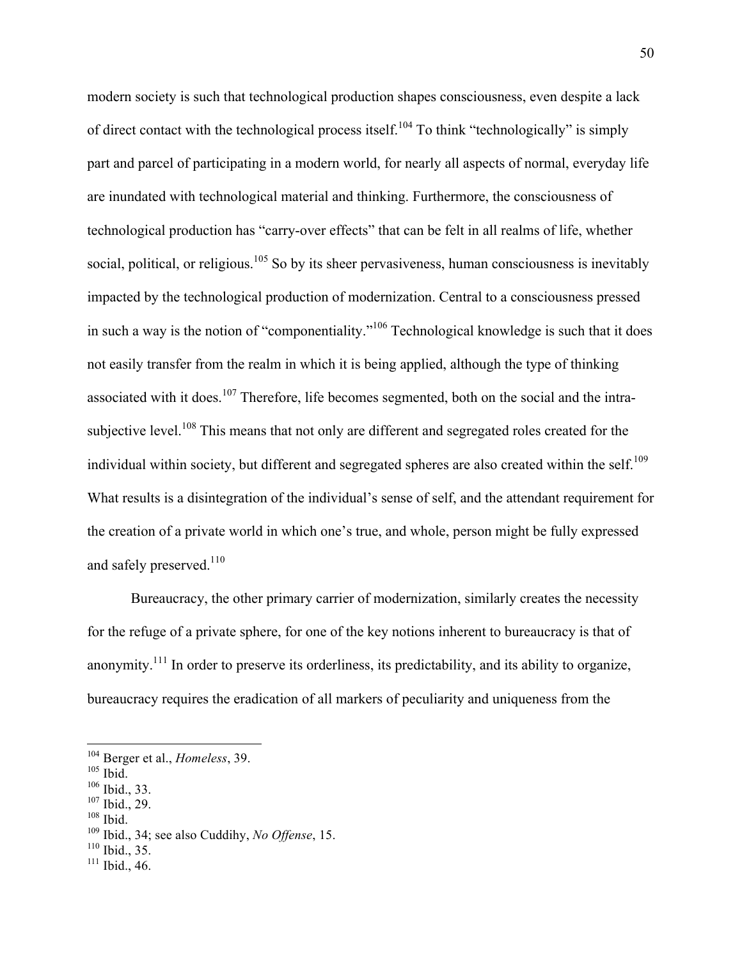modern society is such that technological production shapes consciousness, even despite a lack of direct contact with the technological process itself.<sup>104</sup> To think "technologically" is simply part and parcel of participating in a modern world, for nearly all aspects of normal, everyday life are inundated with technological material and thinking. Furthermore, the consciousness of technological production has "carry-over effects" that can be felt in all realms of life, whether social, political, or religious.<sup>105</sup> So by its sheer pervasiveness, human consciousness is inevitably impacted by the technological production of modernization. Central to a consciousness pressed in such a way is the notion of "componentiality."<sup>106</sup> Technological knowledge is such that it does not easily transfer from the realm in which it is being applied, although the type of thinking associated with it does.<sup>107</sup> Therefore, life becomes segmented, both on the social and the intrasubjective level.<sup>108</sup> This means that not only are different and segregated roles created for the individual within society, but different and segregated spheres are also created within the self.<sup>109</sup> What results is a disintegration of the individual's sense of self, and the attendant requirement for the creation of a private world in which one's true, and whole, person might be fully expressed and safely preserved.<sup>110</sup>

Bureaucracy, the other primary carrier of modernization, similarly creates the necessity for the refuge of a private sphere, for one of the key notions inherent to bureaucracy is that of anonymity.111 In order to preserve its orderliness, its predictability, and its ability to organize, bureaucracy requires the eradication of all markers of peculiarity and uniqueness from the

 $108$  Ibid.

- $110$  Ibid., 35.
- <sup>111</sup> Ibid., 46.

 <sup>104</sup> Berger et al., *Homeless*, 39.

 $105$  Ibid.

 $106$  Ibid., 33.

<sup>107</sup> Ibid., 29.

<sup>109</sup> Ibid., 34; see also Cuddihy, *No Offense*, 15.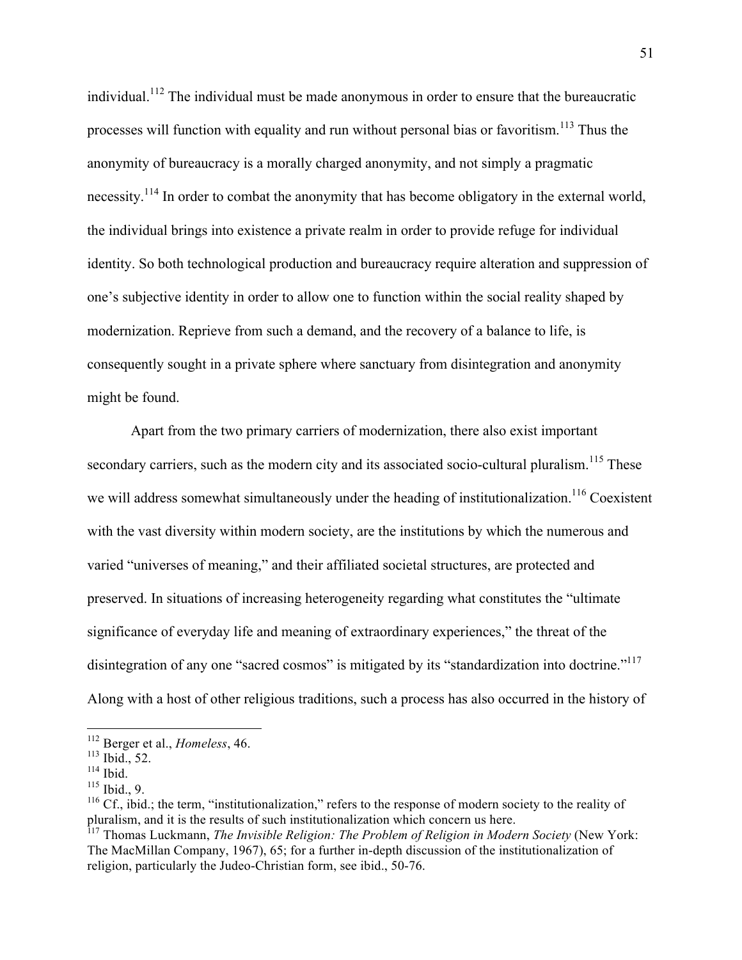individual.<sup>112</sup> The individual must be made anonymous in order to ensure that the bureaucratic processes will function with equality and run without personal bias or favoritism.<sup>113</sup> Thus the anonymity of bureaucracy is a morally charged anonymity, and not simply a pragmatic necessity.<sup>114</sup> In order to combat the anonymity that has become obligatory in the external world, the individual brings into existence a private realm in order to provide refuge for individual identity. So both technological production and bureaucracy require alteration and suppression of one's subjective identity in order to allow one to function within the social reality shaped by modernization. Reprieve from such a demand, and the recovery of a balance to life, is consequently sought in a private sphere where sanctuary from disintegration and anonymity might be found.

Apart from the two primary carriers of modernization, there also exist important secondary carriers, such as the modern city and its associated socio-cultural pluralism.<sup>115</sup> These we will address somewhat simultaneously under the heading of institutionalization.<sup>116</sup> Coexistent with the vast diversity within modern society, are the institutions by which the numerous and varied "universes of meaning," and their affiliated societal structures, are protected and preserved. In situations of increasing heterogeneity regarding what constitutes the "ultimate significance of everyday life and meaning of extraordinary experiences," the threat of the disintegration of any one "sacred cosmos" is mitigated by its "standardization into doctrine."<sup>117</sup> Along with a host of other religious traditions, such a process has also occurred in the history of

 <sup>112</sup> Berger et al., *Homeless*, 46.

<sup>113</sup> Ibid., 52.

<sup>&</sup>lt;sup>114</sup> Ibid.

 $115$  Ibid., 9.

 $116$  Cf., ibid.; the term, "institutionalization," refers to the response of modern society to the reality of pluralism, and it is the results of such institutionalization which concern us here.

<sup>&</sup>lt;sup>117</sup> Thomas Luckmann, *The Invisible Religion: The Problem of Religion in Modern Society* (New York: The MacMillan Company, 1967), 65; for a further in-depth discussion of the institutionalization of religion, particularly the Judeo-Christian form, see ibid., 50-76.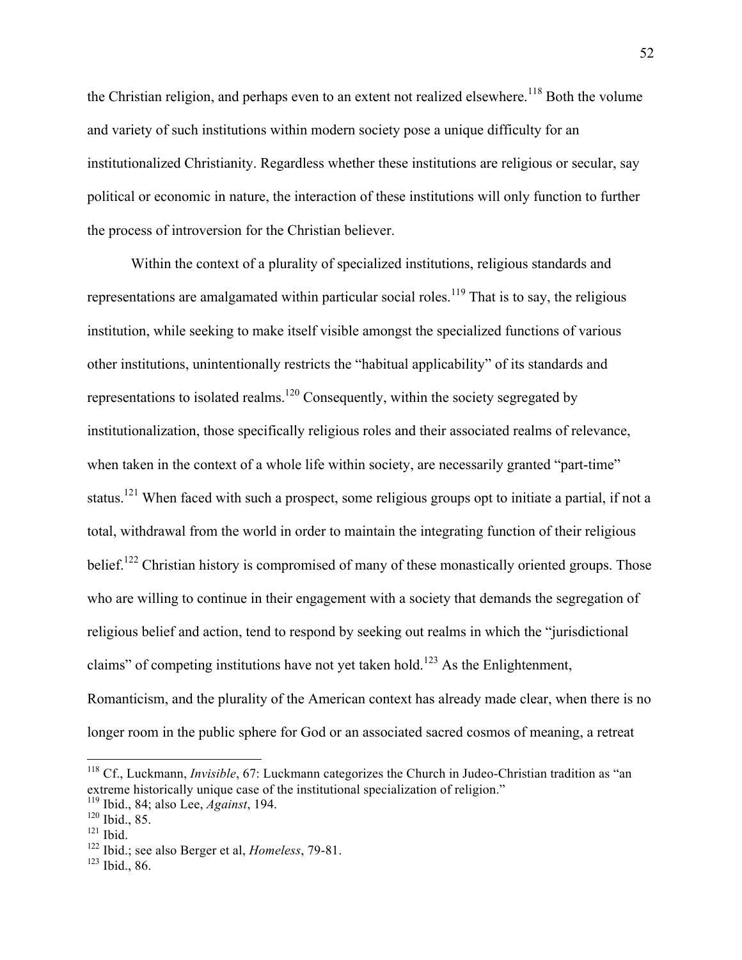the Christian religion, and perhaps even to an extent not realized elsewhere.<sup>118</sup> Both the volume and variety of such institutions within modern society pose a unique difficulty for an institutionalized Christianity. Regardless whether these institutions are religious or secular, say political or economic in nature, the interaction of these institutions will only function to further the process of introversion for the Christian believer.

Within the context of a plurality of specialized institutions, religious standards and representations are amalgamated within particular social roles.<sup>119</sup> That is to say, the religious institution, while seeking to make itself visible amongst the specialized functions of various other institutions, unintentionally restricts the "habitual applicability" of its standards and representations to isolated realms.<sup>120</sup> Consequently, within the society segregated by institutionalization, those specifically religious roles and their associated realms of relevance, when taken in the context of a whole life within society, are necessarily granted "part-time" status.<sup>121</sup> When faced with such a prospect, some religious groups opt to initiate a partial, if not a total, withdrawal from the world in order to maintain the integrating function of their religious belief.<sup>122</sup> Christian history is compromised of many of these monastically oriented groups. Those who are willing to continue in their engagement with a society that demands the segregation of religious belief and action, tend to respond by seeking out realms in which the "jurisdictional claims" of competing institutions have not yet taken hold.<sup>123</sup> As the Enlightenment, Romanticism, and the plurality of the American context has already made clear, when there is no longer room in the public sphere for God or an associated sacred cosmos of meaning, a retreat

 <sup>118</sup> Cf., Luckmann, *Invisible*, 67: Luckmann categorizes the Church in Judeo-Christian tradition as "an extreme historically unique case of the institutional specialization of religion."

<sup>119</sup> Ibid., 84; also Lee, *Against*, 194.

<sup>120</sup> Ibid., 85.

 $121$  Ibid.

<sup>122</sup> Ibid.; see also Berger et al, *Homeless*, 79-81.

<sup>123</sup> Ibid., 86.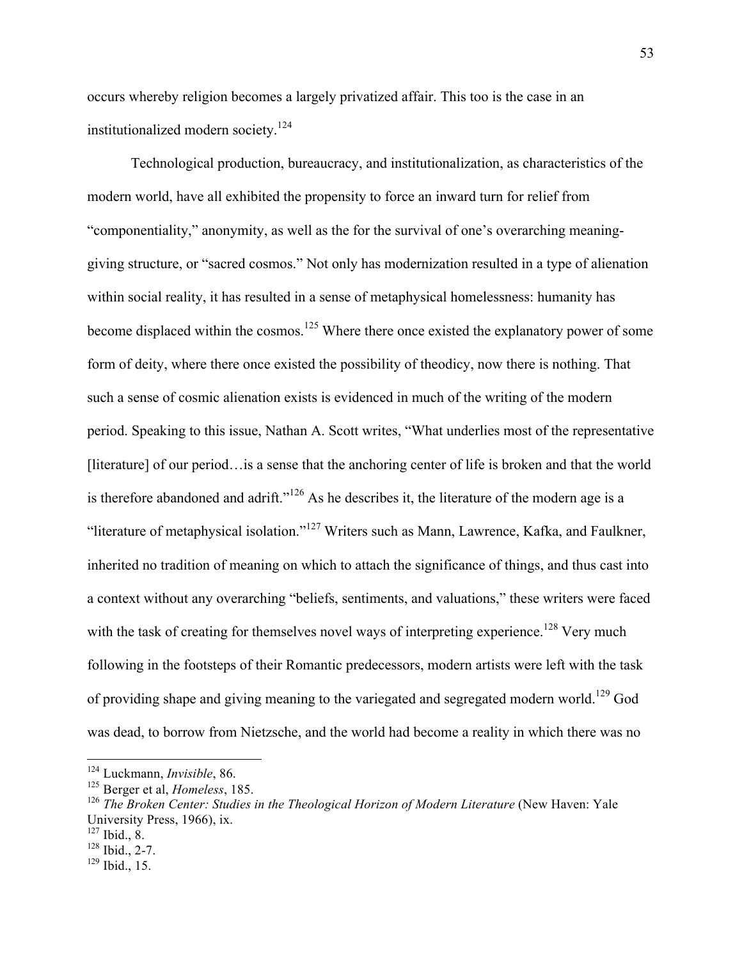occurs whereby religion becomes a largely privatized affair. This too is the case in an institutionalized modern society.124

Technological production, bureaucracy, and institutionalization, as characteristics of the modern world, have all exhibited the propensity to force an inward turn for relief from "componentiality," anonymity, as well as the for the survival of one's overarching meaninggiving structure, or "sacred cosmos." Not only has modernization resulted in a type of alienation within social reality, it has resulted in a sense of metaphysical homelessness: humanity has become displaced within the cosmos.<sup>125</sup> Where there once existed the explanatory power of some form of deity, where there once existed the possibility of theodicy, now there is nothing. That such a sense of cosmic alienation exists is evidenced in much of the writing of the modern period. Speaking to this issue, Nathan A. Scott writes, "What underlies most of the representative [literature] of our period…is a sense that the anchoring center of life is broken and that the world is therefore abandoned and adrift."<sup>126</sup> As he describes it, the literature of the modern age is a "literature of metaphysical isolation."<sup>127</sup> Writers such as Mann, Lawrence, Kafka, and Faulkner, inherited no tradition of meaning on which to attach the significance of things, and thus cast into a context without any overarching "beliefs, sentiments, and valuations," these writers were faced with the task of creating for themselves novel ways of interpreting experience.<sup>128</sup> Very much following in the footsteps of their Romantic predecessors, modern artists were left with the task of providing shape and giving meaning to the variegated and segregated modern world.<sup>129</sup> God was dead, to borrow from Nietzsche, and the world had become a reality in which there was no

 <sup>124</sup> Luckmann, *Invisible*, 86.

<sup>125</sup> Berger et al, *Homeless*, 185.

<sup>&</sup>lt;sup>126</sup> The Broken Center: Studies in the Theological Horizon of Modern Literature (New Haven: Yale University Press, 1966), ix.

 $127$  Ibid., 8.

 $128$  Ibid., 2-7.

 $129$  Ibid., 15.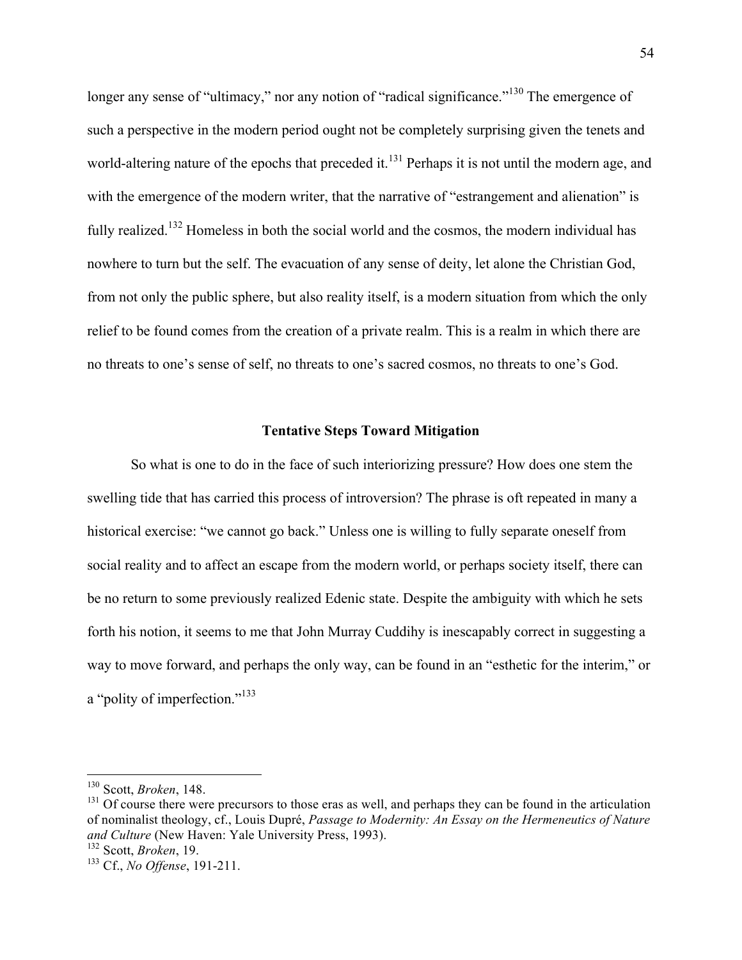longer any sense of "ultimacy," nor any notion of "radical significance."<sup>130</sup> The emergence of such a perspective in the modern period ought not be completely surprising given the tenets and world-altering nature of the epochs that preceded it.<sup>131</sup> Perhaps it is not until the modern age, and with the emergence of the modern writer, that the narrative of "estrangement and alienation" is fully realized.<sup>132</sup> Homeless in both the social world and the cosmos, the modern individual has nowhere to turn but the self. The evacuation of any sense of deity, let alone the Christian God, from not only the public sphere, but also reality itself, is a modern situation from which the only relief to be found comes from the creation of a private realm. This is a realm in which there are no threats to one's sense of self, no threats to one's sacred cosmos, no threats to one's God.

#### **Tentative Steps Toward Mitigation**

So what is one to do in the face of such interiorizing pressure? How does one stem the swelling tide that has carried this process of introversion? The phrase is oft repeated in many a historical exercise: "we cannot go back." Unless one is willing to fully separate oneself from social reality and to affect an escape from the modern world, or perhaps society itself, there can be no return to some previously realized Edenic state. Despite the ambiguity with which he sets forth his notion, it seems to me that John Murray Cuddihy is inescapably correct in suggesting a way to move forward, and perhaps the only way, can be found in an "esthetic for the interim," or a "polity of imperfection."<sup>133</sup>

 <sup>130</sup> Scott, *Broken*, 148.

<sup>&</sup>lt;sup>131</sup> Of course there were precursors to those eras as well, and perhaps they can be found in the articulation of nominalist theology, cf., Louis Dupré, *Passage to Modernity: An Essay on the Hermeneutics of Nature and Culture* (New Haven: Yale University Press, 1993).

<sup>132</sup> Scott, *Broken*, 19.

<sup>133</sup> Cf., *No Offense*, 191-211.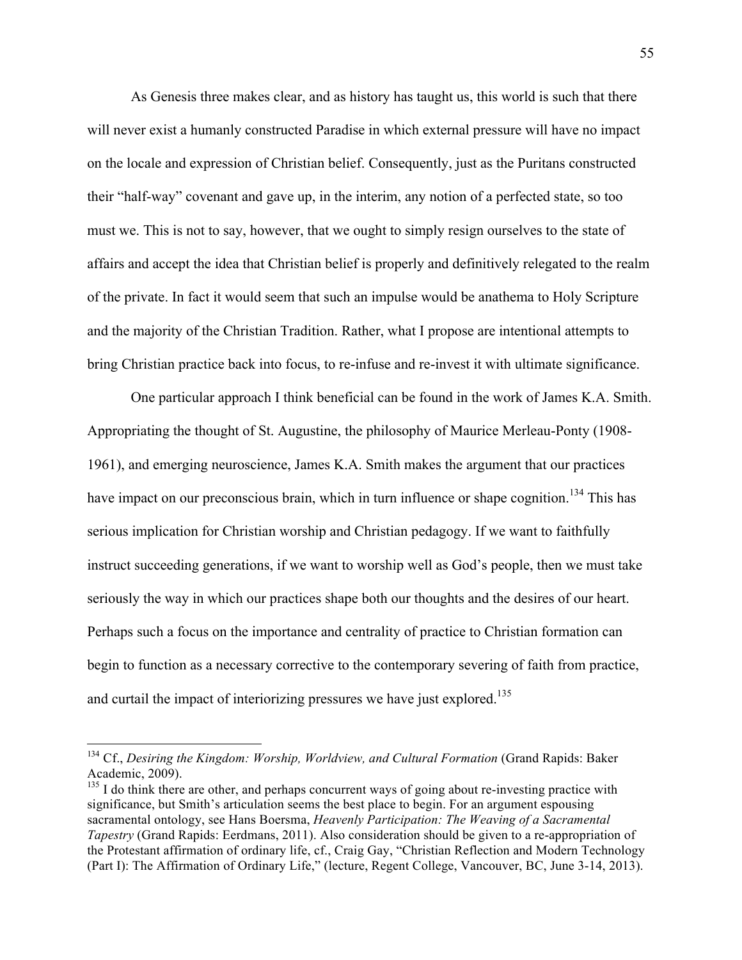As Genesis three makes clear, and as history has taught us, this world is such that there will never exist a humanly constructed Paradise in which external pressure will have no impact on the locale and expression of Christian belief. Consequently, just as the Puritans constructed their "half-way" covenant and gave up, in the interim, any notion of a perfected state, so too must we. This is not to say, however, that we ought to simply resign ourselves to the state of affairs and accept the idea that Christian belief is properly and definitively relegated to the realm of the private. In fact it would seem that such an impulse would be anathema to Holy Scripture and the majority of the Christian Tradition. Rather, what I propose are intentional attempts to bring Christian practice back into focus, to re-infuse and re-invest it with ultimate significance.

One particular approach I think beneficial can be found in the work of James K.A. Smith. Appropriating the thought of St. Augustine, the philosophy of Maurice Merleau-Ponty (1908- 1961), and emerging neuroscience, James K.A. Smith makes the argument that our practices have impact on our preconscious brain, which in turn influence or shape cognition.<sup>134</sup> This has serious implication for Christian worship and Christian pedagogy. If we want to faithfully instruct succeeding generations, if we want to worship well as God's people, then we must take seriously the way in which our practices shape both our thoughts and the desires of our heart. Perhaps such a focus on the importance and centrality of practice to Christian formation can begin to function as a necessary corrective to the contemporary severing of faith from practice, and curtail the impact of interiorizing pressures we have just explored.<sup>135</sup>

 <sup>134</sup> Cf., *Desiring the Kingdom: Worship, Worldview, and Cultural Formation* (Grand Rapids: Baker Academic, 2009).

 $135$  I do think there are other, and perhaps concurrent ways of going about re-investing practice with significance, but Smith's articulation seems the best place to begin. For an argument espousing sacramental ontology, see Hans Boersma, *Heavenly Participation: The Weaving of a Sacramental Tapestry* (Grand Rapids: Eerdmans, 2011). Also consideration should be given to a re-appropriation of the Protestant affirmation of ordinary life, cf., Craig Gay, "Christian Reflection and Modern Technology (Part I): The Affirmation of Ordinary Life," (lecture, Regent College, Vancouver, BC, June 3-14, 2013).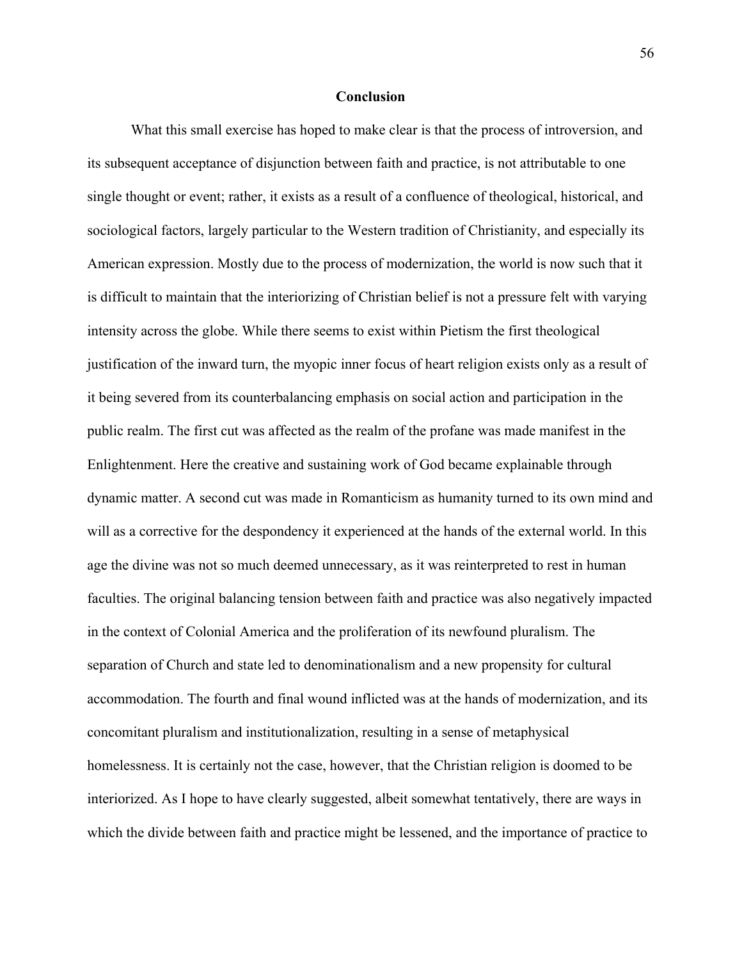#### **Conclusion**

What this small exercise has hoped to make clear is that the process of introversion, and its subsequent acceptance of disjunction between faith and practice, is not attributable to one single thought or event; rather, it exists as a result of a confluence of theological, historical, and sociological factors, largely particular to the Western tradition of Christianity, and especially its American expression. Mostly due to the process of modernization, the world is now such that it is difficult to maintain that the interiorizing of Christian belief is not a pressure felt with varying intensity across the globe. While there seems to exist within Pietism the first theological justification of the inward turn, the myopic inner focus of heart religion exists only as a result of it being severed from its counterbalancing emphasis on social action and participation in the public realm. The first cut was affected as the realm of the profane was made manifest in the Enlightenment. Here the creative and sustaining work of God became explainable through dynamic matter. A second cut was made in Romanticism as humanity turned to its own mind and will as a corrective for the despondency it experienced at the hands of the external world. In this age the divine was not so much deemed unnecessary, as it was reinterpreted to rest in human faculties. The original balancing tension between faith and practice was also negatively impacted in the context of Colonial America and the proliferation of its newfound pluralism. The separation of Church and state led to denominationalism and a new propensity for cultural accommodation. The fourth and final wound inflicted was at the hands of modernization, and its concomitant pluralism and institutionalization, resulting in a sense of metaphysical homelessness. It is certainly not the case, however, that the Christian religion is doomed to be interiorized. As I hope to have clearly suggested, albeit somewhat tentatively, there are ways in which the divide between faith and practice might be lessened, and the importance of practice to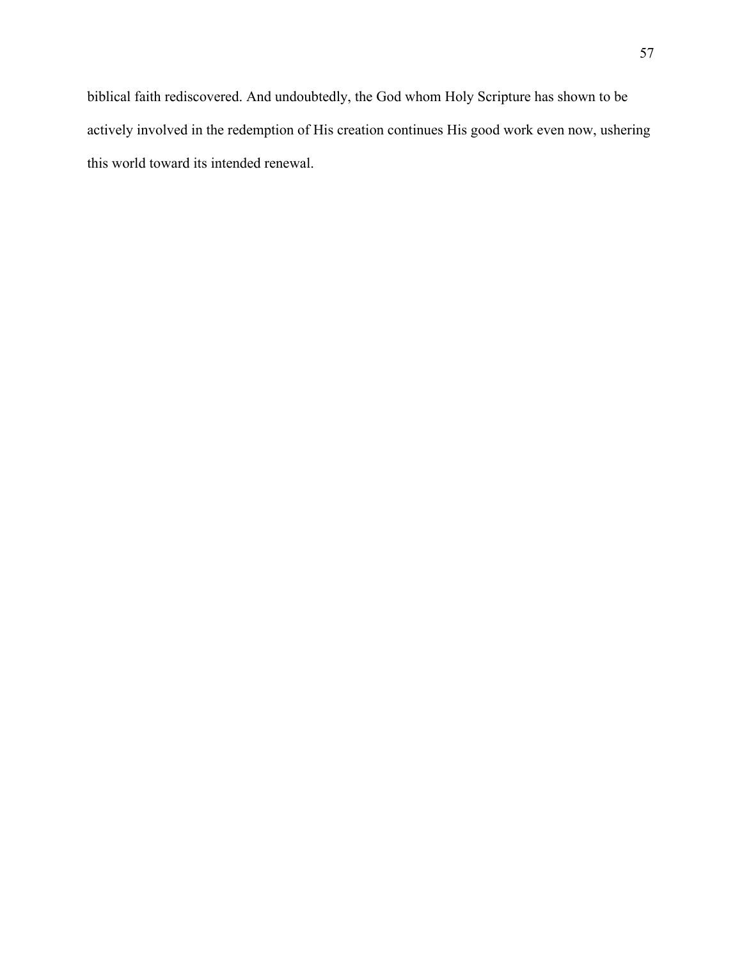biblical faith rediscovered. And undoubtedly, the God whom Holy Scripture has shown to be actively involved in the redemption of His creation continues His good work even now, ushering this world toward its intended renewal.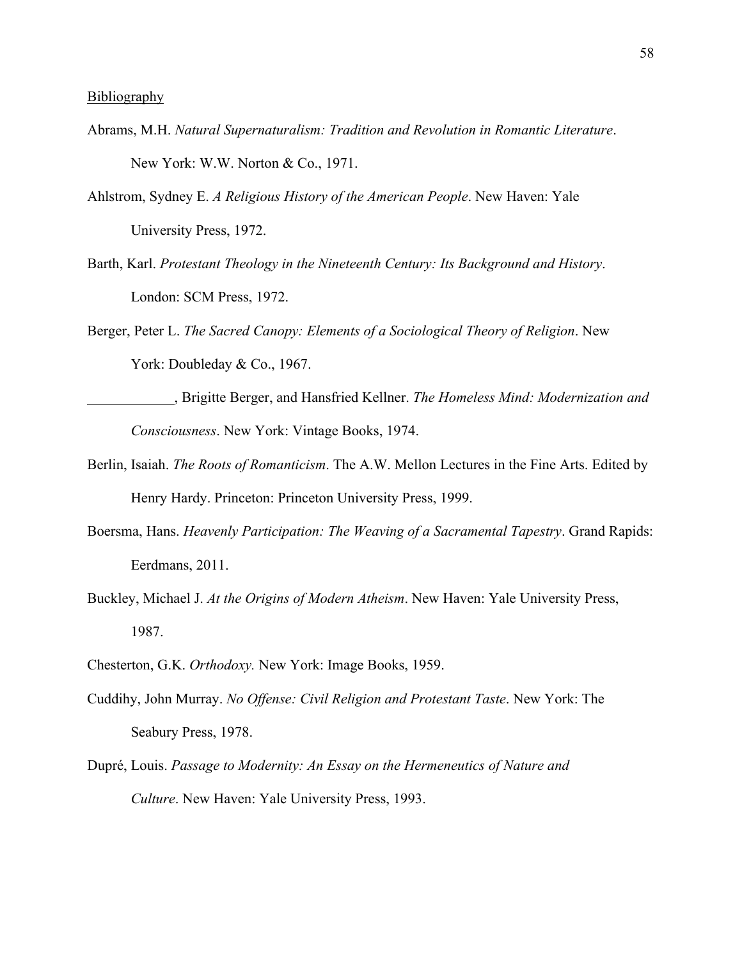- Abrams, M.H. *Natural Supernaturalism: Tradition and Revolution in Romantic Literature*. New York: W.W. Norton & Co., 1971.
- Ahlstrom, Sydney E. *A Religious History of the American People*. New Haven: Yale University Press, 1972.
- Barth, Karl. *Protestant Theology in the Nineteenth Century: Its Background and History*. London: SCM Press, 1972.
- Berger, Peter L. *The Sacred Canopy: Elements of a Sociological Theory of Religion*. New York: Doubleday & Co., 1967.
- , Brigitte Berger, and Hansfried Kellner. *The Homeless Mind: Modernization and Consciousness*. New York: Vintage Books, 1974.
- Berlin, Isaiah. *The Roots of Romanticism*. The A.W. Mellon Lectures in the Fine Arts. Edited by Henry Hardy. Princeton: Princeton University Press, 1999.
- Boersma, Hans. *Heavenly Participation: The Weaving of a Sacramental Tapestry*. Grand Rapids: Eerdmans, 2011.
- Buckley, Michael J. *At the Origins of Modern Atheism*. New Haven: Yale University Press, 1987.
- Chesterton, G.K. *Orthodoxy.* New York: Image Books, 1959.
- Cuddihy, John Murray. *No Offense: Civil Religion and Protestant Taste*. New York: The Seabury Press, 1978.
- Dupré, Louis. *Passage to Modernity: An Essay on the Hermeneutics of Nature and Culture*. New Haven: Yale University Press, 1993.